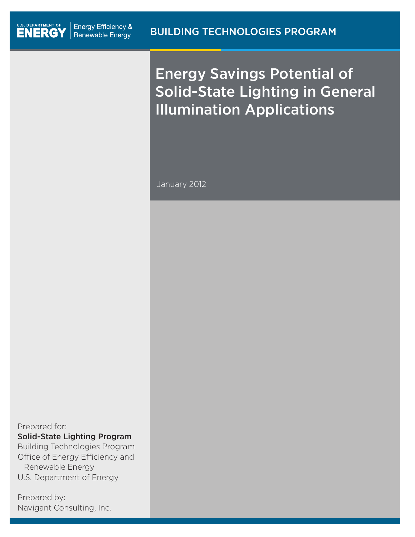# Energy Savings Potential of Solid-State Lighting in General Illumination Applications

January 2012

Prepared for:

Solid-State Lighting Program

Building Technologies Program Office of Energy Efficiency and Renewable Energy U.S. Department of Energy

Prepared by: Navigant Consulting, Inc.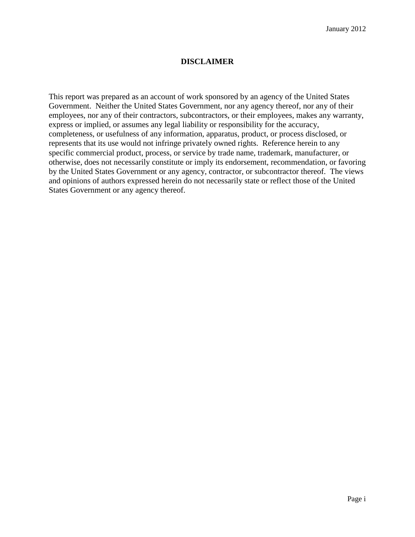#### **DISCLAIMER**

This report was prepared as an account of work sponsored by an agency of the United States Government. Neither the United States Government, nor any agency thereof, nor any of their employees, nor any of their contractors, subcontractors, or their employees, makes any warranty, express or implied, or assumes any legal liability or responsibility for the accuracy, completeness, or usefulness of any information, apparatus, product, or process disclosed, or represents that its use would not infringe privately owned rights. Reference herein to any specific commercial product, process, or service by trade name, trademark, manufacturer, or otherwise, does not necessarily constitute or imply its endorsement, recommendation, or favoring by the United States Government or any agency, contractor, or subcontractor thereof. The views and opinions of authors expressed herein do not necessarily state or reflect those of the United States Government or any agency thereof.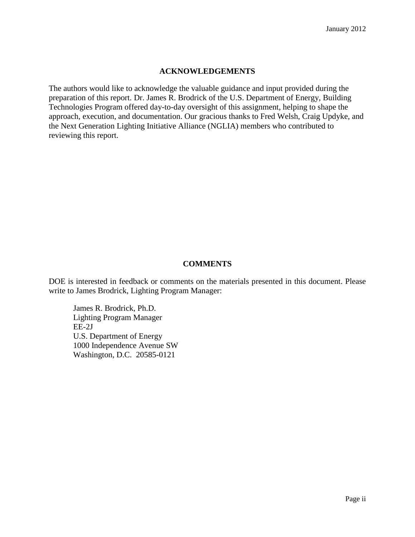#### **ACKNOWLEDGEMENTS**

The authors would like to acknowledge the valuable guidance and input provided during the preparation of this report. Dr. James R. Brodrick of the U.S. Department of Energy, Building Technologies Program offered day-to-day oversight of this assignment, helping to shape the approach, execution, and documentation. Our gracious thanks to Fred Welsh, Craig Updyke, and the Next Generation Lighting Initiative Alliance (NGLIA) members who contributed to reviewing this report.

#### **COMMENTS**

DOE is interested in feedback or comments on the materials presented in this document. Please write to James Brodrick, Lighting Program Manager:

James R. Brodrick, Ph.D. Lighting Program Manager EE-2J U.S. Department of Energy 1000 Independence Avenue SW Washington, D.C. 20585-0121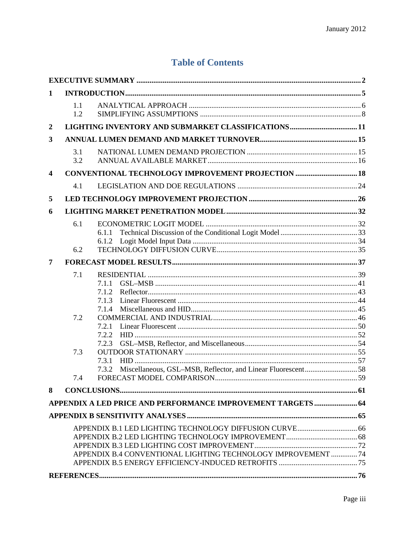### **Table of Contents**

| 1                |            |                                                               |  |
|------------------|------------|---------------------------------------------------------------|--|
|                  | 1.1<br>1.2 |                                                               |  |
| $\boldsymbol{2}$ |            |                                                               |  |
| 3                |            |                                                               |  |
|                  | 3.1<br>3.2 |                                                               |  |
| 4                |            | CONVENTIONAL TECHNOLOGY IMPROVEMENT PROJECTION  18            |  |
|                  | 4.1        |                                                               |  |
| 5                |            |                                                               |  |
| 6                |            |                                                               |  |
|                  | 6.1<br>6.2 | 6.1.2                                                         |  |
| 7                |            |                                                               |  |
|                  | 7.1        | 7.1.1<br>7.1.2<br>7.1.3<br>7.1.4                              |  |
|                  | 7.2        | 7.2.1<br>7.2.2<br>7.2.3                                       |  |
|                  | 7.3<br>7.4 | 7.3.1<br>7.3.2<br>FORECAST MODEL COMPARISON.                  |  |
| 8                |            |                                                               |  |
|                  |            | APPENDIX A LED PRICE AND PERFORMANCE IMPROVEMENT TARGETS 64   |  |
|                  |            |                                                               |  |
|                  |            |                                                               |  |
|                  |            |                                                               |  |
|                  |            |                                                               |  |
|                  |            | APPENDIX B.4 CONVENTIONAL LIGHTING TECHNOLOGY IMPROVEMENT  74 |  |
|                  |            |                                                               |  |
|                  |            |                                                               |  |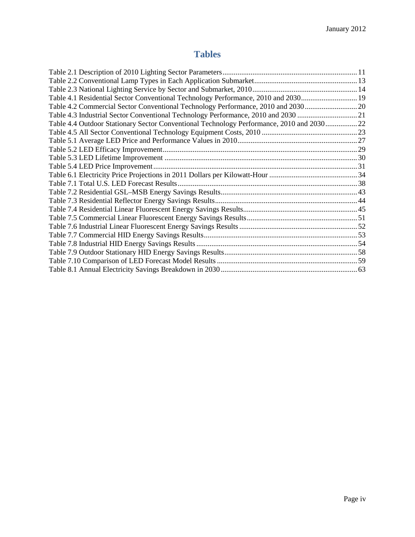## **Tables**

| Table 4.1 Residential Sector Conventional Technology Performance, 2010 and 2030 19       |  |
|------------------------------------------------------------------------------------------|--|
| Table 4.2 Commercial Sector Conventional Technology Performance, 2010 and 203020         |  |
| Table 4.3 Industrial Sector Conventional Technology Performance, 2010 and 2030 21        |  |
| Table 4.4 Outdoor Stationary Sector Conventional Technology Performance, 2010 and 203022 |  |
|                                                                                          |  |
|                                                                                          |  |
|                                                                                          |  |
|                                                                                          |  |
|                                                                                          |  |
|                                                                                          |  |
|                                                                                          |  |
|                                                                                          |  |
|                                                                                          |  |
|                                                                                          |  |
|                                                                                          |  |
|                                                                                          |  |
|                                                                                          |  |
|                                                                                          |  |
|                                                                                          |  |
|                                                                                          |  |
|                                                                                          |  |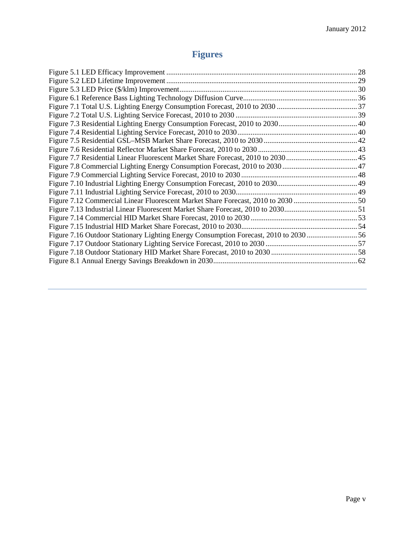# **Figures**

| Figure 7.12 Commercial Linear Fluorescent Market Share Forecast, 2010 to 2030 50     |  |
|--------------------------------------------------------------------------------------|--|
|                                                                                      |  |
|                                                                                      |  |
|                                                                                      |  |
| Figure 7.16 Outdoor Stationary Lighting Energy Consumption Forecast, 2010 to 2030 56 |  |
|                                                                                      |  |
|                                                                                      |  |
|                                                                                      |  |
|                                                                                      |  |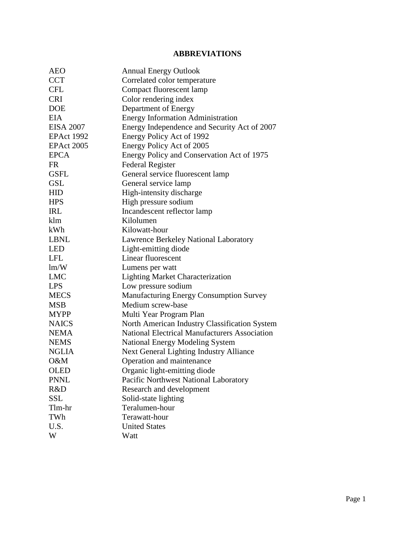### **ABBREVIATIONS**

| <b>AEO</b>        | <b>Annual Energy Outlook</b>                         |
|-------------------|------------------------------------------------------|
| <b>CCT</b>        | Correlated color temperature                         |
| <b>CFL</b>        | Compact fluorescent lamp                             |
| <b>CRI</b>        | Color rendering index                                |
| <b>DOE</b>        | Department of Energy                                 |
| <b>EIA</b>        | <b>Energy Information Administration</b>             |
| <b>EISA 2007</b>  | Energy Independence and Security Act of 2007         |
| <b>EPAct 1992</b> | Energy Policy Act of 1992                            |
| <b>EPAct 2005</b> | Energy Policy Act of 2005                            |
| <b>EPCA</b>       | Energy Policy and Conservation Act of 1975           |
| <b>FR</b>         | <b>Federal Register</b>                              |
| <b>GSFL</b>       | General service fluorescent lamp                     |
| <b>GSL</b>        | General service lamp                                 |
| <b>HID</b>        | High-intensity discharge                             |
| <b>HPS</b>        | High pressure sodium                                 |
| <b>IRL</b>        | Incandescent reflector lamp                          |
| klm               | Kilolumen                                            |
| kWh               | Kilowatt-hour                                        |
| <b>LBNL</b>       | <b>Lawrence Berkeley National Laboratory</b>         |
| <b>LED</b>        | Light-emitting diode                                 |
| <b>LFL</b>        | Linear fluorescent                                   |
| lm/W              | Lumens per watt                                      |
| <b>LMC</b>        | <b>Lighting Market Characterization</b>              |
| <b>LPS</b>        | Low pressure sodium                                  |
| <b>MECS</b>       | Manufacturing Energy Consumption Survey              |
| <b>MSB</b>        | Medium screw-base                                    |
| <b>MYPP</b>       | Multi Year Program Plan                              |
| <b>NAICS</b>      | North American Industry Classification System        |
| <b>NEMA</b>       | <b>National Electrical Manufacturers Association</b> |
| <b>NEMS</b>       | <b>National Energy Modeling System</b>               |
| <b>NGLIA</b>      | Next General Lighting Industry Alliance              |
| O&M               | Operation and maintenance                            |
| <b>OLED</b>       | Organic light-emitting diode                         |
| <b>PNNL</b>       | Pacific Northwest National Laboratory                |
| R&D               | Research and development                             |
| <b>SSL</b>        | Solid-state lighting                                 |
| Tlm-hr            | Teralumen-hour                                       |
| TWh               | Terawatt-hour                                        |
| U.S.              | <b>United States</b>                                 |
| W                 | Watt                                                 |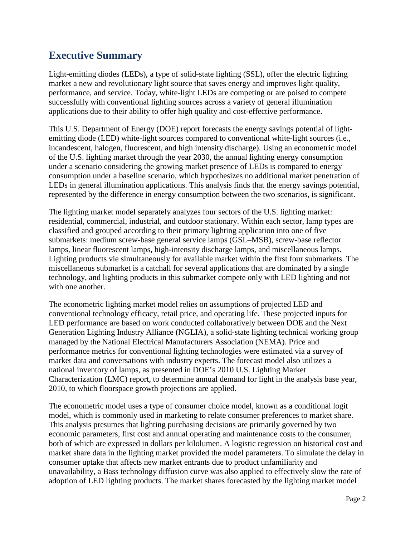# <span id="page-7-0"></span>**Executive Summary**

Light-emitting diodes (LEDs), a type of solid-state lighting (SSL), offer the electric lighting market a new and revolutionary light source that saves energy and improves light quality, performance, and service. Today, white-light LEDs are competing or are poised to compete successfully with conventional lighting sources across a variety of general illumination applications due to their ability to offer high quality and cost-effective performance.

This U.S. Department of Energy (DOE) report forecasts the energy savings potential of lightemitting diode (LED) white-light sources compared to conventional white-light sources (i.e., incandescent, halogen, fluorescent, and high intensity discharge). Using an econometric model of the U.S. lighting market through the year 2030, the annual lighting energy consumption under a scenario considering the growing market presence of LEDs is compared to energy consumption under a baseline scenario, which hypothesizes no additional market penetration of LEDs in general illumination applications. This analysis finds that the energy savings potential, represented by the difference in energy consumption between the two scenarios, is significant.

The lighting market model separately analyzes four sectors of the U.S. lighting market: residential, commercial, industrial, and outdoor stationary. Within each sector, lamp types are classified and grouped according to their primary lighting application into one of five submarkets: medium screw-base general service lamps (GSL–MSB), screw-base reflector lamps, linear fluorescent lamps, high-intensity discharge lamps, and miscellaneous lamps. Lighting products vie simultaneously for available market within the first four submarkets. The miscellaneous submarket is a catchall for several applications that are dominated by a single technology, and lighting products in this submarket compete only with LED lighting and not with one another.

The econometric lighting market model relies on assumptions of projected LED and conventional technology efficacy, retail price, and operating life. These projected inputs for LED performance are based on work conducted collaboratively between DOE and the Next Generation Lighting Industry Alliance (NGLIA), a solid-state lighting technical working group managed by the National Electrical Manufacturers Association (NEMA). Price and performance metrics for conventional lighting technologies were estimated via a survey of market data and conversations with industry experts. The forecast model also utilizes a national inventory of lamps, as presented in DOE's 2010 U.S. Lighting Market Characterization (LMC) report, to determine annual demand for light in the analysis base year, 2010, to which floorspace growth projections are applied.

The econometric model uses a type of consumer choice model, known as a conditional logit model, which is commonly used in marketing to relate consumer preferences to market share. This analysis presumes that lighting purchasing decisions are primarily governed by two economic parameters, first cost and annual operating and maintenance costs to the consumer, both of which are expressed in dollars per kilolumen. A logistic regression on historical cost and market share data in the lighting market provided the model parameters. To simulate the delay in consumer uptake that affects new market entrants due to product unfamiliarity and unavailability, a Bass technology diffusion curve was also applied to effectively slow the rate of adoption of LED lighting products. The market shares forecasted by the lighting market model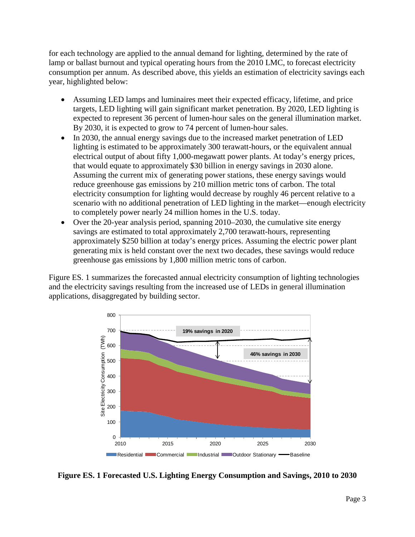for each technology are applied to the annual demand for lighting, determined by the rate of lamp or ballast burnout and typical operating hours from the 2010 LMC, to forecast electricity consumption per annum. As described above, this yields an estimation of electricity savings each year, highlighted below:

- Assuming LED lamps and luminaires meet their expected efficacy, lifetime, and price targets, LED lighting will gain significant market penetration. By 2020, LED lighting is expected to represent 36 percent of lumen-hour sales on the general illumination market. By 2030, it is expected to grow to 74 percent of lumen-hour sales.
- In 2030, the annual energy savings due to the increased market penetration of LED lighting is estimated to be approximately 300 terawatt-hours, or the equivalent annual electrical output of about fifty 1,000-megawatt power plants. At today's energy prices, that would equate to approximately \$30 billion in energy savings in 2030 alone. Assuming the current mix of generating power stations, these energy savings would reduce greenhouse gas emissions by 210 million metric tons of carbon. The total electricity consumption for lighting would decrease by roughly 46 percent relative to a scenario with no additional penetration of LED lighting in the market—enough electricity to completely power nearly 24 million homes in the U.S. today.
- Over the 20-year analysis period, spanning 2010–2030, the cumulative site energy savings are estimated to total approximately 2,700 terawatt-hours, representing approximately \$250 billion at today's energy prices. Assuming the electric power plant generating mix is held constant over the next two decades, these savings would reduce greenhouse gas emissions by 1,800 million metric tons of carbon.

[Figure ES. 1](#page-8-0) summarizes the forecasted annual electricity consumption of lighting technologies and the electricity savings resulting from the increased use of LEDs in general illumination applications, disaggregated by building sector.



<span id="page-8-0"></span>**Figure ES. 1 Forecasted U.S. Lighting Energy Consumption and Savings, 2010 to 2030**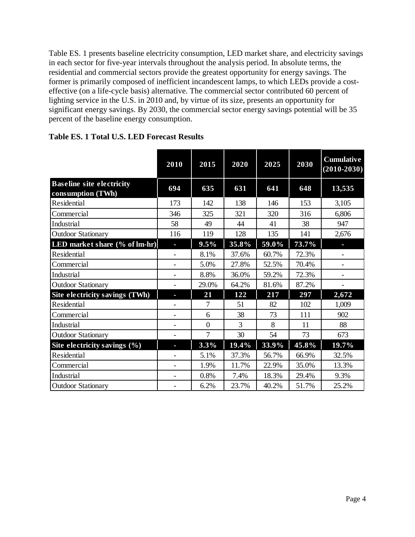[Table ES. 1](#page-9-0) presents baseline electricity consumption, LED market share, and electricity savings in each sector for five-year intervals throughout the analysis period. In absolute terms, the residential and commercial sectors provide the greatest opportunity for energy savings. The former is primarily composed of inefficient incandescent lamps, to which LEDs provide a costeffective (on a life-cycle basis) alternative. The commercial sector contributed 60 percent of lighting service in the U.S. in 2010 and, by virtue of its size, presents an opportunity for significant energy savings. By 2030, the commercial sector energy savings potential will be 35 percent of the baseline energy consumption.

|                                                       | 2010                         | 2015           | 2020  | 2025  | 2030  | <b>Cumulative</b><br>$(2010 - 2030)$ |
|-------------------------------------------------------|------------------------------|----------------|-------|-------|-------|--------------------------------------|
| <b>Baseline site electricity</b><br>consumption (TWh) | 694                          | 635            | 631   | 641   | 648   | 13,535                               |
| Residential                                           | 173                          | 142            | 138   | 146   | 153   | 3,105                                |
| Commercial                                            | 346                          | 325            | 321   | 320   | 316   | 6,806                                |
| Industrial                                            | 58                           | 49             | 44    | 41    | 38    | 947                                  |
| <b>Outdoor Stationary</b>                             | 116                          | 119            | 128   | 135   | 141   | 2,676                                |
| LED market share (% of lm-hr)                         | н                            | 9.5%           | 35.8% | 59.0% | 73.7% | н                                    |
| Residential                                           |                              | 8.1%           | 37.6% | 60.7% | 72.3% | $\overline{\phantom{0}}$             |
| Commercial                                            |                              | 5.0%           | 27.8% | 52.5% | 70.4% |                                      |
| Industrial                                            |                              | 8.8%           | 36.0% | 59.2% | 72.3% |                                      |
| <b>Outdoor Stationary</b>                             |                              | 29.0%          | 64.2% | 81.6% | 87.2% |                                      |
| Site electricity savings (TWh)                        | T                            | 21             | 122   | 217   | 297   | 2,672                                |
| <b>Residential</b>                                    |                              | 7              | 51    | 82    | 102   | 1,009                                |
| Commercial                                            |                              | 6              | 38    | 73    | 111   | 902                                  |
| Industrial                                            | $\qquad \qquad \blacksquare$ | $\overline{0}$ | 3     | 8     | 11    | 88                                   |
| <b>Outdoor Stationary</b>                             |                              | 7              | 30    | 54    | 73    | 673                                  |
| Site electricity savings $(\% )$                      | T.                           | 3.3%           | 19.4% | 33.9% | 45.8% | 19.7%                                |
| Residential                                           |                              | 5.1%           | 37.3% | 56.7% | 66.9% | 32.5%                                |
| Commercial                                            |                              | 1.9%           | 11.7% | 22.9% | 35.0% | 13.3%                                |
| Industrial                                            |                              | 0.8%           | 7.4%  | 18.3% | 29.4% | 9.3%                                 |
| <b>Outdoor Stationary</b>                             |                              | 6.2%           | 23.7% | 40.2% | 51.7% | 25.2%                                |

<span id="page-9-0"></span>**Table ES. 1 Total U.S. LED Forecast Results**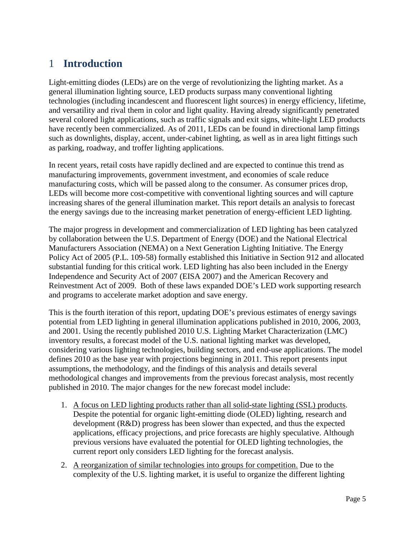### <span id="page-10-0"></span>1 **Introduction**

Light-emitting diodes (LEDs) are on the verge of revolutionizing the lighting market. As a general illumination lighting source, LED products surpass many conventional lighting technologies (including incandescent and fluorescent light sources) in energy efficiency, lifetime, and versatility and rival them in color and light quality. Having already significantly penetrated several colored light applications, such as traffic signals and exit signs, white-light LED products have recently been commercialized. As of 2011, LEDs can be found in directional lamp fittings such as downlights, display, accent, under-cabinet lighting, as well as in area light fittings such as parking, roadway, and troffer lighting applications.

In recent years, retail costs have rapidly declined and are expected to continue this trend as manufacturing improvements, government investment, and economies of scale reduce manufacturing costs, which will be passed along to the consumer. As consumer prices drop, LEDs will become more cost-competitive with conventional lighting sources and will capture increasing shares of the general illumination market. This report details an analysis to forecast the energy savings due to the increasing market penetration of energy-efficient LED lighting.

The major progress in development and commercialization of LED lighting has been catalyzed by collaboration between the U.S. Department of Energy (DOE) and the National Electrical Manufacturers Association (NEMA) on a Next Generation Lighting Initiative. The Energy Policy Act of 2005 (P.L. 109-58) formally established this Initiative in Section 912 and allocated substantial funding for this critical work. LED lighting has also been included in the Energy Independence and Security Act of 2007 (EISA 2007) and the American Recovery and Reinvestment Act of 2009. Both of these laws expanded DOE's LED work supporting research and programs to accelerate market adoption and save energy.

This is the fourth iteration of this report, updating DOE's previous estimates of energy savings potential from LED lighting in general illumination applications published in 2010, 2006, 2003, and 2001. Using the recently published 2010 U.S. Lighting Market Characterization (LMC) inventory results, a forecast model of the U.S. national lighting market was developed, considering various lighting technologies, building sectors, and end-use applications. The model defines 2010 as the base year with projections beginning in 2011. This report presents input assumptions, the methodology, and the findings of this analysis and details several methodological changes and improvements from the previous forecast analysis, most recently published in 2010. The major changes for the new forecast model include:

- 1. A focus on LED lighting products rather than all solid-state lighting (SSL) products. Despite the potential for organic light-emitting diode (OLED) lighting, research and development (R&D) progress has been slower than expected, and thus the expected applications, efficacy projections, and price forecasts are highly speculative. Although previous versions have evaluated the potential for OLED lighting technologies, the current report only considers LED lighting for the forecast analysis.
- 2. A reorganization of similar technologies into groups for competition. Due to the complexity of the U.S. lighting market, it is useful to organize the different lighting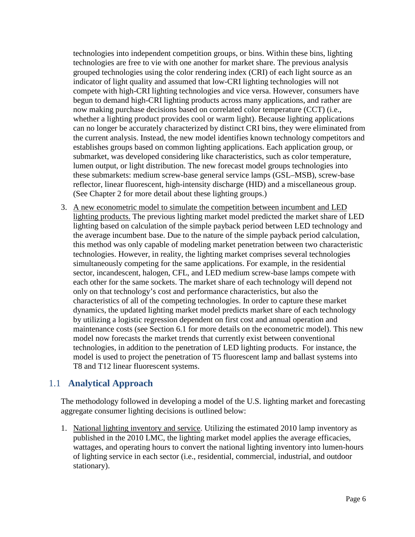technologies into independent competition groups, or bins. Within these bins, lighting technologies are free to vie with one another for market share. The previous analysis grouped technologies using the color rendering index (CRI) of each light source as an indicator of light quality and assumed that low-CRI lighting technologies will not compete with high-CRI lighting technologies and vice versa. However, consumers have begun to demand high-CRI lighting products across many applications, and rather are now making purchase decisions based on correlated color temperature (CCT) (i.e., whether a lighting product provides cool or warm light). Because lighting applications can no longer be accurately characterized by distinct CRI bins, they were eliminated from the current analysis. Instead, the new model identifies known technology competitors and establishes groups based on common lighting applications. Each application group, or submarket, was developed considering like characteristics, such as color temperature, lumen output, or light distribution. The new forecast model groups technologies into these submarkets: medium screw-base general service lamps (GSL–MSB), screw-base reflector, linear fluorescent, high-intensity discharge (HID) and a miscellaneous group. (See Chapter [2](#page-16-0) for more detail about these lighting groups.)

3. A new econometric model to simulate the competition between incumbent and LED lighting products. The previous lighting market model predicted the market share of LED maintenancecosts (see Section 6.1 for more details on the econometric model). This new lighting based on calculation of the simple payback period between LED technology and the average incumbent base. Due to the nature of the simple payback period calculation, this method was only capable of modeling market penetration between two characteristic technologies. However, in reality, the lighting market comprises several technologies simultaneously competing for the same applications. For example, in the residential sector, incandescent, halogen, CFL, and LED medium screw-base lamps compete with each other for the same sockets. The market share of each technology will depend not only on that technology's cost and performance characteristics, but also the characteristics of all of the competing technologies. In order to capture these market dynamics, the updated lighting market model predicts market share of each technology by utilizing a logistic regression dependent on first cost and annual operation and model now forecasts the market trends that currently exist between conventional technologies, in addition to the penetration of LED lighting products. For instance, the model is used to project the penetration of T5 fluorescent lamp and ballast systems into T8 and T12 linear fluorescent systems.

### <span id="page-11-0"></span>1.1 **Analytical Approach**

The methodology followed in developing a model of the U.S. lighting market and forecasting aggregate consumer lighting decisions is outlined below:

1. National lighting inventory and service. Utilizing the estimated 2010 lamp inventory as published in the 2010 LMC, the lighting market model applies the average efficacies, wattages, and operating hours to convert the national lighting inventory into lumen-hours of lighting service in each sector (i.e., residential, commercial, industrial, and outdoor stationary).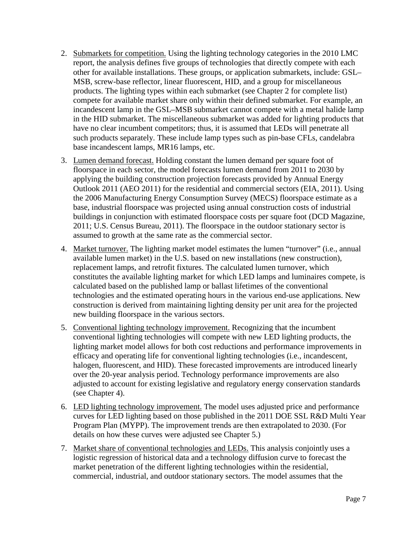- 2. Submarkets for competition. Using the lighting technology categories in the 2010 LMC products. The lighting types within each submarket (see Chapter [2](#page-16-0) for complete list) report, the analysis defines five groups of technologies that directly compete with each other for available installations. These groups, or application submarkets, include: GSL– MSB, screw-base reflector, linear fluorescent, HID, and a group for miscellaneous compete for available market share only within their defined submarket. For example, an incandescent lamp in the GSL–MSB submarket cannot compete with a metal halide lamp in the HID submarket. The miscellaneous submarket was added for lighting products that have no clear incumbent competitors; thus, it is assumed that LEDs will penetrate all such products separately. These include lamp types such as pin-base CFLs, candelabra base incandescent lamps, MR16 lamps, etc.
- 3. Lumen demand forecast. Holding constant the lumen demand per square foot of floorspace in each sector, the model forecasts lumen demand from 2011 to 2030 by applying the building construction projection forecasts provided by Annual Energy Outlook 2011 (AEO 2011) for the residential and commercial sectors (EIA, 2011). Using the 2006 Manufacturing Energy Consumption Survey (MECS) floorspace estimate as a base, industrial floorspace was projected using annual construction costs of industrial buildings in conjunction with estimated floorspace costs per square foot (DCD Magazine, 2011; U.S. Census Bureau, 2011). The floorspace in the outdoor stationary sector is assumed to growth at the same rate as the commercial sector.
- 4. Market turnover. The lighting market model estimates the lumen "turnover" (i.e., annual available lumen market) in the U.S. based on new installations (new construction), replacement lamps, and retrofit fixtures. The calculated lumen turnover, which constitutes the available lighting market for which LED lamps and luminaires compete, is calculated based on the published lamp or ballast lifetimes of the conventional technologies and the estimated operating hours in the various end-use applications. New construction is derived from maintaining lighting density per unit area for the projected new building floorspace in the various sectors.
- 5. Conventional lighting technology improvement. Recognizing that the incumbent conventional lighting technologies will compete with new LED lighting products, the lighting market model allows for both cost reductions and performance improvements in efficacy and operating life for conventional lighting technologies (i.e., incandescent, halogen, fluorescent, and HID). These forecasted improvements are introduced linearly over the 20-year analysis period. Technology performance improvements are also adjusted to account for existing legislative and regulatory energy conservation standards (see Chapter 4).
- 6. LED lighting technology improvement. The model uses adjusted price and performance details on how these curves were adjusted see Chapter 5.) curves for LED lighting based on those published in the 2011 DOE SSL R&D Multi Year Program Plan (MYPP). The improvement trends are then extrapolated to 2030. (For
- 7. Market share of conventional technologies and LEDs. This analysis conjointly uses a logistic regression of historical data and a technology diffusion curve to forecast the market penetration of the different lighting technologies within the residential, commercial, industrial, and outdoor stationary sectors. The model assumes that the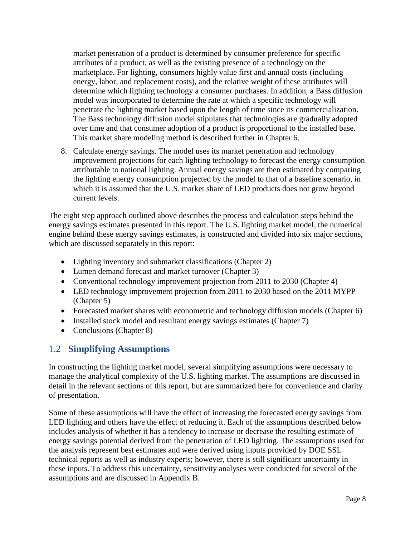market penetration of a product is determined by consumer preference for specific attributes of a product, as well as the existing presence of a technology on the marketplace. For lighting, consumers highly value first and annual costs (including energy, labor, and replacement costs), and the relative weight of these attributes will determine which lighting technology a consumer purchases. In addition, a Bass diffusion model was incorporated to determine the rate at which a specific technology will penetrate the lighting market based upon the length of time since its commercialization. The Bass technology diffusion model stipulates that technologies are gradually adopted over time and that consumer adoption of a product is proportional to the installed base. This market share modeling method is described further in Chapter [6.](#page-37-0)

8. Calculate energy savings. The model uses its market penetration and technology improvement projections for each lighting technology to forecast the energy consumption attributable to national lighting. Annual energy savings are then estimated by comparing the lighting energy consumption projected by the model to that of a baseline scenario, in which it is assumed that the U.S. market share of LED products does not grow beyond current levels.

The eight step approach outlined above describes the process and calculation steps behind the energy savings estimates presented in this report. The U.S. lighting market model, the numerical engine behind these energy savings estimates, is constructed and divided into six major sections, which are discussed separately in this report:

- Lighting inventory and submarket classifications (Chapter [2\)](#page-16-0)
- Lumen demand forecast and market turnover (Chapter [3\)](#page-20-0)
- Conventional technology improvement projection from 2011 to 2030 (Chapter [4\)](#page-23-0)
- LED technology improvement projection from 2011 to 2030 based on the 2011 MYPP (Chapter [5\)](#page-31-0)
- Forecasted market shares with econometric and technology diffusion models (Chapter [6\)](#page-37-0)
- Installed stock model and resultant energy savings estimates (Chapter [7\)](#page-42-0)
- Conclusions (Chapter [8\)](#page-66-0)

### <span id="page-13-0"></span>1.2 **Simplifying Assumptions**

In constructing the lighting market model, several simplifying assumptions were necessary to manage the analytical complexity of the U.S. lighting market. The assumptions are discussed in detail in the relevant sections of this report, but are summarized here for convenience and clarity of presentation.

Some of these assumptions will have the effect of increasing the forecasted energy savings from LED lighting and others have the effect of reducing it. Each of the assumptions described below includes analysis of whether it has a tendency to increase or decrease the resulting estimate of energy savings potential derived from the penetration of LED lighting. The assumptions used for the analysis represent best estimates and were derived using inputs provided by DOE SSL technical reports as well as industry experts; however, there is still significant uncertainty in these inputs. To address this uncertainty, sensitivity analyses were conducted for several of the assumptions and are discussed in [Appendix B.](#page-70-0)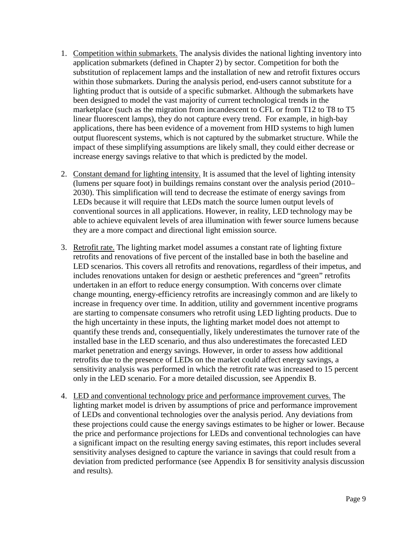- 1. Competition within submarkets. The analysis divides the national lighting inventory into application submarkets (defined in Chapter 2) by sector. Competition for both the substitution of replacement lamps and the installation of new and retrofit fixtures occurs within those submarkets. During the analysis period, end-users cannot substitute for a lighting product that is outside of a specific submarket. Although the submarkets have been designed to model the vast majority of current technological trends in the marketplace (such as the migration from incandescent to CFL or from T12 to T8 to T5 linear fluorescent lamps), they do not capture every trend. For example, in high-bay applications, there has been evidence of a movement from HID systems to high lumen output fluorescent systems, which is not captured by the submarket structure. While the impact of these simplifying assumptions are likely small, they could either decrease or increase energy savings relative to that which is predicted by the model.
- 2. Constant demand for lighting intensity. It is assumed that the level of lighting intensity (lumens per square foot) in buildings remains constant over the analysis period (2010– 2030). This simplification will tend to decrease the estimate of energy savings from LEDs because it will require that LEDs match the source lumen output levels of conventional sources in all applications. However, in reality, LED technology may be able to achieve equivalent levels of area illumination with fewer source lumens because they are a more compact and directional light emission source.
- 3. Retrofit rate. The lighting market model assumes a constant rate of lighting fixture only in the LED scenario. For a more detailed discussion, see Appendix B. retrofits and renovations of five percent of the installed base in both the baseline and LED scenarios. This covers all retrofits and renovations, regardless of their impetus, and includes renovations untaken for design or aesthetic preferences and "green" retrofits undertaken in an effort to reduce energy consumption. With concerns over climate change mounting, energy-efficiency retrofits are increasingly common and are likely to increase in frequency over time. In addition, utility and government incentive programs are starting to compensate consumers who retrofit using LED lighting products. Due to the high uncertainty in these inputs, the lighting market model does not attempt to quantify these trends and, consequentially, likely underestimates the turnover rate of the installed base in the LED scenario, and thus also underestimates the forecasted LED market penetration and energy savings. However, in order to assess how additional retrofits due to the presence of LEDs on the market could affect energy savings, a sensitivity analysis was performed in which the retrofit rate was increased to 15 percent
- 4. LED and conventional technology price and performance improvement curves. The lighting market model is driven by assumptions of price and performance improvement of LEDs and conventional technologies over the analysis period. Any deviations from these projections could cause the energy savings estimates to be higher or lower. Because the price and performance projections for LEDs and conventional technologies can have a significant impact on the resulting energy saving estimates, this report includes several sensitivity analyses designed to capture the variance in savings that could result from a deviation from predicted performance (see Appendix B for sensitivity analysis discussion and results).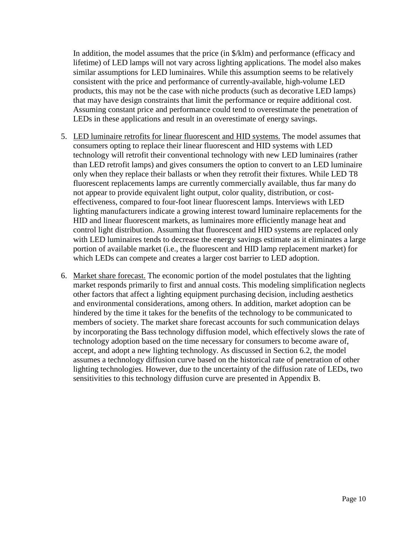In addition, the model assumes that the price (in \$/klm) and performance (efficacy and lifetime) of LED lamps will not vary across lighting applications. The model also makes similar assumptions for LED luminaires. While this assumption seems to be relatively consistent with the price and performance of currently-available, high-volume LED products, this may not be the case with niche products (such as decorative LED lamps) that may have design constraints that limit the performance or require additional cost. Assuming constant price and performance could tend to overestimate the penetration of LEDs in these applications and result in an overestimate of energy savings.

- 5. LED luminaire retrofits for linear fluorescent and HID systems. The model assumes that consumers opting to replace their linear fluorescent and HID systems with LED technology will retrofit their conventional technology with new LED luminaires (rather than LED retrofit lamps) and gives consumers the option to convert to an LED luminaire only when they replace their ballasts or when they retrofit their fixtures. While LED T8 fluorescent replacements lamps are currently commercially available, thus far many do not appear to provide equivalent light output, color quality, distribution, or costeffectiveness, compared to four-foot linear fluorescent lamps. Interviews with LED lighting manufacturers indicate a growing interest toward luminaire replacements for the HID and linear fluorescent markets, as luminaires more efficiently manage heat and control light distribution. Assuming that fluorescent and HID systems are replaced only with LED luminaires tends to decrease the energy savings estimate as it eliminates a large portion of available market (i.e., the fluorescent and HID lamp replacement market) for which LEDs can compete and creates a larger cost barrier to LED adoption.
- 6. Market share forecast. The economic portion of the model postulates that the lighting accept, and adopt a new lighting technology. As discussed in Section 6.2, the model market responds primarily to first and annual costs. This modeling simplification neglects other factors that affect a lighting equipment purchasing decision, including aesthetics and environmental considerations, among others. In addition, market adoption can be hindered by the time it takes for the benefits of the technology to be communicated to members of society. The market share forecast accounts for such communication delays by incorporating the Bass technology diffusion model, which effectively slows the rate of technology adoption based on the time necessary for consumers to become aware of, assumes a technology diffusion curve based on the historical rate of penetration of other lighting technologies. However, due to the uncertainty of the diffusion rate of LEDs, two sensitivities to this technology diffusion curve are presented in Appendix B.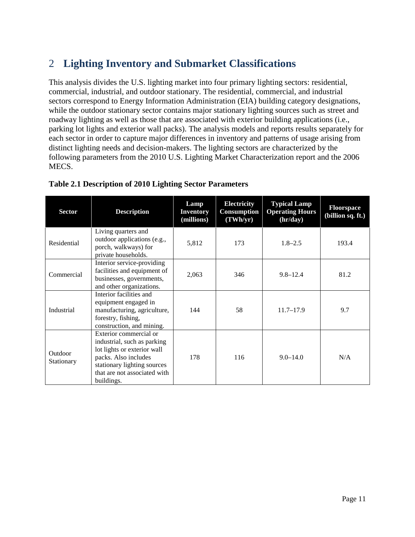# <span id="page-16-0"></span>2 **Lighting Inventory and Submarket Classifications**

This analysis divides the U.S. lighting market into four primary lighting sectors: residential, commercial, industrial, and outdoor stationary. The residential, commercial, and industrial sectors correspond to Energy Information Administration (EIA) building category designations, while the outdoor stationary sector contains major stationary lighting sources such as street and roadway lighting as well as those that are associated with exterior building applications (i.e., parking lot lights and exterior wall packs). The analysis models and reports results separately for each sector in order to capture major differences in inventory and patterns of usage arising from distinct lighting needs and decision-makers. The lighting sectors are characterized by the following parameters from the 2010 U.S. Lighting Market Characterization report and the 2006 MECS.

| <b>Sector</b>         | <b>Description</b>                                                                                                                                                                        | Lamp<br><b>Inventory</b><br>(millions) | <b>Electricity</b><br>Consumption<br>(TWh/yr) | <b>Typical Lamp</b><br><b>Operating Hours</b><br>(hr/day) | Floorspace<br>(billion sq. ft.) |
|-----------------------|-------------------------------------------------------------------------------------------------------------------------------------------------------------------------------------------|----------------------------------------|-----------------------------------------------|-----------------------------------------------------------|---------------------------------|
| Residential           | Living quarters and<br>outdoor applications (e.g.,<br>porch, walkways) for<br>private households.                                                                                         | 5,812                                  | 173                                           | $1.8 - 2.5$                                               | 193.4                           |
| Commercial            | Interior service-providing<br>facilities and equipment of<br>businesses, governments,<br>and other organizations.                                                                         | 2,063                                  | 346                                           | $9.8 - 12.4$                                              | 81.2                            |
| Industrial            | Interior facilities and<br>equipment engaged in<br>manufacturing, agriculture,<br>forestry, fishing,<br>construction, and mining.                                                         | 144                                    | 58                                            | $11.7 - 17.9$                                             | 9.7                             |
| Outdoor<br>Stationary | Exterior commercial or<br>industrial, such as parking<br>lot lights or exterior wall<br>packs. Also includes<br>stationary lighting sources<br>that are not associated with<br>buildings. | 178                                    | 116                                           | $9.0 - 14.0$                                              | N/A                             |

#### <span id="page-16-1"></span>**Table 2.1 Description of 2010 Lighting Sector Parameters**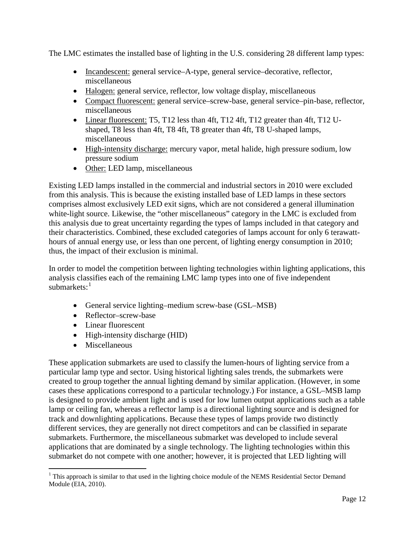The LMC estimates the installed base of lighting in the U.S. considering 28 different lamp types:

- Incandescent: general service-A-type, general service-decorative, reflector, miscellaneous
- Halogen: general service, reflector, low voltage display, miscellaneous
- Compact fluorescent: general service-screw-base, general service-pin-base, reflector, miscellaneous
- Linear fluorescent: T5, T12 less than 4ft, T12 4ft, T12 greater than 4ft, T12 Ushaped, T8 less than 4ft, T8 4ft, T8 greater than 4ft, T8 U-shaped lamps, miscellaneous
- High-intensity discharge: mercury vapor, metal halide, high pressure sodium, low pressure sodium
- Other: LED lamp, miscellaneous

Existing LED lamps installed in the commercial and industrial sectors in 2010 were excluded from this analysis. This is because the existing installed base of LED lamps in these sectors comprises almost exclusively LED exit signs, which are not considered a general illumination white-light source. Likewise, the "other miscellaneous" category in the LMC is excluded from this analysis due to great uncertainty regarding the types of lamps included in that category and their characteristics. Combined, these excluded categories of lamps account for only 6 terawatthours of annual energy use, or less than one percent, of lighting energy consumption in 2010; thus, the impact of their exclusion is minimal.

In order to model the competition between lighting technologies within lighting applications, this analysis classifies each of the remaining LMC lamp types into one of five independent submarkets:<sup>[1](#page-17-0)</sup>

- General service lighting–medium screw-base (GSL–MSB)
- Reflector–screw-base
- Linear fluorescent
- High-intensity discharge (HID)
- Miscellaneous

These application submarkets are used to classify the lumen-hours of lighting service from a particular lamp type and sector. Using historical lighting sales trends, the submarkets were created to group together the annual lighting demand by similar application. (However, in some cases these applications correspond to a particular technology.) For instance, a GSL–MSB lamp is designed to provide ambient light and is used for low lumen output applications such as a table lamp or ceiling fan, whereas a reflector lamp is a directional lighting source and is designed for track and downlighting applications. Because these types of lamps provide two distinctly different services, they are generally not direct competitors and can be classified in separate submarkets. Furthermore, the miscellaneous submarket was developed to include several applications that are dominated by a single technology. The lighting technologies within this submarket do not compete with one another; however, it is projected that LED lighting will

<span id="page-17-0"></span><sup>&</sup>lt;sup>1</sup> This approach is similar to that used in the lighting choice module of the NEMS Residential Sector Demand Module (EIA, 2010).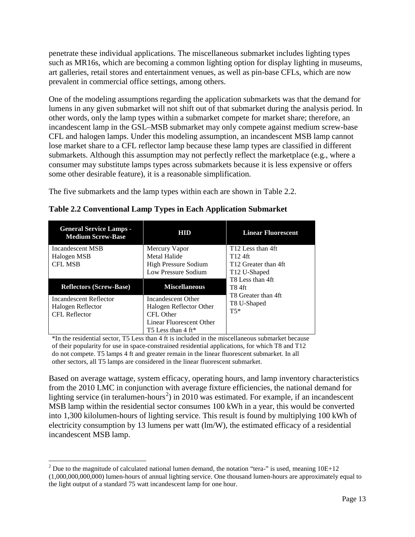penetrate these individual applications. The miscellaneous submarket includes lighting types such as MR16s, which are becoming a common lighting option for display lighting in museums, art galleries, retail stores and entertainment venues, as well as pin-base CFLs, which are now prevalent in commercial office settings, among others.

One of the modeling assumptions regarding the application submarkets was that the demand for lumens in any given submarket will not shift out of that submarket during the analysis period. In other words, only the lamp types within a submarket compete for market share; therefore, an incandescent lamp in the GSL–MSB submarket may only compete against medium screw-base CFL and halogen lamps. Under this modeling assumption, an incandescent MSB lamp cannot lose market share to a CFL reflector lamp because these lamp types are classified in different submarkets. Although this assumption may not perfectly reflect the marketplace (e.g., where a consumer may substitute lamps types across submarkets because it is less expensive or offers some other desirable feature), it is a reasonable simplification.

The five submarkets and the lamp types within each are shown in [Table 2.2.](#page-18-0)

| <b>General Service Lamps -</b><br><b>Medium Screw-Base</b> | HIID                        | <b>Linear Fluorescent</b>                         |
|------------------------------------------------------------|-----------------------------|---------------------------------------------------|
| Incandescent MSB                                           | Mercury Vapor               | T <sub>12</sub> Less than 4ft                     |
| Halogen MSB                                                | Metal Halide                | T <sub>12</sub> 4ft                               |
| <b>CFL MSB</b>                                             | <b>High Pressure Sodium</b> | T <sub>12</sub> Greater than 4ft                  |
|                                                            | Low Pressure Sodium         | T <sub>12</sub> U-Shaped                          |
| <b>Reflectors (Screw-Base)</b>                             | <b>Miscellaneous</b>        | T8 Less than 4ft<br>T8 4ft<br>T8 Greater than 4ft |
| Incandescent Reflector                                     | Incandescent Other          | T8 U-Shaped                                       |
| Halogen Reflector                                          | Halogen Reflector Other     |                                                   |
|                                                            |                             |                                                   |
| <b>CFL Reflector</b>                                       | CFL Other                   | $T5*$                                             |
|                                                            | Linear Fluorescent Other    |                                                   |

<span id="page-18-0"></span>**Table 2.2 Conventional Lamp Types in Each Application Submarket**

\*In the residential sector, T5 Less than 4 ft is included in the miscellaneous submarket because of their popularity for use in space-constrained residential applications, for which T8 and T12 do not compete. T5 lamps 4 ft and greater remain in the linear fluorescent submarket. In all other sectors, all T5 lamps are considered in the linear fluorescent submarket.

Based on average wattage, system efficacy, operating hours, and lamp inventory characteristics from the 2010 LMC in conjunction with average fixture efficiencies, the national demand for lighting service (in teralumen-hours<sup>[2](#page-18-1)</sup>) in 2010 was estimated. For example, if an incandescent MSB lamp within the residential sector consumes 100 kWh in a year, this would be converted into 1,300 kilolumen-hours of lighting service. This result is found by multiplying 100 kWh of electricity consumption by 13 lumens per watt (lm/W), the estimated efficacy of a residential incandescent MSB lamp.

<span id="page-18-1"></span><sup>&</sup>lt;sup>2</sup> Due to the magnitude of calculated national lumen demand, the notation "tera-" is used, meaning  $10E+12$ (1,000,000,000,000) lumen-hours of annual lighting service. One thousand lumen-hours are approximately equal to the light output of a standard 75 watt incandescent lamp for one hour.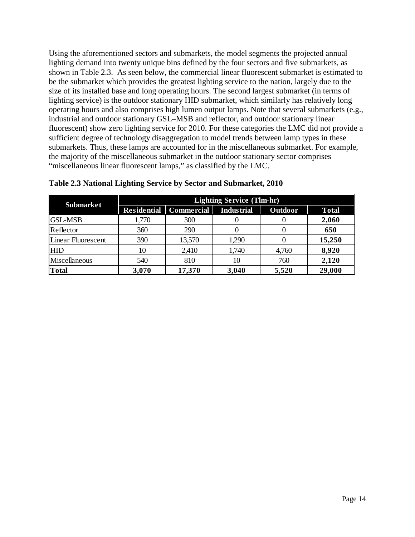Using the aforementioned sectors and submarkets, the model segments the projected annual lighting demand into twenty unique bins defined by the four sectors and five submarkets, as shown in [Table 2.3.](#page-19-0) As seen below, the commercial linear fluorescent submarket is estimated to be the submarket which provides the greatest lighting service to the nation, largely due to the size of its installed base and long operating hours. The second largest submarket (in terms of lighting service) is the outdoor stationary HID submarket, which similarly has relatively long operating hours and also comprises high lumen output lamps. Note that several submarkets (e.g., industrial and outdoor stationary GSL–MSB and reflector, and outdoor stationary linear fluorescent) show zero lighting service for 2010. For these categories the LMC did not provide a sufficient degree of technology disaggregation to model trends between lamp types in these submarkets. Thus, these lamps are accounted for in the miscellaneous submarket. For example, the majority of the miscellaneous submarket in the outdoor stationary sector comprises "miscellaneous linear fluorescent lamps," as classified by the LMC.

| <b>Submarket</b>   | <b>Lighting Service (Tlm-hr)</b> |            |                   |                |              |  |  |
|--------------------|----------------------------------|------------|-------------------|----------------|--------------|--|--|
|                    | <b>Residential</b>               | Commercial | <b>Industrial</b> | <b>Outdoor</b> | <b>Total</b> |  |  |
| <b>GSL-MSB</b>     | 1,770                            | 300        |                   |                | 2,060        |  |  |
| Reflector          | 360                              | 290        |                   |                | 650          |  |  |
| Linear Fluorescent | 390                              | 13,570     | 1,290             |                | 15,250       |  |  |
| <b>HID</b>         | 10                               | 2,410      | 1,740             | 4,760          | 8,920        |  |  |
| Miscellaneous      | 540                              | 810        | 10                | 760            | 2,120        |  |  |
| <b>Total</b>       | 3,070                            | 17,370     | 3,040             | 5,520          | 29,000       |  |  |

#### <span id="page-19-0"></span>**Table 2.3 National Lighting Service by Sector and Submarket, 2010**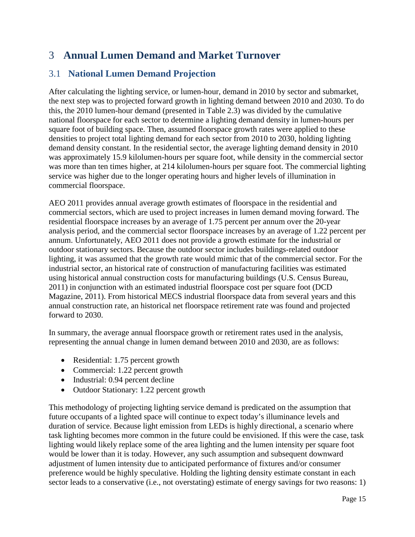# <span id="page-20-0"></span>3 **Annual Lumen Demand and Market Turnover**

### <span id="page-20-1"></span>3.1 **National Lumen Demand Projection**

After calculating the lighting service, or lumen-hour, demand in 2010 by sector and submarket, the next step was to projected forward growth in lighting demand between 2010 and 2030. To do this, the 2010 lumen-hour demand (presented in [Table 2.3\)](#page-19-0) was divided by the cumulative national floorspace for each sector to determine a lighting demand density in lumen-hours per square foot of building space. Then, assumed floorspace growth rates were applied to these densities to project total lighting demand for each sector from 2010 to 2030, holding lighting demand density constant. In the residential sector, the average lighting demand density in 2010 was approximately 15.9 kilolumen-hours per square foot, while density in the commercial sector was more than ten times higher, at 214 kilolumen-hours per square foot. The commercial lighting service was higher due to the longer operating hours and higher levels of illumination in commercial floorspace.

AEO 2011 provides annual average growth estimates of floorspace in the residential and commercial sectors, which are used to project increases in lumen demand moving forward. The residential floorspace increases by an average of 1.75 percent per annum over the 20-year analysis period, and the commercial sector floorspace increases by an average of 1.22 percent per annum. Unfortunately, AEO 2011 does not provide a growth estimate for the industrial or outdoor stationary sectors. Because the outdoor sector includes buildings-related outdoor lighting, it was assumed that the growth rate would mimic that of the commercial sector. For the industrial sector, an historical rate of construction of manufacturing facilities was estimated using historical annual construction costs for manufacturing buildings (U.S. Census Bureau, 2011) in conjunction with an estimated industrial floorspace cost per square foot (DCD Magazine, 2011). From historical MECS industrial floorspace data from several years and this annual construction rate, an historical net floorspace retirement rate was found and projected forward to 2030.

In summary, the average annual floorspace growth or retirement rates used in the analysis, representing the annual change in lumen demand between 2010 and 2030, are as follows:

- Residential: 1.75 percent growth
- Commercial: 1.22 percent growth
- Industrial: 0.94 percent decline
- Outdoor Stationary: 1.22 percent growth

This methodology of projecting lighting service demand is predicated on the assumption that future occupants of a lighted space will continue to expect today's illuminance levels and duration of service. Because light emission from LEDs is highly directional, a scenario where task lighting becomes more common in the future could be envisioned. If this were the case, task lighting would likely replace some of the area lighting and the lumen intensity per square foot would be lower than it is today. However, any such assumption and subsequent downward adjustment of lumen intensity due to anticipated performance of fixtures and/or consumer preference would be highly speculative. Holding the lighting density estimate constant in each sector leads to a conservative (i.e., not overstating) estimate of energy savings for two reasons: 1)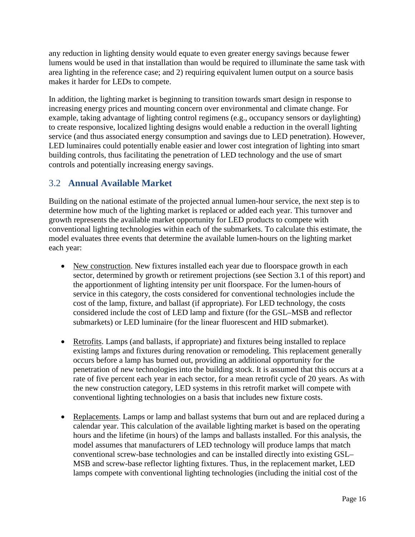any reduction in lighting density would equate to even greater energy savings because fewer lumens would be used in that installation than would be required to illuminate the same task with area lighting in the reference case; and 2) requiring equivalent lumen output on a source basis makes it harder for LEDs to compete.

In addition, the lighting market is beginning to transition towards smart design in response to increasing energy prices and mounting concern over environmental and climate change. For example, taking advantage of lighting control regimens (e.g., occupancy sensors or daylighting) to create responsive, localized lighting designs would enable a reduction in the overall lighting service (and thus associated energy consumption and savings due to LED penetration). However, LED luminaires could potentially enable easier and lower cost integration of lighting into smart building controls, thus facilitating the penetration of LED technology and the use of smart controls and potentially increasing energy savings.

### <span id="page-21-0"></span>3.2 **Annual Available Market**

Building on the national estimate of the projected annual lumen-hour service, the next step is to determine how much of the lighting market is replaced or added each year. This turnover and growth represents the available market opportunity for LED products to compete with conventional lighting technologies within each of the submarkets. To calculate this estimate, the model evaluates three events that determine the available lumen-hours on the lighting market each year:

- New construction. New fixtures installed each year due to floorspace growth in each sector,determined by growth or retirement projections (see Section 3.1 of this report) and the apportionment of lighting intensity per unit floorspace. For the lumen-hours of service in this category, the costs considered for conventional technologies include the cost of the lamp, fixture, and ballast (if appropriate). For LED technology, the costs considered include the cost of LED lamp and fixture (for the GSL–MSB and reflector submarkets) or LED luminaire (for the linear fluorescent and HID submarket).
- Retrofits. Lamps (and ballasts, if appropriate) and fixtures being installed to replace existing lamps and fixtures during renovation or remodeling. This replacement generally occurs before a lamp has burned out, providing an additional opportunity for the penetration of new technologies into the building stock. It is assumed that this occurs at a rate of five percent each year in each sector, for a mean retrofit cycle of 20 years. As with the new construction category, LED systems in this retrofit market will compete with conventional lighting technologies on a basis that includes new fixture costs.
- Replacements. Lamps or lamp and ballast systems that burn out and are replaced during a calendar year. This calculation of the available lighting market is based on the operating hours and the lifetime (in hours) of the lamps and ballasts installed. For this analysis, the model assumes that manufacturers of LED technology will produce lamps that match conventional screw-base technologies and can be installed directly into existing GSL– MSB and screw-base reflector lighting fixtures. Thus, in the replacement market, LED lamps compete with conventional lighting technologies (including the initial cost of the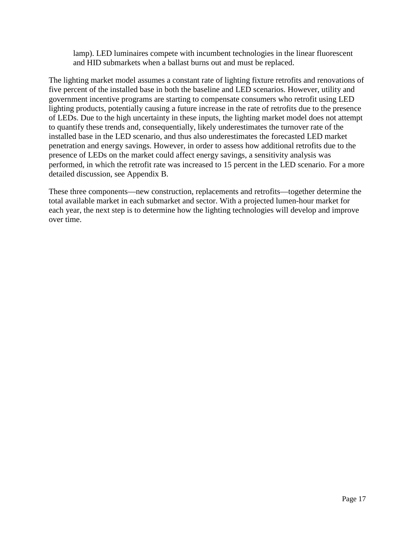lamp). LED luminaires compete with incumbent technologies in the linear fluorescent and HID submarkets when a ballast burns out and must be replaced.

The lighting market model assumes a constant rate of lighting fixture retrofits and renovations of five percent of the installed base in both the baseline and LED scenarios. However, utility and government incentive programs are starting to compensate consumers who retrofit using LED lighting products, potentially causing a future increase in the rate of retrofits due to the presence of LEDs. Due to the high uncertainty in these inputs, the lighting market model does not attempt to quantify these trends and, consequentially, likely underestimates the turnover rate of the installed base in the LED scenario, and thus also underestimates the forecasted LED market penetration and energy savings. However, in order to assess how additional retrofits due to the presence of LEDs on the market could affect energy savings, a sensitivity analysis was performed, in which the retrofit rate was increased to 15 percent in the LED scenario. For a more detailed discussion, see [Appendix B.](#page-70-0)

These three components—new construction, replacements and retrofits—together determine the total available market in each submarket and sector. With a projected lumen-hour market for each year, the next step is to determine how the lighting technologies will develop and improve over time.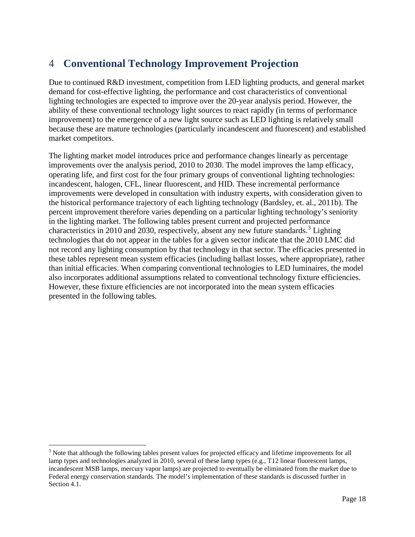# <span id="page-23-0"></span>4 **Conventional Technology Improvement Projection**

Due to continued R&D investment, competition from LED lighting products, and general market demand for cost-effective lighting, the performance and cost characteristics of conventional lighting technologies are expected to improve over the 20-year analysis period. However, the ability of these conventional technology light sources to react rapidly (in terms of performance improvement) to the emergence of a new light source such as LED lighting is relatively small because these are mature technologies (particularly incandescent and fluorescent) and established market competitors.

The lighting market model introduces price and performance changes linearly as percentage improvements over the analysis period, 2010 to 2030. The model improves the lamp efficacy, operating life, and first cost for the four primary groups of conventional lighting technologies: incandescent, halogen, CFL, linear fluorescent, and HID. These incremental performance improvements were developed in consultation with industry experts, with consideration given to the historical performance trajectory of each lighting technology (Bardsley, et. al., 2011b). The percent improvement therefore varies depending on a particular lighting technology's seniority in the lighting market. The following tables present current and projected performance characteristics in 2010 and 20[3](#page-23-1)0, respectively, absent any new future standards.<sup>3</sup> Lighting technologies that do not appear in the tables for a given sector indicate that the 2010 LMC did not record any lighting consumption by that technology in that sector. The efficacies presented in these tables represent mean system efficacies (including ballast losses, where appropriate), rather than initial efficacies. When comparing conventional technologies to LED luminaires, the model also incorporates additional assumptions related to conventional technology fixture efficiencies. However, these fixture efficiencies are not incorporated into the mean system efficacies presented in the following tables.

<span id="page-23-1"></span><sup>&</sup>lt;sup>3</sup> Note that although the following tables present values for projected efficacy and lifetime improvements for all lamp types and technologies analyzed in 2010, several of these lamp types (e.g., T12 linear fluorescent lamps, incandescent MSB lamps, mercury vapor lamps) are projected to eventually be eliminated from the market due to Federal energy conservation standards. The model's implementation of these standards is discussed further in Section [4.1.](#page-29-0)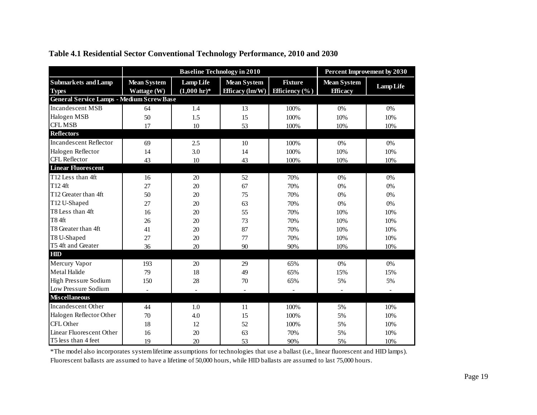<span id="page-24-0"></span>

|                                                  |                    | <b>Baseline Technology in 2010</b> | <b>Percent Improvement by 2030</b> |                           |                    |                  |
|--------------------------------------------------|--------------------|------------------------------------|------------------------------------|---------------------------|--------------------|------------------|
| <b>Submarkets and Lamp</b>                       | <b>Mean System</b> | <b>Lamp Life</b>                   | <b>Mean System</b>                 | <b>Fixture</b>            | <b>Mean System</b> | <b>Lamp Life</b> |
| <b>Types</b>                                     | Wattage (W)        | $(1,000 \text{ hr})^*$             | <b>Efficacy</b> (lm/W)             | <b>Efficiency</b> $(\% )$ | <b>Efficacy</b>    |                  |
| <b>General Service Lamps - Medium Screw Base</b> |                    |                                    |                                    |                           |                    |                  |
| <b>Incandescent MSB</b>                          | 64                 | 1.4                                | 13                                 | 100%                      | 0%                 | 0%               |
| Halogen MSB                                      | 50                 | 1.5                                | 15                                 | 100%                      | 10%                | 10%              |
| <b>CFL MSB</b>                                   | 17                 | 10                                 | 53                                 | 100%                      | 10%                | 10%              |
| <b>Reflectors</b>                                |                    |                                    |                                    |                           |                    |                  |
| <b>Incandescent Reflector</b>                    | 69                 | 2.5                                | 10                                 | 100%                      | 0%                 | 0%               |
| Halogen Reflector                                | 14                 | 3.0                                | 14                                 | 100%                      | 10%                | 10%              |
| <b>CFL Reflector</b>                             | 43                 | 10                                 | 43                                 | 100%                      | 10%                | 10%              |
| <b>Linear Fluorescent</b>                        |                    |                                    |                                    |                           |                    |                  |
| T <sub>12</sub> Less than 4ft                    | 16                 | 20                                 | 52                                 | 70%                       | 0%                 | 0%               |
| T124ft                                           | 27                 | 20                                 | 67                                 | 70%                       | 0%                 | 0%               |
| T12 Greater than 4ft                             | 50                 | 20                                 | 75                                 | 70%                       | 0%                 | 0%               |
| T12 U-Shaped                                     | 27                 | 20                                 | 63                                 | 70%                       | 0%                 | 0%               |
| T8 Less than 4ft                                 | 16                 | 20                                 | 55                                 | 70%                       | 10%                | 10%              |
| <b>T84ft</b>                                     | 26                 | 20                                 | 73                                 | 70%                       | 10%                | 10%              |
| T8 Greater than 4ft                              | 41                 | 20                                 | 87                                 | 70%                       | 10%                | 10%              |
| T8 U-Shaped                                      | 27                 | 20                                 | 77                                 | 70%                       | 10%                | 10%              |
| T5 4ft and Greater                               | 36                 | 20                                 | 90                                 | 90%                       | 10%                | 10%              |
| HIID                                             |                    |                                    |                                    |                           |                    |                  |
| Mercury Vapor                                    | 193                | 20                                 | 29                                 | 65%                       | 0%                 | 0%               |
| Metal Halide                                     | 79                 | 18                                 | 49                                 | 65%                       | 15%                | 15%              |
| <b>High Pressure Sodium</b>                      | 150                | 28                                 | 70                                 | 65%                       | 5%                 | 5%               |
| Low Pressure Sodium                              | ÷                  | $\blacksquare$                     | $\blacksquare$                     | $\overline{\phantom{a}}$  | ٠                  |                  |
| <b>Miscellaneous</b>                             |                    |                                    |                                    |                           |                    |                  |
| Incandescent Other                               | 44                 | 1.0                                | 11                                 | 100%                      | 5%                 | 10%              |
| Halogen Reflector Other                          | 70                 | 4.0                                | 15                                 | 100%                      | 5%                 | 10%              |
| CFL Other                                        | 18                 | 12                                 | 52                                 | 100%                      | 5%                 | 10%              |
| Linear Fluorescent Other                         | 16                 | 20                                 | 63                                 | 70%                       | 5%                 | 10%              |
| T5 less than 4 feet                              | 19                 | 20                                 | 53                                 | 90%                       | 5%                 | 10%              |

#### **Table 4.1 Residential Sector Conventional Technology Performance, 2010 and 2030**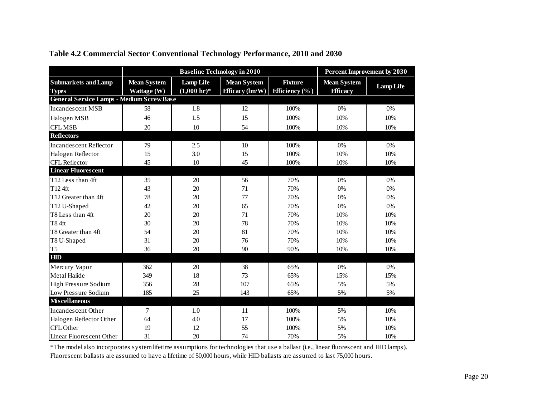<span id="page-25-0"></span>

|                                                  |                                   | <b>Baseline Technology in 2010</b>         | <b>Percent Improvement by 2030</b>                    |                                             |                                       |                  |
|--------------------------------------------------|-----------------------------------|--------------------------------------------|-------------------------------------------------------|---------------------------------------------|---------------------------------------|------------------|
| <b>Submarkets and Lamp</b><br><b>Types</b>       | <b>Mean System</b><br>Wattage (W) | <b>Lamp Life</b><br>$(1,000 \text{ hr})^*$ | <b>Mean System</b><br>Efficacy $(\text{Im}/\text{W})$ | <b>Fixture</b><br><b>Efficiency</b> $(\% )$ | <b>Mean System</b><br><b>Efficacy</b> | <b>Lamp Life</b> |
| <b>General Service Lamps - Medium Screw Base</b> |                                   |                                            |                                                       |                                             |                                       |                  |
| <b>Incandescent MSB</b>                          | 58                                | 1.8                                        | 12                                                    | 100%                                        | 0%                                    | 0%               |
| Halogen MSB                                      | 46                                | 1.5                                        | 15                                                    | 100%                                        | 10%                                   | 10%              |
| <b>CFL MSB</b>                                   | 20                                | 10                                         | 54                                                    | 100%                                        | 10%                                   | 10%              |
| <b>Reflectors</b>                                |                                   |                                            |                                                       |                                             |                                       |                  |
| <b>Incandescent Reflector</b>                    | 79                                | 2.5                                        | 10                                                    | 100%                                        | 0%                                    | 0%               |
| Halogen Reflector                                | 15                                | 3.0                                        | 15                                                    | 100%                                        | 10%                                   | 10%              |
| CFL Reflector                                    | 45                                | 10                                         | 45                                                    | 100%                                        | 10%                                   | 10%              |
| <b>Linear Fluorescent</b>                        |                                   |                                            |                                                       |                                             |                                       |                  |
| T12 Less than 4ft                                | 35                                | 20                                         | 56                                                    | 70%                                         | 0%                                    | 0%               |
| T12 4ft                                          | 43                                | 20                                         | 71                                                    | 70%                                         | 0%                                    | 0%               |
| T12 Greater than 4ft                             | 78                                | 20                                         | 77                                                    | 70%                                         | 0%                                    | 0%               |
| T12 U-Shaped                                     | 42                                | 20                                         | 65                                                    | 70%                                         | 0%                                    | 0%               |
| T8 Less than 4ft                                 | 20                                | 20                                         | 71                                                    | 70%                                         | 10%                                   | 10%              |
| T84ft                                            | 30                                | 20                                         | 78                                                    | 70%                                         | 10%                                   | 10%              |
| T8 Greater than 4ft                              | 54                                | 20                                         | 81                                                    | 70%                                         | 10%                                   | 10%              |
| T8 U-Shaped                                      | 31                                | 20                                         | 76                                                    | 70%                                         | 10%                                   | 10%              |
| T <sub>5</sub>                                   | 36                                | 20                                         | 90                                                    | 90%                                         | 10%                                   | 10%              |
| <b>HID</b>                                       |                                   |                                            |                                                       |                                             |                                       |                  |
| Mercury Vapor                                    | 362                               | 20                                         | 38                                                    | 65%                                         | 0%                                    | 0%               |
| Metal Halide                                     | 349                               | 18                                         | 73                                                    | 65%                                         | 15%                                   | 15%              |
| High Pressure Sodium                             | 356                               | 28                                         | 107                                                   | 65%                                         | 5%                                    | 5%               |
| Low Pressure Sodium                              | 185                               | 25                                         | 143                                                   | 65%                                         | 5%                                    | 5%               |
| <b>Miscellaneous</b>                             |                                   |                                            |                                                       |                                             |                                       |                  |
| <b>Incandescent Other</b>                        | 7                                 | 1.0                                        | 11                                                    | 100%                                        | 5%                                    | 10%              |
| Halogen Reflector Other                          | 64                                | 4.0                                        | 17                                                    | 100%                                        | 5%                                    | 10%              |
| CFL Other                                        | 19                                | 12                                         | 55                                                    | 100%                                        | 5%                                    | 10%              |
| Linear Fluorescent Other                         | 31                                | 20                                         | 74                                                    | 70%                                         | 5%                                    | 10%              |

#### **Table 4.2 Commercial Sector Conventional Technology Performance, 2010 and 2030**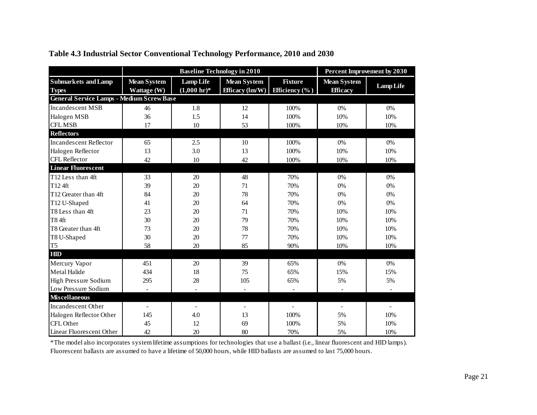<span id="page-26-0"></span>

|                                                  |                    | <b>Baseline Technology in 2010</b> | <b>Percent Improvement by 2030</b> |                          |                    |                  |
|--------------------------------------------------|--------------------|------------------------------------|------------------------------------|--------------------------|--------------------|------------------|
| <b>Submarkets and Lamp</b>                       | <b>Mean System</b> | <b>Lamp Life</b>                   | <b>Mean System</b>                 | <b>Fixture</b>           | <b>Mean System</b> | <b>Lamp Life</b> |
| <b>Types</b>                                     | Wattage (W)        | $(1,000 \text{ hr})^*$             | Efficacy $(\text{Im}/\text{W})$    | <b>Efficiency</b> $(\%)$ | <b>Efficacy</b>    |                  |
| <b>General Service Lamps - Medium Screw Base</b> |                    |                                    |                                    |                          |                    |                  |
| <b>Incandescent MSB</b>                          | 46                 | 1.8                                | 12                                 | 100%                     | 0%                 | 0%               |
| Halogen MSB                                      | 36                 | 1.5                                | 14                                 | 100%                     | 10%                | 10%              |
| <b>CFL MSB</b>                                   | 17                 | 10                                 | 53                                 | 100%                     | 10%                | 10%              |
| <b>Reflectors</b>                                |                    |                                    |                                    |                          |                    |                  |
| <b>Incandescent Reflector</b>                    | 65                 | 2.5                                | 10                                 | 100%                     | 0%                 | 0%               |
| Halogen Reflector                                | 13                 | 3.0                                | 13                                 | 100%                     | 10%                | 10%              |
| CFL Reflector                                    | 42                 | 10                                 | 42                                 | 100%                     | 10%                | 10%              |
| <b>Linear Fluorescent</b>                        |                    |                                    |                                    |                          |                    |                  |
| T12 Less than 4ft                                | 33                 | 20                                 | 48                                 | 70%                      | 0%                 | 0%               |
| T124ft                                           | 39                 | 20                                 | 71                                 | 70%                      | 0%                 | 0%               |
| T12 Greater than 4ft                             | 84                 | 20                                 | 78                                 | 70%                      | 0%                 | 0%               |
| T12 U-Shaped                                     | 41                 | 20                                 | 64                                 | 70%                      | 0%                 | 0%               |
| T8 Less than 4ft                                 | 23                 | 20                                 | 71                                 | 70%                      | 10%                | 10%              |
| <b>T84ft</b>                                     | 30                 | 20                                 | 79                                 | 70%                      | 10%                | 10%              |
| T8 Greater than 4ft                              | 73                 | 20                                 | 78                                 | 70%                      | 10%                | 10%              |
| T8 U-Shaped                                      | 30                 | 20                                 | 77                                 | 70%                      | 10%                | 10%              |
| T <sub>5</sub>                                   | 58                 | 20                                 | 85                                 | 90%                      | 10%                | 10%              |
| HIID                                             |                    |                                    |                                    |                          |                    |                  |
| Mercury Vapor                                    | 451                | 20                                 | 39                                 | 65%                      | 0%                 | 0%               |
| Metal Halide                                     | 434                | 18                                 | 75                                 | 65%                      | 15%                | 15%              |
| High Pressure Sodium                             | 295                | 28                                 | 105                                | 65%                      | 5%                 | 5%               |
| Low Pressure Sodium                              | $\overline{a}$     |                                    |                                    |                          |                    |                  |
| <b>Miscellaneous</b>                             |                    |                                    |                                    |                          |                    |                  |
| <b>Incandescent Other</b>                        | L,                 | $\overline{\phantom{a}}$           | $\overline{\phantom{a}}$           | $\overline{\phantom{a}}$ | $\blacksquare$     |                  |
| Halogen Reflector Other                          | 145                | 4.0                                | 13                                 | 100%                     | 5%                 | 10%              |
| CFL Other                                        | 45                 | 12                                 | 69                                 | 100%                     | 5%                 | 10%              |
| Linear Fluorescent Other                         | 42                 | 20                                 | 80                                 | 70%                      | 5%                 | 10%              |

#### **Table 4.3 Industrial Sector Conventional Technology Performance, 2010 and 2030**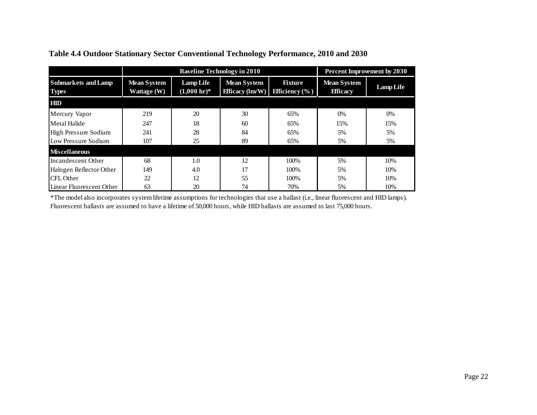<span id="page-27-0"></span>

|                                            |                                   | <b>Baseline Technology in 2010</b>         | Percent Improvement by 2030                           |                                             |                                       |           |
|--------------------------------------------|-----------------------------------|--------------------------------------------|-------------------------------------------------------|---------------------------------------------|---------------------------------------|-----------|
| <b>Submarkets and Lamp</b><br><b>Types</b> | <b>Mean System</b><br>Wattage (W) | <b>Lamp Life</b><br>$(1,000 \text{ hr})^*$ | <b>Mean System</b><br>Efficacy $(\text{Im}/\text{W})$ | <b>Fixture</b><br><b>Efficiency</b> $(\% )$ | <b>Mean System</b><br><b>Efficacy</b> | Lamp Life |
| <b>HIID</b>                                |                                   |                                            |                                                       |                                             |                                       |           |
| Mercury Vapor                              | 219                               | 20                                         | 30                                                    | 65%                                         | $0\%$                                 | $0\%$     |
| <b>Metal Halide</b>                        | 247                               | 18                                         | 60                                                    | 65%                                         | 15%                                   | 15%       |
| High Pressure Sodium                       | 241                               | 28                                         | 84                                                    | 65%                                         | 5%                                    | 5%        |
| Low Pressure Sodium                        | 107                               | 25                                         | 89                                                    | 65%                                         | 5%                                    | 5%        |
| <b>Miscellaneous</b>                       |                                   |                                            |                                                       |                                             |                                       |           |
| Incandescent Other                         | 68                                | 1.0                                        | 12                                                    | 100%                                        | 5%                                    | 10%       |
| Halogen Reflector Other                    | 149                               | 4.0                                        | 17                                                    | 100%                                        | 5%                                    | 10%       |
| CFL Other                                  | 22                                | 12                                         | 55                                                    | 100%                                        | 5%                                    | 10%       |
| Linear Fluorescent Other                   | 63                                | 20                                         | 74                                                    | 70%                                         | 5%                                    | 10%       |

#### **Table 4.4 Outdoor Stationary Sector Conventional Technology Performance, 2010 and 2030**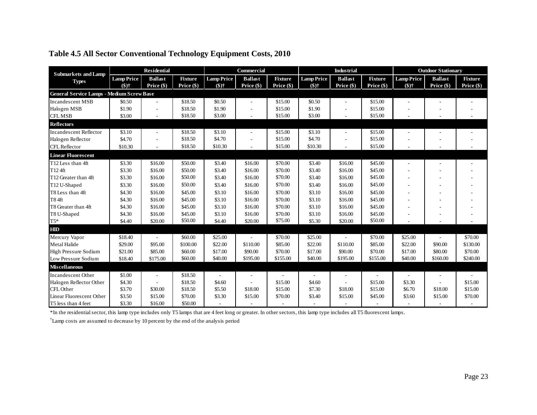<span id="page-28-0"></span>

| <b>Submarkets and Lamp</b>                       | <b>Residential</b> |                          | Commercial     |                   | <b>Industrial</b>        |                |                   | <b>Outdoor Stationary</b> |                |                   |                |                |
|--------------------------------------------------|--------------------|--------------------------|----------------|-------------------|--------------------------|----------------|-------------------|---------------------------|----------------|-------------------|----------------|----------------|
| <b>Types</b>                                     | <b>Lamp Price</b>  | <b>Ballast</b>           | <b>Fixture</b> | <b>Lamp Price</b> | <b>Ballast</b>           | <b>Fixture</b> | <b>Lamp Price</b> | <b>Ballast</b>            | <b>Fixture</b> | <b>Lamp Price</b> | <b>Ballast</b> | <b>Fixture</b> |
|                                                  | $($)$ †            | Price (\$)               | Price $(\$)$   | $($ \$)†          | Price (\$)               | Price (\$)     | $($ \$)†          | Price (\$)                | Price $(\$)$   | $($)$ †           | Price (\$)     | Price $(\$)$   |
| <b>General Service Lamps - Medium Screw Base</b> |                    |                          |                |                   |                          |                |                   |                           |                |                   |                |                |
| <b>Incandescent MSB</b>                          | \$0.50             | $\overline{\phantom{a}}$ | \$18.50        | \$0.50            | $\overline{\phantom{a}}$ | \$15.00        | \$0.50            |                           | \$15.00        |                   |                |                |
| Halogen MSB                                      | \$1.90             | $\overline{\phantom{a}}$ | \$18.50        | \$1.90            | $\overline{\phantom{a}}$ | \$15.00        | \$1.90            | $\overline{\phantom{a}}$  | \$15.00        |                   | ٠              |                |
| <b>CFL MSB</b>                                   | \$3.00             | $\overline{\phantom{a}}$ | \$18.50        | \$3.00            | $\overline{\phantom{a}}$ | \$15.00        | \$3.00            |                           | \$15.00        |                   |                |                |
| <b>Reflectors</b>                                |                    |                          |                |                   |                          |                |                   |                           |                |                   |                |                |
| <b>Incandescent Reflector</b>                    | \$3.10             | $\overline{\phantom{a}}$ | \$18.50        | \$3.10            | $\overline{\phantom{a}}$ | \$15.00        | \$3.10            |                           | \$15.00        |                   |                |                |
| Halogen Reflector                                | \$4.70             |                          | \$18.50        | \$4.70            |                          | \$15.00        | \$4.70            |                           | \$15.00        |                   |                |                |
| <b>CFL</b> Reflector                             | \$10.30            | $\overline{\phantom{a}}$ | \$18.50        | \$10.30           | $\overline{\phantom{a}}$ | \$15.00        | \$10.30           |                           | \$15.00        |                   |                |                |
| <b>Linear Fluorescent</b>                        |                    |                          |                |                   |                          |                |                   |                           |                |                   |                |                |
| T12 Less than 4ft                                | \$3.30             | \$16.00                  | \$50.00        | \$3.40            | \$16.00                  | \$70.00        | \$3.40            | \$16.00                   | \$45.00        |                   |                |                |
| T124ft                                           | \$3.30             | \$16.00                  | \$50.00        | \$3.40            | \$16.00                  | \$70.00        | \$3.40            | \$16.00                   | \$45.00        |                   |                |                |
| T12 Greater than 4ft                             | \$3.30             | \$16.00                  | \$50.00        | \$3.40            | \$16.00                  | \$70.00        | \$3.40            | \$16.00                   | \$45.00        |                   |                |                |
| T12 U-Shaped                                     | \$3.30             | \$16.00                  | \$50.00        | \$3.40            | \$16.00                  | \$70.00        | \$3.40            | \$16.00                   | \$45.00        |                   |                |                |
| T8 Less than 4ft                                 | \$4.30             | \$16.00                  | \$45.00        | \$3.10            | \$16.00                  | \$70.00        | \$3.10            | \$16.00                   | \$45.00        |                   |                |                |
| <b>T84ft</b>                                     | \$4.30             | \$16.00                  | \$45.00        | \$3.10            | \$16.00                  | \$70.00        | \$3.10            | \$16.00                   | \$45.00        |                   |                |                |
| T8 Greater than 4ft                              | \$4.30             | \$16.00                  | \$45.00        | \$3.10            | \$16.00                  | \$70.00        | \$3.10            | \$16.00                   | \$45.00        |                   | ÷              |                |
| T8 U-Shaped                                      | \$4.30             | \$16.00                  | \$45.00        | \$3.10            | \$16.00                  | \$70.00        | \$3.10            | \$16.00                   | \$45.00        |                   |                |                |
| $T5\sp{*}$                                       | \$4.40             | \$20.00                  | \$50.00        | \$4.40            | \$20.00                  | \$75.00        | \$5.30            | \$20.00                   | \$50.00        |                   |                |                |
| <b>HID</b>                                       |                    |                          |                |                   |                          |                |                   |                           |                |                   |                |                |
| Mercury Vapor                                    | \$18.40            |                          | \$60.00        | \$25.00           |                          | \$70.00        | \$25.00           |                           | \$70.00        | \$25.00           |                | \$70.00        |
| Metal Halide                                     | \$29.00            | \$95.00                  | \$100.00       | \$22.00           | \$110.00                 | \$85.00        | \$22.00           | \$110.00                  | \$85.00        | \$22.00           | \$90.00        | \$130.00       |
| <b>High Pressure Sodium</b>                      | \$21.00            | \$85.00                  | \$60.00        | \$17.00           | \$90.00                  | \$70.00        | \$17.00           | \$90.00                   | \$70.00        | \$17.00           | \$80.00        | \$70.00        |
| Low Pressure Sodium                              | \$18.40            | \$175.00                 | \$60.00        | \$40.00           | \$195.00                 | \$155.00       | \$40.00           | \$195.00                  | \$155.00       | \$40.00           | \$160.00       | \$240.00       |
| <b>Miscellaneous</b>                             |                    |                          |                |                   |                          |                |                   |                           |                |                   |                |                |
| Incandescent Other                               | \$1.00             | $\overline{\phantom{a}}$ | \$18.50        |                   |                          |                |                   |                           |                |                   |                |                |
| Halogen Reflector Other                          | \$4.30             |                          | \$18.50        | \$4.60            |                          | \$15.00        | \$4.60            |                           | \$15.00        | \$3.30            |                | \$15.00        |
| CFL Other                                        | \$3.70             | \$30.00                  | \$18.50        | \$5.50            | \$18.00                  | \$15.00        | \$7.30            | \$18.00                   | \$15.00        | \$6.70            | \$18.00        | \$15.00        |
| Linear Fluorescent Other                         | \$3.50             | \$15.00                  | \$70.00        | \$3.30            | \$15.00                  | \$70.00        | \$3.40            | \$15.00                   | \$45.00        | \$3.60            | \$15.00        | \$70.00        |
| T5 less than 4 feet                              | \$3.30             | \$16.00                  | \$50.00        | L.                |                          |                | $\overline{a}$    |                           |                |                   |                |                |

#### **Table 4.5 All Sector Conventional Technology Equipment Costs, 2010**

\*In the residential sector, this lamp type includes only T5 lamps that are 4 feet long or greater. In other sectors, this lamp type includes all T5 fluorescent lamps.

† Lamp costs are assumed to decrease by 10 percent by the end of the analysis period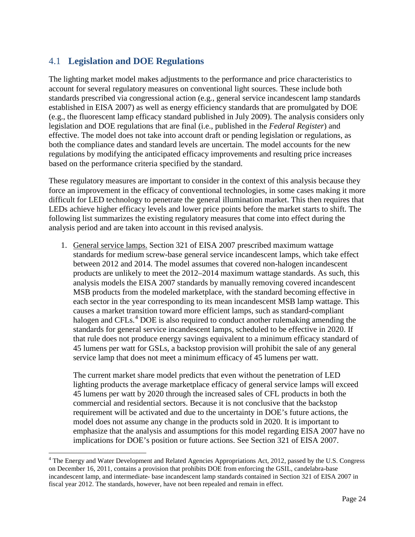### <span id="page-29-0"></span>4.1 **Legislation and DOE Regulations**

The lighting market model makes adjustments to the performance and price characteristics to account for several regulatory measures on conventional light sources. These include both standards prescribed via congressional action (e.g., general service incandescent lamp standards established in EISA 2007) as well as energy efficiency standards that are promulgated by DOE (e.g., the fluorescent lamp efficacy standard published in July 2009). The analysis considers only legislation and DOE regulations that are final (i.e., published in the *Federal Register*) and effective. The model does not take into account draft or pending legislation or regulations, as both the compliance dates and standard levels are uncertain. The model accounts for the new regulations by modifying the anticipated efficacy improvements and resulting price increases based on the performance criteria specified by the standard.

These regulatory measures are important to consider in the context of this analysis because they force an improvement in the efficacy of conventional technologies, in some cases making it more difficult for LED technology to penetrate the general illumination market. This then requires that LEDs achieve higher efficacy levels and lower price points before the market starts to shift. The following list summarizes the existing regulatory measures that come into effect during the analysis period and are taken into account in this revised analysis.

1. General service lamps. Section 321 of EISA 2007 prescribed maximum wattage standards for medium screw-base general service incandescent lamps, which take effect between 2012 and 2014. The model assumes that covered non-halogen incandescent products are unlikely to meet the 2012–2014 maximum wattage standards. As such, this analysis models the EISA 2007 standards by manually removing covered incandescent MSB products from the modeled marketplace, with the standard becoming effective in each sector in the year corresponding to its mean incandescent MSB lamp wattage. This causes a market transition toward more efficient lamps, such as standard-compliant halogen and CFLs.<sup>[4](#page-29-1)</sup> DOE is also required to conduct another rulemaking amending the standards for general service incandescent lamps, scheduled to be effective in 2020. If that rule does not produce energy savings equivalent to a minimum efficacy standard of 45 lumens per watt for GSLs, a backstop provision will prohibit the sale of any general service lamp that does not meet a minimum efficacy of 45 lumens per watt.

The current market share model predicts that even without the penetration of LED lighting products the average marketplace efficacy of general service lamps will exceed 45 lumens per watt by 2020 through the increased sales of CFL products in both the commercial and residential sectors. Because it is not conclusive that the backstop requirement will be activated and due to the uncertainty in DOE's future actions, the model does not assume any change in the products sold in 2020. It is important to emphasize that the analysis and assumptions for this model regarding EISA 2007 have no implications for DOE's position or future actions. See Section 321 of EISA 2007.

<span id="page-29-1"></span><sup>&</sup>lt;sup>4</sup> The Energy and Water Development and Related Agencies Appropriations Act, 2012, passed by the U.S. Congress on December 16, 2011, contains a provision that prohibits DOE from enforcing the GSIL, candelabra-base incandescent lamp, and intermediate- base incandescent lamp standards contained in Section 321 of EISA 2007 in fiscal year 2012. The standards, however, have not been repealed and remain in effect.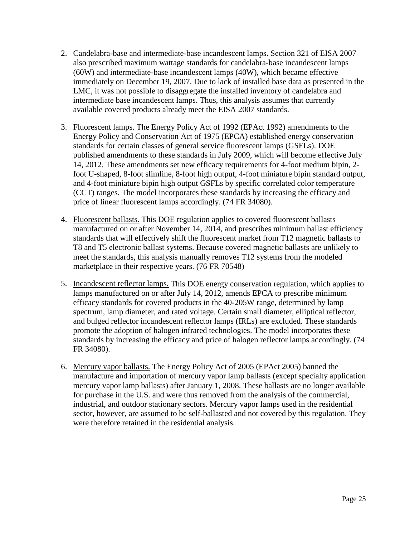- 2. Candelabra-base and intermediate-base incandescent lamps. Section 321 of EISA 2007 also prescribed maximum wattage standards for candelabra-base incandescent lamps (60W) and intermediate-base incandescent lamps (40W), which became effective immediately on December 19, 2007. Due to lack of installed base data as presented in the LMC, it was not possible to disaggregate the installed inventory of candelabra and intermediate base incandescent lamps. Thus, this analysis assumes that currently available covered products already meet the EISA 2007 standards.
- 3. Fluorescent lamps. The Energy Policy Act of 1992 (EPAct 1992) amendments to the Energy Policy and Conservation Act of 1975 (EPCA) established energy conservation standards for certain classes of general service fluorescent lamps (GSFLs). DOE published amendments to these standards in July 2009, which will become effective July 14, 2012. These amendments set new efficacy requirements for 4-foot medium bipin, 2 foot U-shaped, 8-foot slimline, 8-foot high output, 4-foot miniature bipin standard output, and 4-foot miniature bipin high output GSFLs by specific correlated color temperature (CCT) ranges. The model incorporates these standards by increasing the efficacy and price of linear fluorescent lamps accordingly. (74 FR 34080).
- 4. Fluorescent ballasts. This DOE regulation applies to covered fluorescent ballasts manufactured on or after November 14, 2014, and prescribes minimum ballast efficiency standards that will effectively shift the fluorescent market from T12 magnetic ballasts to T8 and T5 electronic ballast systems. Because covered magnetic ballasts are unlikely to meet the standards, this analysis manually removes T12 systems from the modeled marketplace in their respective years. (76 FR 70548)
- 5. Incandescent reflector lamps. This DOE energy conservation regulation, which applies to lamps manufactured on or after July 14, 2012, amends EPCA to prescribe minimum efficacy standards for covered products in the 40-205W range, determined by lamp spectrum, lamp diameter, and rated voltage. Certain small diameter, elliptical reflector, and bulged reflector incandescent reflector lamps (IRLs) are excluded. These standards promote the adoption of halogen infrared technologies. The model incorporates these standards by increasing the efficacy and price of halogen reflector lamps accordingly. (74 FR 34080).
- 6. Mercury vapor ballasts. The Energy Policy Act of 2005 (EPAct 2005) banned the manufacture and importation of mercury vapor lamp ballasts (except specialty application mercury vapor lamp ballasts) after January 1, 2008. These ballasts are no longer available for purchase in the U.S. and were thus removed from the analysis of the commercial, industrial, and outdoor stationary sectors. Mercury vapor lamps used in the residential sector, however, are assumed to be self-ballasted and not covered by this regulation. They were therefore retained in the residential analysis.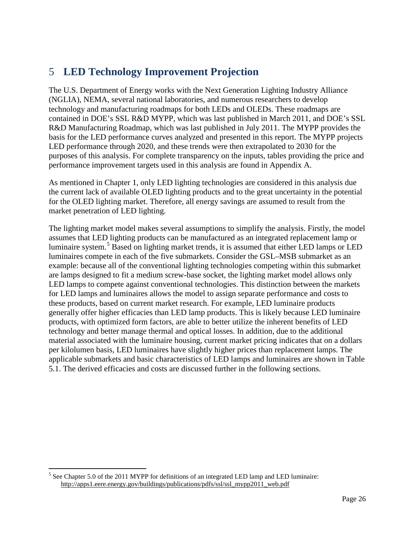# <span id="page-31-0"></span>5 **LED Technology Improvement Projection**

The U.S. Department of Energy works with the Next Generation Lighting Industry Alliance (NGLIA), NEMA, several national laboratories, and numerous researchers to develop technology and manufacturing roadmaps for both LEDs and OLEDs. These roadmaps are contained in DOE's SSL R&D MYPP, which was last published in March 2011, and DOE's SSL R&D Manufacturing Roadmap, which was last published in July 2011. The MYPP provides the basis for the LED performance curves analyzed and presented in this report. The MYPP projects LED performance through 2020, and these trends were then extrapolated to 2030 for the purposes of this analysis. For complete transparency on the inputs, tables providing the price and performance improvement targets used in this analysis are found in [Appendix A.](#page-69-0)

As mentioned in Chapter [1,](#page-10-0) only LED lighting technologies are considered in this analysis due the current lack of available OLED lighting products and to the great uncertainty in the potential for the OLED lighting market. Therefore, all energy savings are assumed to result from the market penetration of LED lighting.

The lighting market model makes several assumptions to simplify the analysis. Firstly, the model assumes that LED lighting products can be manufactured as an integrated replacement lamp or luminaire system.<sup>[5](#page-31-1)</sup> Based on lighting market trends, it is assumed that either LED lamps or LED applicable submarkets and basic characteristics of LED lamps and luminaires are shown in Table [5.1](#page-32-0) . The derived efficacies and costs are discussed further in the following sections. luminaires compete in each of the five submarkets. Consider the GSL–MSB submarket as an example: because all of the conventional lighting technologies competing within this submarket are lamps designed to fit a medium screw-base socket, the lighting market model allows only LED lamps to compete against conventional technologies. This distinction between the markets for LED lamps and luminaires allows the model to assign separate performance and costs to these products, based on current market research. For example, LED luminaire products generally offer higher efficacies than LED lamp products. This is likely because LED luminaire products, with optimized form factors, are able to better utilize the inherent benefits of LED technology and better manage thermal and optical losses. In addition, due to the additional material associated with the luminaire housing, current market pricing indicates that on a dollars per kilolumen basis, LED luminaires have slightly higher prices than replacement lamps. The

<span id="page-31-1"></span><sup>&</sup>lt;sup>5</sup> See Chapter 5.0 of the 2011 MYPP for definitions of an integrated LED lamp and LED luminaire: [http://apps1.eere.energy.gov/buildings/publications/pdfs/ssl/ssl\\_mypp2011\\_web.pdf](http://apps1.eere.energy.gov/buildings/publications/pdfs/ssl/ssl_mypp2011_web.pdf)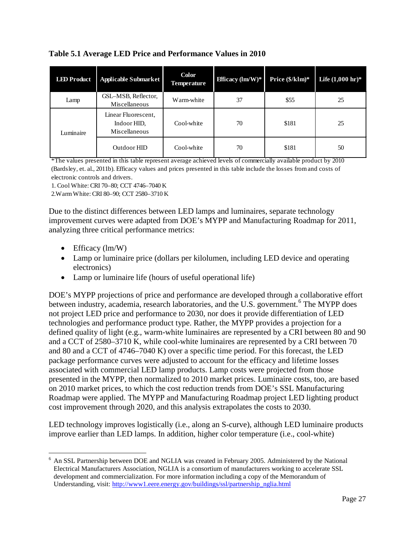| <b>LED Product</b> | <b>Applicable Submarket</b>                         | <b>Color</b><br><b>Temperature</b> | <b>Efficacy</b> ( $\text{Im}/\text{W}$ )* | Price $(\frac{5}{k} \text{Im})^*$ | Life $(1,000 \text{ hr})^*$ |
|--------------------|-----------------------------------------------------|------------------------------------|-------------------------------------------|-----------------------------------|-----------------------------|
| Lamp               | GSL-MSB, Reflector,<br>Miscellaneous                | Warm-white                         | 37                                        | \$55                              | 25                          |
| Luminaire          | Linear Fluorescent,<br>Indoor HID.<br>Miscellaneous | Cool-white                         | 70                                        | \$181                             | 25                          |
|                    | Outdoor HID                                         | Cool-white                         | 70                                        | \$181                             | 50                          |

<span id="page-32-0"></span>**Table 5.1 Average LED Price and Performance Values in 2010**

\*The values presented in this table represent average achieved levels of commercially available product by 2010 (Bardsley, et. al., 2011b). Efficacy values and prices presented in this table include the losses from and costs of electronic controls and drivers.

1. Cool White: CRI 70–80; CCT 4746–7040 K

2.Warm White: CRI 80–90; CCT 2580–3710 K

Due to the distinct differences between LED lamps and luminaires, separate technology improvement curves were adapted from DOE's MYPP and Manufacturing Roadmap for 2011, analyzing three critical performance metrics:

- Efficacy  $(\text{lm/W})$
- Lamp or luminaire price (dollars per kilolumen, including LED device and operating electronics)
- Lamp or luminaire life (hours of useful operational life)

DOE's MYPP projections of price and performance are developed through a collaborative effort between industry, academia, research laboratories, and the U.S. government.<sup>[6](#page-32-1)</sup> The MYPP does not project LED price and performance to 2030, nor does it provide differentiation of LED technologies and performance product type. Rather, the MYPP provides a projection for a defined quality of light (e.g., warm-white luminaires are represented by a CRI between 80 and 90 and a CCT of 2580–3710 K, while cool-white luminaires are represented by a CRI between 70 and 80 and a CCT of 4746–7040 K) over a specific time period. For this forecast, the LED package performance curves were adjusted to account for the efficacy and lifetime losses associated with commercial LED lamp products. Lamp costs were projected from those presented in the MYPP, then normalized to 2010 market prices. Luminaire costs, too, are based on 2010 market prices, to which the cost reduction trends from DOE's SSL Manufacturing Roadmap were applied. The MYPP and Manufacturing Roadmap project LED lighting product cost improvement through 2020, and this analysis extrapolates the costs to 2030.

LED technology improves logistically (i.e., along an S-curve), although LED luminaire products improve earlier than LED lamps. In addition, higher color temperature (i.e., cool-white)

<span id="page-32-1"></span><sup>&</sup>lt;sup>6</sup> An SSL Partnership between DOE and NGLIA was created in February 2005. Administered by the National Electrical Manufacturers Association, NGLIA is a consortium of manufacturers working to accelerate SSL development and commercialization. For more information including a copy of the Memorandum of Understanding, visit: [http://www1.eere.energy.gov/buildings/ssl/partnership\\_nglia.html](http://www1.eere.energy.gov/buildings/ssl/partnership_nglia.html)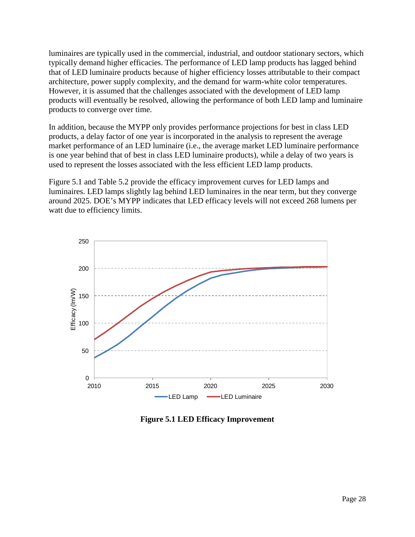luminaires are typically used in the commercial, industrial, and outdoor stationary sectors, which typically demand higher efficacies. The performance of LED lamp products has lagged behind that of LED luminaire products because of higher efficiency losses attributable to their compact architecture, power supply complexity, and the demand for warm-white color temperatures. However, it is assumed that the challenges associated with the development of LED lamp products will eventually be resolved, allowing the performance of both LED lamp and luminaire products to converge over time.

In addition, because the MYPP only provides performance projections for best in class LED products, a delay factor of one year is incorporated in the analysis to represent the average market performance of an LED luminaire (i.e., the average market LED luminaire performance is one year behind that of best in class LED luminaire products), while a delay of two years is used to represent the losses associated with the less efficient LED lamp products.

[Figure 5.1](#page-33-0) and [Table 5.2](#page-34-0) provide the efficacy improvement curves for LED lamps and luminaires. LED lamps slightly lag behind LED luminaires in the near term, but they converge around 2025. DOE's MYPP indicates that LED efficacy levels will not exceed 268 lumens per watt due to efficiency limits.



<span id="page-33-0"></span>**Figure 5.1 LED Efficacy Improvement**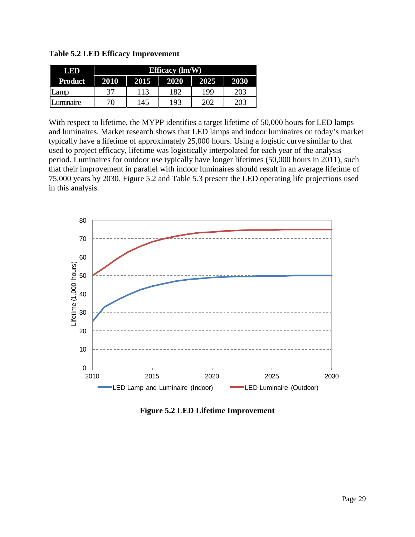<span id="page-34-0"></span>**Table 5.2 LED Efficacy Improvement**

| LED            | <b>Efficacy</b> (lm/W) |      |      |      |      |  |  |  |
|----------------|------------------------|------|------|------|------|--|--|--|
| <b>Product</b> | 2010                   | 2015 | 2020 | 2025 | 2030 |  |  |  |
| Lamp           | 37                     | 113  | 182  | 199  | 203  |  |  |  |
| uminaire       | 70                     | 145  | 193  | 202  | 203  |  |  |  |

With respect to lifetime, the MYPP identifies a target lifetime of 50,000 hours for LED lamps and luminaires. Market research shows that LED lamps and indoor luminaires on today's market typically have a lifetime of approximately 25,000 hours. Using a logistic curve similar to that used to project efficacy, lifetime was logistically interpolated for each year of the analysis period. Luminaires for outdoor use typically have longer lifetimes (50,000 hours in 2011), such that their improvement in parallel with indoor luminaires should result in an average lifetime of 75,000 years by 2030. [Figure 5.2](#page-34-1) and [Table 5.3](#page-35-0) present the LED operating life projections used in this analysis.



<span id="page-34-1"></span>**Figure 5.2 LED Lifetime Improvement**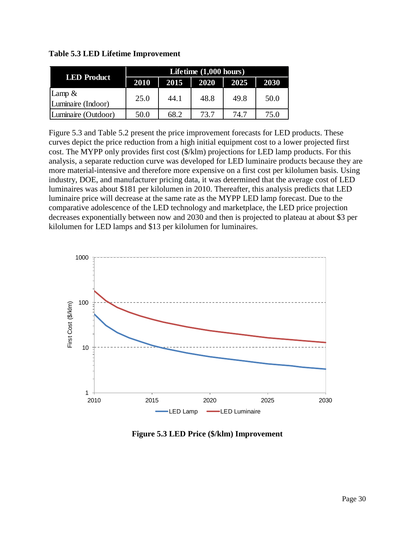| <b>LED Product</b>  | Lifetime $(1,000$ hours) |      |      |      |             |  |  |  |  |
|---------------------|--------------------------|------|------|------|-------------|--|--|--|--|
|                     | 2010                     | 2015 | 2020 | 2025 | <b>2030</b> |  |  |  |  |
| Lamp $&$            | 25.0                     | 44.1 | 48.8 | 49.8 | 50.0        |  |  |  |  |
| Luminaire (Indoor)  |                          |      |      |      |             |  |  |  |  |
| Luminaire (Outdoor) | 50.0                     | 68.2 | 73.7 | 74.7 | 75.0        |  |  |  |  |

<span id="page-35-0"></span>**Table 5.3 LED Lifetime Improvement**

[Figure 5.3](#page-35-1) and [Table 5.2](#page-34-0) present the price improvement forecasts for LED products. These curves depict the price reduction from a high initial equipment cost to a lower projected first cost. The MYPP only provides first cost (\$/klm) projections for LED lamp products. For this analysis, a separate reduction curve was developed for LED luminaire products because they are more material-intensive and therefore more expensive on a first cost per kilolumen basis. Using industry, DOE, and manufacturer pricing data, it was determined that the average cost of LED luminaires was about \$181 per kilolumen in 2010. Thereafter, this analysis predicts that LED luminaire price will decrease at the same rate as the MYPP LED lamp forecast. Due to the comparative adolescence of the LED technology and marketplace, the LED price projection decreases exponentially between now and 2030 and then is projected to plateau at about \$3 per kilolumen for LED lamps and \$13 per kilolumen for luminaires.



<span id="page-35-1"></span>**Figure 5.3 LED Price (\$/klm) Improvement**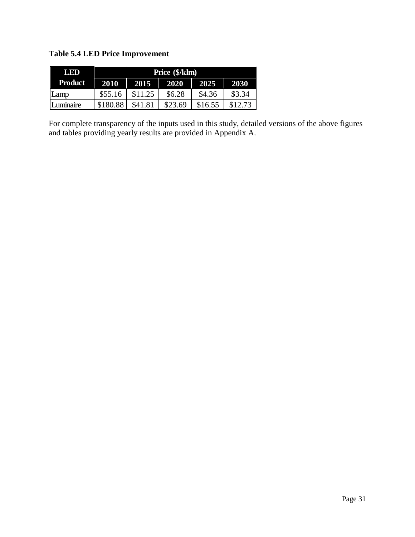**Table 5.4 LED Price Improvement**

| LED            | Price (\$/klm) |         |         |         |         |  |  |  |  |
|----------------|----------------|---------|---------|---------|---------|--|--|--|--|
| <b>Product</b> | 2010           | 2015    | 2025    | 2030    |         |  |  |  |  |
| Lamp           | \$55.16        | \$11.25 | \$6.28  | \$4.36  | \$3.34  |  |  |  |  |
| Luminaire      | \$180.88       | \$41.81 | \$23.69 | \$16.55 | \$12.73 |  |  |  |  |

For complete transparency of the inputs used in this study, detailed versions of the above figures and tables providing yearly results are provided in [Appendix A.](#page-69-0)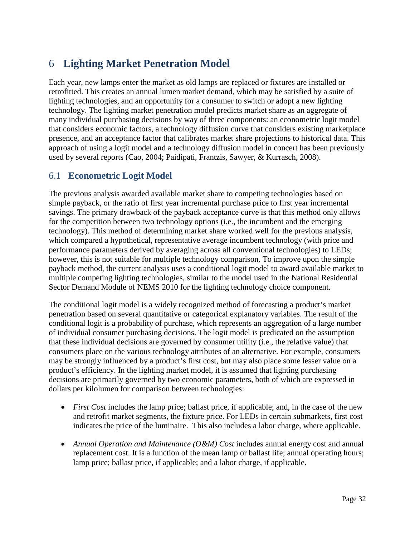# 6 **Lighting Market Penetration Model**

Each year, new lamps enter the market as old lamps are replaced or fixtures are installed or retrofitted. This creates an annual lumen market demand, which may be satisfied by a suite of lighting technologies, and an opportunity for a consumer to switch or adopt a new lighting technology. The lighting market penetration model predicts market share as an aggregate of many individual purchasing decisions by way of three components: an econometric logit model that considers economic factors, a technology diffusion curve that considers existing marketplace presence, and an acceptance factor that calibrates market share projections to historical data. This approach of using a logit model and a technology diffusion model in concert has been previously used by several reports (Cao, 2004; Paidipati, Frantzis, Sawyer, & Kurrasch, 2008).

## <span id="page-37-0"></span>6.1 **Econometric Logit Model**

The previous analysis awarded available market share to competing technologies based on simple payback, or the ratio of first year incremental purchase price to first year incremental savings. The primary drawback of the payback acceptance curve is that this method only allows for the competition between two technology options (i.e., the incumbent and the emerging technology). This method of determining market share worked well for the previous analysis, which compared a hypothetical, representative average incumbent technology (with price and performance parameters derived by averaging across all conventional technologies) to LEDs; however, this is not suitable for multiple technology comparison. To improve upon the simple payback method, the current analysis uses a conditional logit model to award available market to multiple competing lighting technologies, similar to the model used in the National Residential Sector Demand Module of NEMS 2010 for the lighting technology choice component.

The conditional logit model is a widely recognized method of forecasting a product's market penetration based on several quantitative or categorical explanatory variables. The result of the conditional logit is a probability of purchase, which represents an aggregation of a large number of individual consumer purchasing decisions. The logit model is predicated on the assumption that these individual decisions are governed by consumer utility (i.e., the relative value) that consumers place on the various technology attributes of an alternative. For example, consumers may be strongly influenced by a product's first cost, but may also place some lesser value on a product's efficiency. In the lighting market model, it is assumed that lighting purchasing decisions are primarily governed by two economic parameters, both of which are expressed in dollars per kilolumen for comparison between technologies:

- *First Cost* includes the lamp price; ballast price, if applicable; and, in the case of the new and retrofit market segments, the fixture price. For LEDs in certain submarkets, first cost indicates the price of the luminaire. This also includes a labor charge, where applicable.
- *Annual Operation and Maintenance (O&M) Cost* includes annual energy cost and annual replacement cost. It is a function of the mean lamp or ballast life; annual operating hours; lamp price; ballast price, if applicable; and a labor charge, if applicable.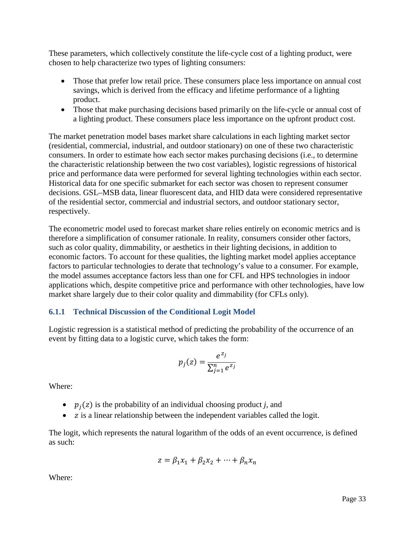These parameters, which collectively constitute the life-cycle cost of a lighting product, were chosen to help characterize two types of lighting consumers:

- Those that prefer low retail price. These consumers place less importance on annual cost savings, which is derived from the efficacy and lifetime performance of a lighting product.
- Those that make purchasing decisions based primarily on the life-cycle or annual cost of a lighting product. These consumers place less importance on the upfront product cost.

The market penetration model bases market share calculations in each lighting market sector (residential, commercial, industrial, and outdoor stationary) on one of these two characteristic consumers. In order to estimate how each sector makes purchasing decisions (i.e., to determine the characteristic relationship between the two cost variables), logistic regressions of historical price and performance data were performed for several lighting technologies within each sector. Historical data for one specific submarket for each sector was chosen to represent consumer decisions. GSL–MSB data, linear fluorescent data, and HID data were considered representative of the residential sector, commercial and industrial sectors, and outdoor stationary sector, respectively.

The econometric model used to forecast market share relies entirely on economic metrics and is therefore a simplification of consumer rationale. In reality, consumers consider other factors, such as color quality, dimmability, or aesthetics in their lighting decisions, in addition to economic factors. To account for these qualities, the lighting market model applies acceptance factors to particular technologies to derate that technology's value to a consumer. For example, the model assumes acceptance factors less than one for CFL and HPS technologies in indoor applications which, despite competitive price and performance with other technologies, have low market share largely due to their color quality and dimmability (for CFLs only).

#### **6.1.1 Technical Discussion of the Conditional Logit Model**

Logistic regression is a statistical method of predicting the probability of the occurrence of an event by fitting data to a logistic curve, which takes the form:

$$
p_j(z) = \frac{e^{z_j}}{\sum_{j=1}^n e^{z_j}}
$$

Where:

- $p_j(z)$  is the probability of an individual choosing product *j*, and
- $\bullet$  z is a linear relationship between the independent variables called the logit.

The logit, which represents the natural logarithm of the odds of an event occurrence, is defined as such:

$$
z = \beta_1 x_1 + \beta_2 x_2 + \dots + \beta_n x_n
$$

Where: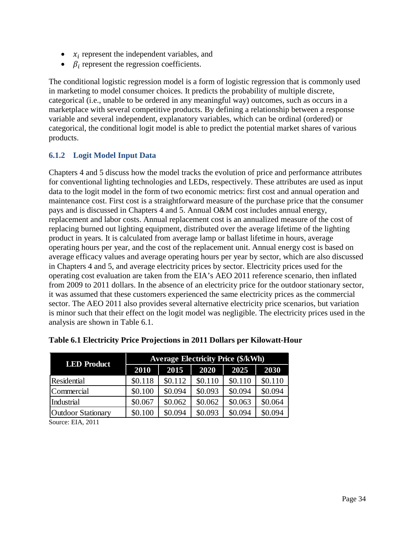- $x_i$  represent the independent variables, and
- $\beta_i$  represent the regression coefficients.

The conditional logistic regression model is a form of logistic regression that is commonly used in marketing to model consumer choices. It predicts the probability of multiple discrete, categorical (i.e., unable to be ordered in any meaningful way) outcomes, such as occurs in a marketplace with several competitive products. By defining a relationship between a response variable and several independent, explanatory variables, which can be ordinal (ordered) or categorical, the conditional logit model is able to predict the potential market shares of various products.

#### **6.1.2 Logit Model Input Data**

Chapters [4](#page-23-0) and [5](#page-31-0) discuss how the model tracks the evolution of price and performance attributes for conventional lighting technologies and LEDs, respectively. These attributes are used as input data to the logit model in the form of two economic metrics: first cost and annual operation and maintenance cost. First cost is a straightforward measure of the purchase price that the consumer pays and is discussed in Chapters [4](#page-23-0) and [5.](#page-31-0) Annual O&M cost includes annual energy, replacement and labor costs. Annual replacement cost is an annualized measure of the cost of replacing burned out lighting equipment, distributed over the average lifetime of the lighting product in years. It is calculated from average lamp or ballast lifetime in hours, average operating hours per year, and the cost of the replacement unit. Annual energy cost is based on average efficacy values and average operating hours per year by sector, which are also discussed in Chapters [4](#page-23-0) and [5,](#page-31-0) and average electricity prices by sector. Electricity prices used for the operating cost evaluation are taken from the EIA's AEO 2011 reference scenario, then inflated from 2009 to 2011 dollars. In the absence of an electricity price for the outdoor stationary sector, it was assumed that these customers experienced the same electricity prices as the commercial sector. The AEO 2011 also provides several alternative electricity price scenarios, but variation is minor such that their effect on the logit model was negligible. The electricity prices used in the analysis are shown in [Table 6.1.](#page-39-0)

| <b>LED</b> Product |         | <b>Average Electricity Price (\$/kWh)</b> |         |         |         |  |  |  |  |  |
|--------------------|---------|-------------------------------------------|---------|---------|---------|--|--|--|--|--|
|                    | 2010    | 2015                                      | 2020    | 2025    | 2030    |  |  |  |  |  |
| <b>Residential</b> | \$0.118 | \$0.112                                   | \$0.110 | \$0.110 | \$0.110 |  |  |  |  |  |
| Commercial         | \$0.100 | \$0.094                                   | \$0.093 | \$0.094 | \$0.094 |  |  |  |  |  |
| Industrial         | \$0.067 | \$0.062                                   | \$0.062 | \$0.063 | \$0.064 |  |  |  |  |  |
| Outdoor Stationary | \$0.100 | \$0.094                                   | \$0.093 | \$0.094 | \$0.094 |  |  |  |  |  |

#### <span id="page-39-0"></span>**Table 6.1 Electricity Price Projections in 2011 Dollars per Kilowatt-Hour**

Source: EIA, 2011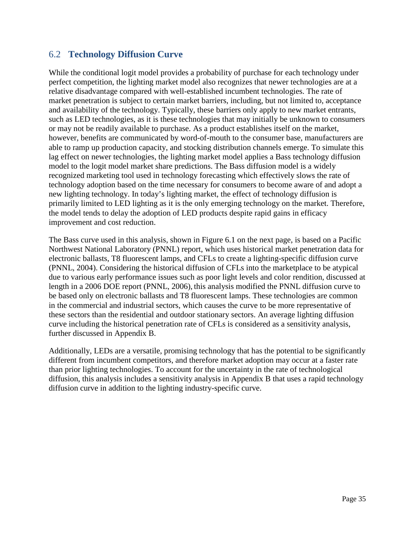## 6.2 **Technology Diffusion Curve**

While the conditional logit model provides a probability of purchase for each technology under perfect competition, the lighting market model also recognizes that newer technologies are at a relative disadvantage compared with well-established incumbent technologies. The rate of market penetration is subject to certain market barriers, including, but not limited to, acceptance and availability of the technology. Typically, these barriers only apply to new market entrants, such as LED technologies, as it is these technologies that may initially be unknown to consumers or may not be readily available to purchase. As a product establishes itself on the market, however, benefits are communicated by word-of-mouth to the consumer base, manufacturers are able to ramp up production capacity, and stocking distribution channels emerge. To simulate this lag effect on newer technologies, the lighting market model applies a Bass technology diffusion model to the logit model market share predictions. The Bass diffusion model is a widely recognized marketing tool used in technology forecasting which effectively slows the rate of technology adoption based on the time necessary for consumers to become aware of and adopt a new lighting technology. In today's lighting market, the effect of technology diffusion is primarily limited to LED lighting as it is the only emerging technology on the market. Therefore, the model tends to delay the adoption of LED products despite rapid gains in efficacy improvement and cost reduction.

The Bass curve used in this analysis, shown in [Figure 6.1](#page-41-0) on the next page, is based on a Pacific Northwest National Laboratory (PNNL) report, which uses historical market penetration data for electronic ballasts, T8 fluorescent lamps, and CFLs to create a lighting-specific diffusion curve (PNNL, 2004). Considering the historical diffusion of CFLs into the marketplace to be atypical due to various early performance issues such as poor light levels and color rendition, discussed at length in a 2006 DOE report (PNNL, 2006), this analysis modified the PNNL diffusion curve to further discussed in Appendix B. be based only on electronic ballasts and T8 fluorescent lamps. These technologies are common in the commercial and industrial sectors, which causes the curve to be more representative of these sectors than the residential and outdoor stationary sectors. An average lighting diffusion curve including the historical penetration rate of CFLs is considered as a sensitivity analysis,

Additionally, LEDs are a versatile, promising technology that has the potential to be significantly different from incumbent competitors, and therefore market adoption may occur at a faster rate than prior lighting technologies. To account for the uncertainty in the rate of technological diffusion, this analysis includes a sensitivity analysis in [Appendix B](#page-70-0) that uses a rapid technology diffusion curve in addition to the lighting industry-specific curve.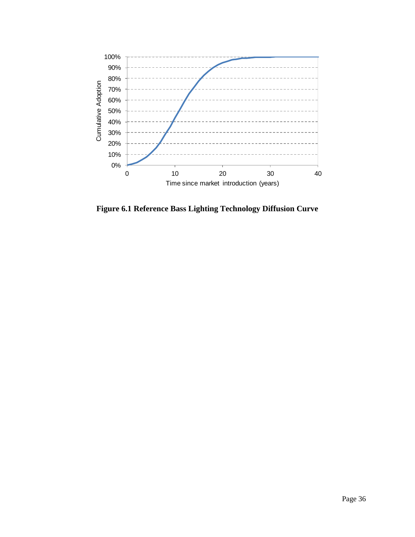

<span id="page-41-0"></span>**Figure 6.1 Reference Bass Lighting Technology Diffusion Curve**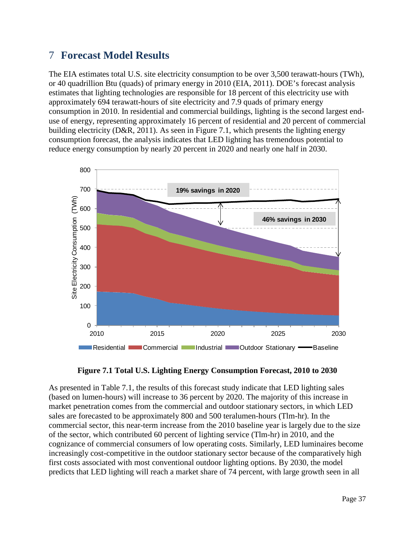# 7 **Forecast Model Results**

The EIA estimates total U.S. site electricity consumption to be over 3,500 terawatt-hours (TWh), or 40 quadrillion Btu (quads) of primary energy in 2010 (EIA, 2011). DOE's forecast analysis estimates that lighting technologies are responsible for 18 percent of this electricity use with approximately 694 terawatt-hours of site electricity and 7.9 quads of primary energy consumption in 2010. In residential and commercial buildings, lighting is the second largest enduse of energy, representing approximately 16 percent of residential and 20 percent of commercial building electricity (D&R, 2011). As seen in [Figure 7.1,](#page-42-0) which presents the lighting energy consumption forecast, the analysis indicates that LED lighting has tremendous potential to reduce energy consumption by nearly 20 percent in 2020 and nearly one half in 2030.





<span id="page-42-0"></span>As presented in [Table 7.1,](#page-43-0) the results of this forecast study indicate that LED lighting sales (based on lumen-hours) will increase to 36 percent by 2020. The majority of this increase in market penetration comes from the commercial and outdoor stationary sectors, in which LED sales are forecasted to be approximately 800 and 500 teralumen-hours (Tlm-hr). In the commercial sector, this near-term increase from the 2010 baseline year is largely due to the size of the sector, which contributed 60 percent of lighting service (Tlm-hr) in 2010, and the cognizance of commercial consumers of low operating costs. Similarly, LED luminaires become increasingly cost-competitive in the outdoor stationary sector because of the comparatively high first costs associated with most conventional outdoor lighting options. By 2030, the model predicts that LED lighting will reach a market share of 74 percent, with large growth seen in all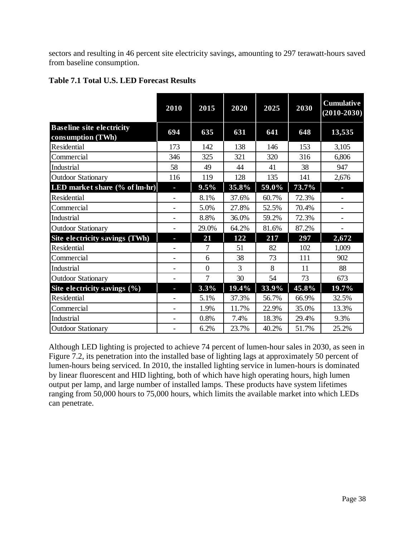sectors and resulting in 46 percent site electricity savings, amounting to 297 terawatt-hours saved from baseline consumption.

|                                                       | 2010 | 2015     | 2020  | 2025  | 2030  | <b>Cumulative</b><br>$(2010 - 2030)$ |
|-------------------------------------------------------|------|----------|-------|-------|-------|--------------------------------------|
| <b>Baseline site electricity</b><br>consumption (TWh) | 694  | 635      | 631   | 641   | 648   | 13,535                               |
| Residential                                           | 173  | 142      | 138   | 146   | 153   | 3,105                                |
| Commercial                                            | 346  | 325      | 321   | 320   | 316   | 6,806                                |
| Industrial                                            | 58   | 49       | 44    | 41    | 38    | 947                                  |
| <b>Outdoor Stationary</b>                             | 116  | 119      | 128   | 135   | 141   | 2,676                                |
| LED market share (% of lm-hr)                         | н    | 9.5%     | 35.8% | 59.0% | 73.7% |                                      |
| Residential                                           |      | 8.1%     | 37.6% | 60.7% | 72.3% |                                      |
| Commercial                                            |      | 5.0%     | 27.8% | 52.5% | 70.4% |                                      |
| Industrial                                            |      | 8.8%     | 36.0% | 59.2% | 72.3% |                                      |
| <b>Outdoor Stationary</b>                             |      | 29.0%    | 64.2% | 81.6% | 87.2% |                                      |
| Site electricity savings (TWh)                        |      | 21       | 122   | 217   | 297   | 2,672                                |
| Residential                                           |      | 7        | 51    | 82    | 102   | 1,009                                |
| Commercial                                            |      | 6        | 38    | 73    | 111   | 902                                  |
| Industrial                                            |      | $\theta$ | 3     | 8     | 11    | 88                                   |
| <b>Outdoor Stationary</b>                             |      | 7        | 30    | 54    | 73    | 673                                  |
| Site electricity savings (%)                          | T.   | $3.3\%$  | 19.4% | 33.9% | 45.8% | 19.7%                                |
| Residential                                           |      | 5.1%     | 37.3% | 56.7% | 66.9% | 32.5%                                |
| Commercial                                            |      | 1.9%     | 11.7% | 22.9% | 35.0% | 13.3%                                |
| Industrial                                            |      | 0.8%     | 7.4%  | 18.3% | 29.4% | 9.3%                                 |
| <b>Outdoor Stationary</b>                             |      | 6.2%     | 23.7% | 40.2% | 51.7% | 25.2%                                |

### <span id="page-43-0"></span>**Table 7.1 Total U.S. LED Forecast Results**

Although LED lighting is projected to achieve 74 percent of lumen-hour sales in 2030, as seen in [Figure 7.2,](#page-44-0) its penetration into the installed base of lighting lags at approximately 50 percent of lumen-hours being serviced. In 2010, the installed lighting service in lumen-hours is dominated by linear fluorescent and HID lighting, both of which have high operating hours, high lumen output per lamp, and large number of installed lamps. These products have system lifetimes ranging from 50,000 hours to 75,000 hours, which limits the available market into which LEDs can penetrate.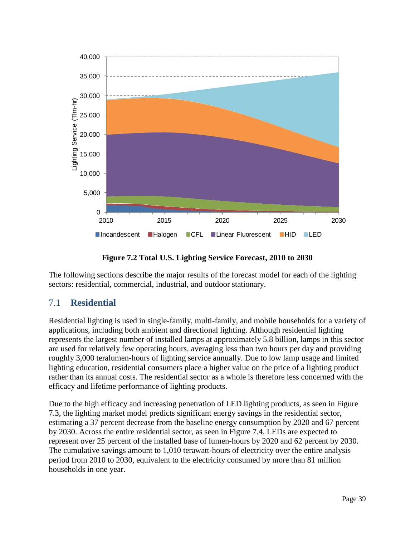

**Figure 7.2 Total U.S. Lighting Service Forecast, 2010 to 2030**

<span id="page-44-0"></span>The following sections describe the major results of the forecast model for each of the lighting sectors: residential, commercial, industrial, and outdoor stationary.

## 7.1 **Residential**

Residential lighting is used in single-family, multi-family, and mobile households for a variety of applications, including both ambient and directional lighting. Although residential lighting represents the largest number of installed lamps at approximately 5.8 billion, lamps in this sector are used for relatively few operating hours, averaging less than two hours per day and providing roughly 3,000 teralumen-hours of lighting service annually. Due to low lamp usage and limited lighting education, residential consumers place a higher value on the price of a lighting product rather than its annual costs. The residential sector as a whole is therefore less concerned with the efficacy and lifetime performance of lighting products.

Due to the high efficacy and increasing penetration of LED lighting products, as seen in [Figure](#page-45-0)  [7.3,](#page-45-0) the lighting market model predicts significant energy savings in the residential sector, estimating a 37 percent decrease from the baseline energy consumption by 2020 and 67 percent by 2030. Across the entire residential sector, as seen in [Figure 7.4,](#page-45-1) LEDs are expected to represent over 25 percent of the installed base of lumen-hours by 2020 and 62 percent by 2030. The cumulative savings amount to 1,010 terawatt-hours of electricity over the entire analysis period from 2010 to 2030, equivalent to the electricity consumed by more than 81 million households in one year.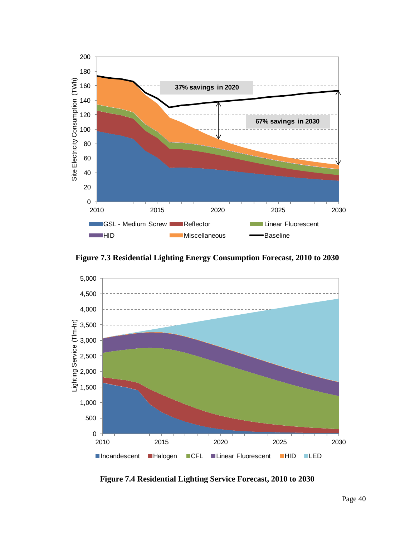

**Figure 7.3 Residential Lighting Energy Consumption Forecast, 2010 to 2030**

<span id="page-45-0"></span>

<span id="page-45-1"></span>**Figure 7.4 Residential Lighting Service Forecast, 2010 to 2030**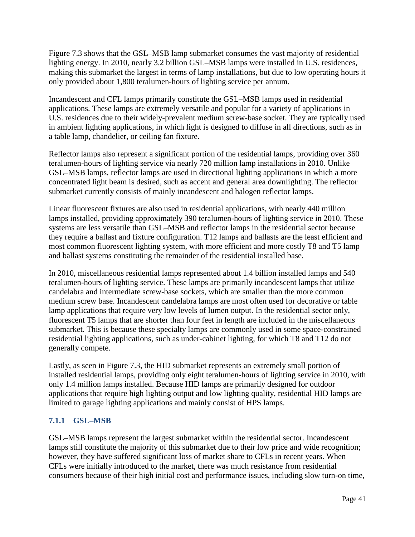[Figure 7.3](#page-45-0) shows that the GSL–MSB lamp submarket consumes the vast majority of residential lighting energy. In 2010, nearly 3.2 billion GSL–MSB lamps were installed in U.S. residences, making this submarket the largest in terms of lamp installations, but due to low operating hours it only provided about 1,800 teralumen-hours of lighting service per annum.

Incandescent and CFL lamps primarily constitute the GSL–MSB lamps used in residential applications. These lamps are extremely versatile and popular for a variety of applications in U.S. residences due to their widely-prevalent medium screw-base socket. They are typically used in ambient lighting applications, in which light is designed to diffuse in all directions, such as in a table lamp, chandelier, or ceiling fan fixture.

Reflector lamps also represent a significant portion of the residential lamps, providing over 360 teralumen-hours of lighting service via nearly 720 million lamp installations in 2010. Unlike GSL–MSB lamps, reflector lamps are used in directional lighting applications in which a more concentrated light beam is desired, such as accent and general area downlighting. The reflector submarket currently consists of mainly incandescent and halogen reflector lamps.

Linear fluorescent fixtures are also used in residential applications, with nearly 440 million lamps installed, providing approximately 390 teralumen-hours of lighting service in 2010. These systems are less versatile than GSL–MSB and reflector lamps in the residential sector because they require a ballast and fixture configuration. T12 lamps and ballasts are the least efficient and most common fluorescent lighting system, with more efficient and more costly T8 and T5 lamp and ballast systems constituting the remainder of the residential installed base.

In 2010, miscellaneous residential lamps represented about 1.4 billion installed lamps and 540 teralumen-hours of lighting service. These lamps are primarily incandescent lamps that utilize candelabra and intermediate screw-base sockets, which are smaller than the more common medium screw base. Incandescent candelabra lamps are most often used for decorative or table lamp applications that require very low levels of lumen output. In the residential sector only, fluorescent T5 lamps that are shorter than four feet in length are included in the miscellaneous submarket. This is because these specialty lamps are commonly used in some space-constrained residential lighting applications, such as under-cabinet lighting, for which T8 and T12 do not generally compete.

Lastly, as seen in [Figure 7.3,](#page-45-0) the HID submarket represents an extremely small portion of installed residential lamps, providing only eight teralumen-hours of lighting service in 2010, with only 1.4 million lamps installed. Because HID lamps are primarily designed for outdoor applications that require high lighting output and low lighting quality, residential HID lamps are limited to garage lighting applications and mainly consist of HPS lamps.

### **7.1.1 GSL–MSB**

GSL–MSB lamps represent the largest submarket within the residential sector. Incandescent lamps still constitute the majority of this submarket due to their low price and wide recognition; however, they have suffered significant loss of market share to CFLs in recent years. When CFLs were initially introduced to the market, there was much resistance from residential consumers because of their high initial cost and performance issues, including slow turn-on time,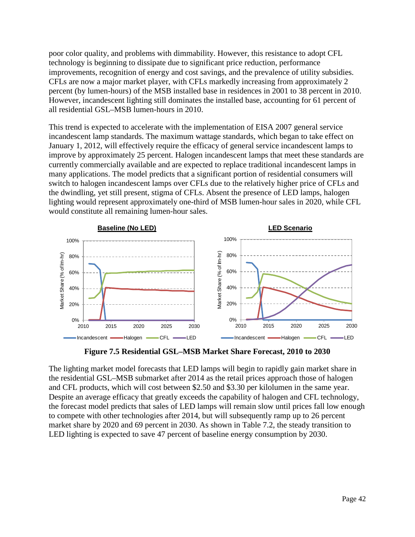poor color quality, and problems with dimmability. However, this resistance to adopt CFL technology is beginning to dissipate due to significant price reduction, performance improvements, recognition of energy and cost savings, and the prevalence of utility subsidies. CFLs are now a major market player, with CFLs markedly increasing from approximately 2 percent (by lumen-hours) of the MSB installed base in residences in 2001 to 38 percent in 2010. However, incandescent lighting still dominates the installed base, accounting for 61 percent of all residential GSL–MSB lumen-hours in 2010.

This trend is expected to accelerate with the implementation of EISA 2007 general service incandescent lamp standards. The maximum wattage standards, which began to take effect on January 1, 2012, will effectively require the efficacy of general service incandescent lamps to improve by approximately 25 percent. Halogen incandescent lamps that meet these standards are currently commercially available and are expected to replace traditional incandescent lamps in many applications. The model predicts that a significant portion of residential consumers will switch to halogen incandescent lamps over CFLs due to the relatively higher price of CFLs and the dwindling, yet still present, stigma of CFLs. Absent the presence of LED lamps, halogen lighting would represent approximately one-third of MSB lumen-hour sales in 2020, while CFL would constitute all remaining lumen-hour sales.



**Figure 7.5 Residential GSL–MSB Market Share Forecast, 2010 to 2030**

The lighting market model forecasts that LED lamps will begin to rapidly gain market share in the residential GSL–MSB submarket after 2014 as the retail prices approach those of halogen and CFL products, which will cost between \$2.50 and \$3.30 per kilolumen in the same year. Despite an average efficacy that greatly exceeds the capability of halogen and CFL technology, the forecast model predicts that sales of LED lamps will remain slow until prices fall low enough to compete with other technologies after 2014, but will subsequently ramp up to 26 percent market share by 2020 and 69 percent in 2030. As shown in [Table 7.2,](#page-48-0) the steady transition to LED lighting is expected to save 47 percent of baseline energy consumption by 2030.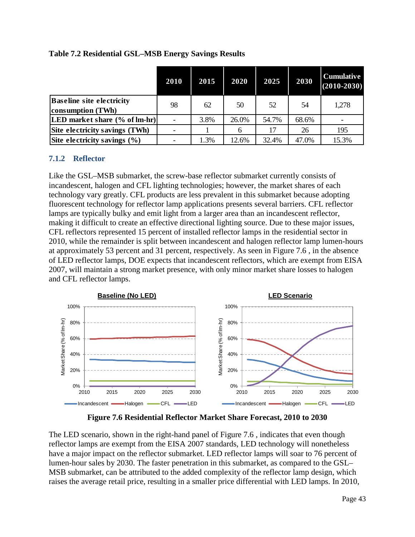|                                                       | 2010 | 2015 | 2020  | 2025  | 2030  | <b>Cumulative</b><br>$(2010 - 2030)$ |
|-------------------------------------------------------|------|------|-------|-------|-------|--------------------------------------|
| <b>Baseline site electricity</b><br>consumption (TWh) | 98   | 62   | 50    | 52    | 54    | 1,278                                |
| [LED market share (% of lm-hr)]                       |      | 3.8% | 26.0% | 54.7% | 68.6% |                                      |
| Site electricity savings (TWh)                        |      |      | 6     |       | 26    | 195                                  |
| Site electricity savings $(\% )$                      |      | 1.3% | 12.6% | 32.4% | 47.0% | 15.3%                                |

#### <span id="page-48-0"></span>**Table 7.2 Residential GSL–MSB Energy Savings Results**

### **7.1.2 Reflector**

Like the GSL–MSB submarket, the screw-base reflector submarket currently consists of incandescent, halogen and CFL lighting technologies; however, the market shares of each technology vary greatly. CFL products are less prevalent in this submarket because adopting fluorescent technology for reflector lamp applications presents several barriers. CFL reflector lamps are typically bulky and emit light from a larger area than an incandescent reflector, making it difficult to create an effective directional lighting source. Due to these major issues, CFL reflectors represented 15 percent of installed reflector lamps in the residential sector in 2010, while the remainder is split between incandescent and halogen reflector lamp lumen-hours at approximately 53 percent and 31 percent, respectively. As seen in [Figure 7.6](#page-48-1) , in the absence of LED reflector lamps, DOE expects that incandescent reflectors, which are exempt from EISA 2007, will maintain a strong market presence, with only minor market share losses to halogen and CFL reflector lamps.



**Figure 7.6 Residential Reflector Market Share Forecast, 2010 to 2030**

<span id="page-48-1"></span>The LED scenario, shown in the right-hand panel of [Figure 7.6](#page-48-1) , indicates that even though reflector lamps are exempt from the EISA 2007 standards, LED technology will nonetheless have a major impact on the reflector submarket. LED reflector lamps will soar to 76 percent of lumen-hour sales by 2030. The faster penetration in this submarket, as compared to the GSL– MSB submarket, can be attributed to the added complexity of the reflector lamp design, which raises the average retail price, resulting in a smaller price differential with LED lamps. In 2010,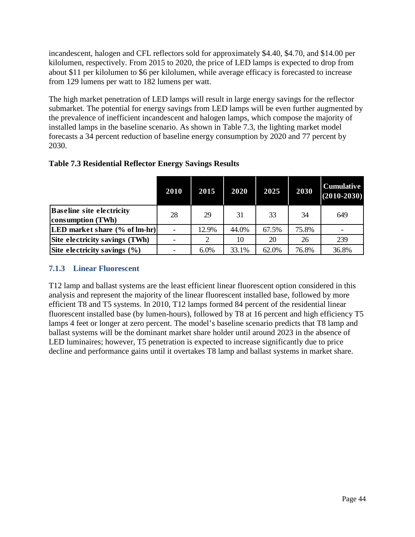incandescent, halogen and CFL reflectors sold for approximately \$4.40, \$4.70, and \$14.00 per kilolumen, respectively. From 2015 to 2020, the price of LED lamps is expected to drop from about \$11 per kilolumen to \$6 per kilolumen, while average efficacy is forecasted to increase from 129 lumens per watt to 182 lumens per watt.

The high market penetration of LED lamps will result in large energy savings for the reflector submarket. The potential for energy savings from LED lamps will be even further augmented by the prevalence of inefficient incandescent and halogen lamps, which compose the majority of installed lamps in the baseline scenario. As shown in [Table 7.3,](#page-49-0) the lighting market model forecasts a 34 percent reduction of baseline energy consumption by 2020 and 77 percent by 2030.

<span id="page-49-0"></span>

| <b>Table 7.3 Residential Reflector Energy Savings Results</b> |  |  |
|---------------------------------------------------------------|--|--|
|---------------------------------------------------------------|--|--|

|                                                       | 2010 | 2015    | 2020  | 2025  | 2030  | <b>Cumulative</b><br>$(2010 - 2030)$ |
|-------------------------------------------------------|------|---------|-------|-------|-------|--------------------------------------|
| <b>Baseline site electricity</b><br>consumption (TWh) | 28   | 29      | 31    | 33    | 34    | 649                                  |
| [LED market share (% of lm-hr)]                       |      | 12.9%   | 44.0% | 67.5% | 75.8% |                                      |
| Site electricity savings (TWh)                        |      | 2       | 10    | 20    | 26    | 239                                  |
| Site electricity savings $(\% )$                      |      | $6.0\%$ | 33.1% | 62.0% | 76.8% | 36.8%                                |

#### **7.1.3 Linear Fluorescent**

T12 lamp and ballast systems are the least efficient linear fluorescent option considered in this analysis and represent the majority of the linear fluorescent installed base, followed by more efficient T8 and T5 systems. In 2010, T12 lamps formed 84 percent of the residential linear fluorescent installed base (by lumen-hours), followed by T8 at 16 percent and high efficiency T5 lamps 4 feet or longer at zero percent. The model's baseline scenario predicts that T8 lamp and ballast systems will be the dominant market share holder until around 2023 in the absence of LED luminaires; however, T5 penetration is expected to increase significantly due to price decline and performance gains until it overtakes T8 lamp and ballast systems in market share.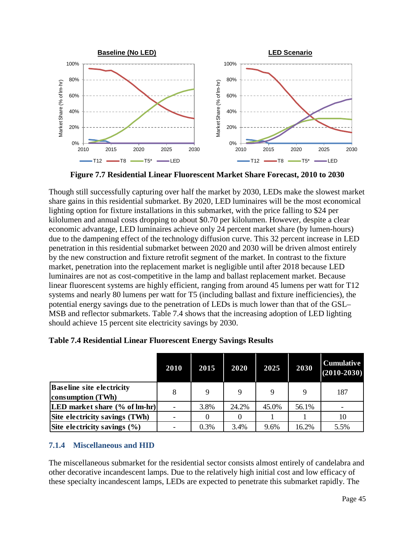

**Figure 7.7 Residential Linear Fluorescent Market Share Forecast, 2010 to 2030**

Though still successfully capturing over half the market by 2030, LEDs make the slowest market share gains in this residential submarket. By 2020, LED luminaires will be the most economical lighting option for fixture installations in this submarket, with the price falling to \$24 per kilolumen and annual costs dropping to about \$0.70 per kilolumen. However, despite a clear economic advantage, LED luminaires achieve only 24 percent market share (by lumen-hours) due to the dampening effect of the technology diffusion curve. This 32 percent increase in LED penetration in this residential submarket between 2020 and 2030 will be driven almost entirely by the new construction and fixture retrofit segment of the market. In contrast to the fixture market, penetration into the replacement market is negligible until after 2018 because LED luminaires are not as cost-competitive in the lamp and ballast replacement market. Because linear fluorescent systems are highly efficient, ranging from around 45 lumens per watt for T12 systems and nearly 80 lumens per watt for T5 (including ballast and fixture inefficiencies), the potential energy savings due to the penetration of LEDs is much lower than that of the GSL– MSB and reflector submarkets. [Table 7.4](#page-50-0) shows that the increasing adoption of LED lighting should achieve 15 percent site electricity savings by 2030.

|                                                       | 2010 | 2015     | 2020  | 2025  | 2030  | <b>Cumulative</b><br>$(2010 - 2030)$ |
|-------------------------------------------------------|------|----------|-------|-------|-------|--------------------------------------|
| <b>Baseline site electricity</b><br>consumption (TWh) | 8    | 9        | 9     | Q     | 9     | 187                                  |
| [LED market share (% of lm-hr)]                       |      | 3.8%     | 24.2% | 45.0% | 56.1% |                                      |
| Site electricity savings (TWh)                        |      | $\theta$ |       |       |       | 10                                   |
| Site electricity savings $(\% )$                      |      | 0.3%     | 3.4%  | 9.6%  | 16.2% | 5.5%                                 |

<span id="page-50-0"></span>**Table 7.4 Residential Linear Fluorescent Energy Savings Results**

## **7.1.4 Miscellaneous and HID**

The miscellaneous submarket for the residential sector consists almost entirely of candelabra and other decorative incandescent lamps. Due to the relatively high initial cost and low efficacy of these specialty incandescent lamps, LEDs are expected to penetrate this submarket rapidly. The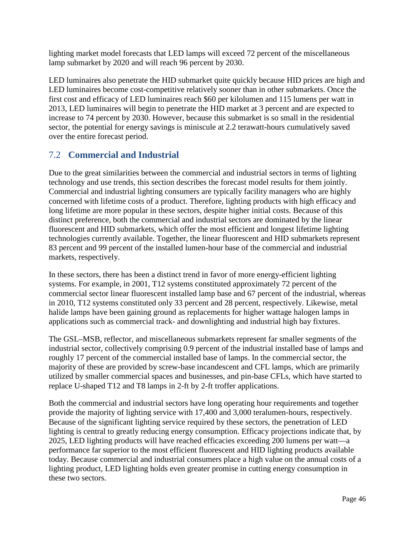lighting market model forecasts that LED lamps will exceed 72 percent of the miscellaneous lamp submarket by 2020 and will reach 96 percent by 2030.

LED luminaires also penetrate the HID submarket quite quickly because HID prices are high and LED luminaires become cost-competitive relatively sooner than in other submarkets. Once the first cost and efficacy of LED luminaires reach \$60 per kilolumen and 115 lumens per watt in 2013, LED luminaires will begin to penetrate the HID market at 3 percent and are expected to increase to 74 percent by 2030. However, because this submarket is so small in the residential sector, the potential for energy savings is miniscule at 2.2 terawatt-hours cumulatively saved over the entire forecast period.

## 7.2 **Commercial and Industrial**

Due to the great similarities between the commercial and industrial sectors in terms of lighting technology and use trends, this section describes the forecast model results for them jointly. Commercial and industrial lighting consumers are typically facility managers who are highly concerned with lifetime costs of a product. Therefore, lighting products with high efficacy and long lifetime are more popular in these sectors, despite higher initial costs. Because of this distinct preference, both the commercial and industrial sectors are dominated by the linear fluorescent and HID submarkets, which offer the most efficient and longest lifetime lighting technologies currently available. Together, the linear fluorescent and HID submarkets represent 83 percent and 99 percent of the installed lumen-hour base of the commercial and industrial markets, respectively.

In these sectors, there has been a distinct trend in favor of more energy-efficient lighting systems. For example, in 2001, T12 systems constituted approximately 72 percent of the commercial sector linear fluorescent installed lamp base and 67 percent of the industrial, whereas in 2010, T12 systems constituted only 33 percent and 28 percent, respectively. Likewise, metal halide lamps have been gaining ground as replacements for higher wattage halogen lamps in applications such as commercial track- and downlighting and industrial high bay fixtures.

The GSL–MSB, reflector, and miscellaneous submarkets represent far smaller segments of the industrial sector, collectively comprising 0.9 percent of the industrial installed base of lamps and roughly 17 percent of the commercial installed base of lamps. In the commercial sector, the majority of these are provided by screw-base incandescent and CFL lamps, which are primarily utilized by smaller commercial spaces and businesses, and pin-base CFLs, which have started to replace U-shaped T12 and T8 lamps in 2-ft by 2-ft troffer applications.

Both the commercial and industrial sectors have long operating hour requirements and together provide the majority of lighting service with 17,400 and 3,000 teralumen-hours, respectively. Because of the significant lighting service required by these sectors, the penetration of LED lighting is central to greatly reducing energy consumption. Efficacy projections indicate that, by 2025, LED lighting products will have reached efficacies exceeding 200 lumens per watt—a performance far superior to the most efficient fluorescent and HID lighting products available today. Because commercial and industrial consumers place a high value on the annual costs of a lighting product, LED lighting holds even greater promise in cutting energy consumption in these two sectors.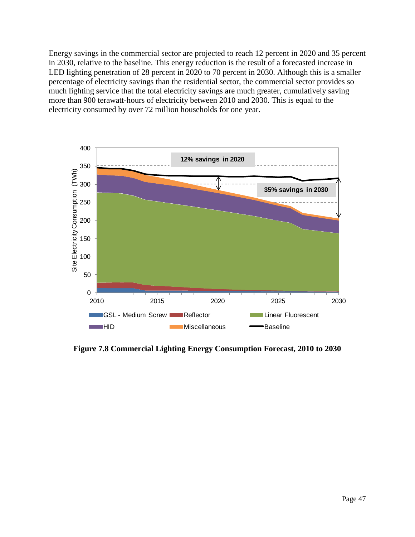Energy savings in the commercial sector are projected to reach 12 percent in 2020 and 35 percent in 2030, relative to the baseline. This energy reduction is the result of a forecasted increase in LED lighting penetration of 28 percent in 2020 to 70 percent in 2030. Although this is a smaller percentage of electricity savings than the residential sector, the commercial sector provides so much lighting service that the total electricity savings are much greater, cumulatively saving more than 900 terawatt-hours of electricity between 2010 and 2030. This is equal to the electricity consumed by over 72 million households for one year.



**Figure 7.8 Commercial Lighting Energy Consumption Forecast, 2010 to 2030**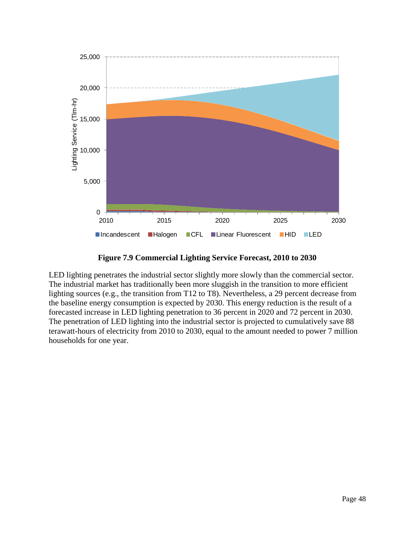

**Figure 7.9 Commercial Lighting Service Forecast, 2010 to 2030**

LED lighting penetrates the industrial sector slightly more slowly than the commercial sector. The industrial market has traditionally been more sluggish in the transition to more efficient lighting sources (e.g., the transition from T12 to T8). Nevertheless, a 29 percent decrease from the baseline energy consumption is expected by 2030. This energy reduction is the result of a forecasted increase in LED lighting penetration to 36 percent in 2020 and 72 percent in 2030. The penetration of LED lighting into the industrial sector is projected to cumulatively save 88 terawatt-hours of electricity from 2010 to 2030, equal to the amount needed to power 7 million households for one year.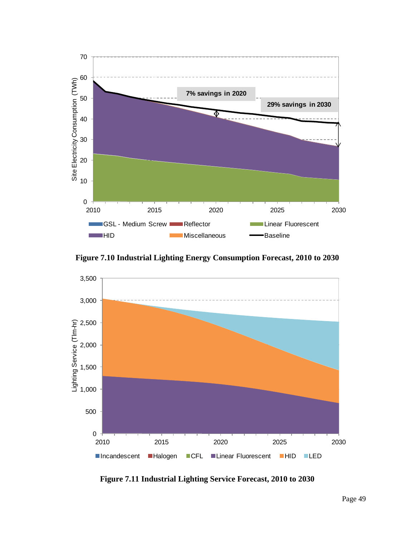

**Figure 7.10 Industrial Lighting Energy Consumption Forecast, 2010 to 2030**



**Figure 7.11 Industrial Lighting Service Forecast, 2010 to 2030**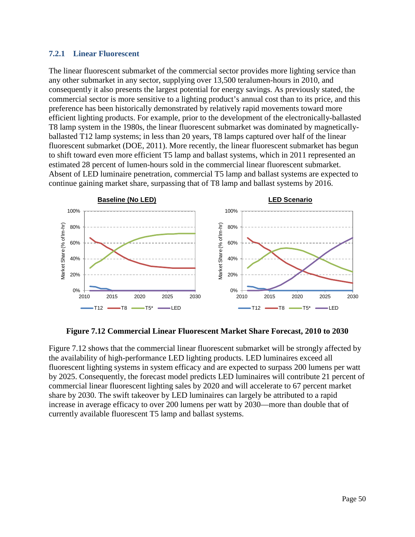#### **7.2.1 Linear Fluorescent**

The linear fluorescent submarket of the commercial sector provides more lighting service than any other submarket in any sector, supplying over 13,500 teralumen-hours in 2010, and consequently it also presents the largest potential for energy savings. As previously stated, the commercial sector is more sensitive to a lighting product's annual cost than to its price, and this preference has been historically demonstrated by relatively rapid movements toward more efficient lighting products. For example, prior to the development of the electronically-ballasted T8 lamp system in the 1980s, the linear fluorescent submarket was dominated by magneticallyballasted T12 lamp systems; in less than 20 years, T8 lamps captured over half of the linear fluorescent submarket (DOE, 2011). More recently, the linear fluorescent submarket has begun to shift toward even more efficient T5 lamp and ballast systems, which in 2011 represented an estimated 28 percent of lumen-hours sold in the commercial linear fluorescent submarket. Absent of LED luminaire penetration, commercial T5 lamp and ballast systems are expected to continue gaining market share, surpassing that of T8 lamp and ballast systems by 2016.



**Figure 7.12 Commercial Linear Fluorescent Market Share Forecast, 2010 to 2030**

<span id="page-55-0"></span>[Figure 7.12](#page-55-0) shows that the commercial linear fluorescent submarket will be strongly affected by the availability of high-performance LED lighting products. LED luminaires exceed all fluorescent lighting systems in system efficacy and are expected to surpass 200 lumens per watt by 2025. Consequently, the forecast model predicts LED luminaires will contribute 21 percent of commercial linear fluorescent lighting sales by 2020 and will accelerate to 67 percent market share by 2030. The swift takeover by LED luminaires can largely be attributed to a rapid increase in average efficacy to over 200 lumens per watt by 2030—more than double that of currently available fluorescent T5 lamp and ballast systems.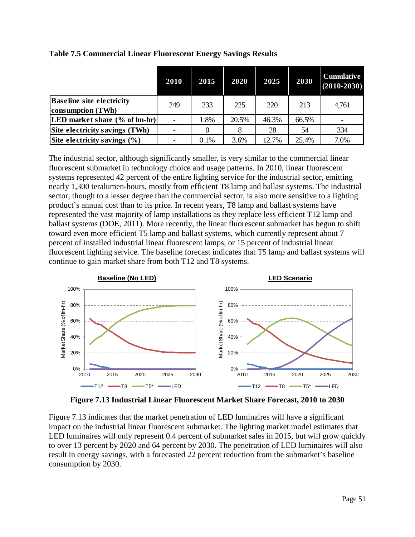|                                                       | 2010 | 2015 | 2020  | 2025  | 2030  | <b>Cumulative</b><br>$(2010 - 2030)$ |
|-------------------------------------------------------|------|------|-------|-------|-------|--------------------------------------|
| <b>Baseline site electricity</b><br>consumption (TWh) | 249  | 233  | 225   | 220   | 213   | 4,761                                |
| [LED market share (% of lm-hr)]                       |      | 1.8% | 20.5% | 46.3% | 66.5% |                                      |
| Site electricity savings (TWh)                        |      |      |       | 28    | 54    | 334                                  |
| Site electricity savings $(\% )$                      |      | 0.1% | 3.6%  | 12.7% | 25.4% | 7.0%                                 |

#### **Table 7.5 Commercial Linear Fluorescent Energy Savings Results**

The industrial sector, although significantly smaller, is very similar to the commercial linear fluorescent submarket in technology choice and usage patterns. In 2010, linear fluorescent systems represented 42 percent of the entire lighting service for the industrial sector, emitting nearly 1,300 teralumen-hours, mostly from efficient T8 lamp and ballast systems. The industrial sector, though to a lesser degree than the commercial sector, is also more sensitive to a lighting product's annual cost than to its price. In recent years, T8 lamp and ballast systems have represented the vast majority of lamp installations as they replace less efficient T12 lamp and ballast systems (DOE, 2011). More recently, the linear fluorescent submarket has begun to shift toward even more efficient T5 lamp and ballast systems, which currently represent about 7 percent of installed industrial linear fluorescent lamps, or 15 percent of industrial linear fluorescent lighting service. The baseline forecast indicates that T5 lamp and ballast systems will continue to gain market share from both T12 and T8 systems.



**Figure 7.13 Industrial Linear Fluorescent Market Share Forecast, 2010 to 2030**

<span id="page-56-0"></span>[Figure 7.13](#page-56-0) indicates that the market penetration of LED luminaires will have a significant impact on the industrial linear fluorescent submarket. The lighting market model estimates that LED luminaires will only represent 0.4 percent of submarket sales in 2015, but will grow quickly to over 13 percent by 2020 and 64 percent by 2030. The penetration of LED luminaires will also result in energy savings, with a forecasted 22 percent reduction from the submarket's baseline consumption by 2030.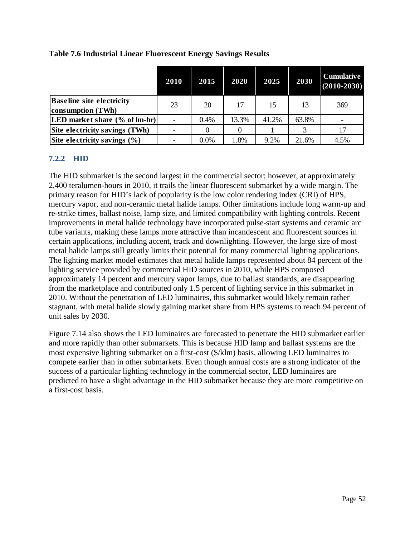|                                                       | 2010 | 2015    | 2020  | 2025  | 2030  | <b>Cumulative</b><br>$(2010 - 2030)$ |
|-------------------------------------------------------|------|---------|-------|-------|-------|--------------------------------------|
| <b>Baseline site electricity</b><br>consumption (TWh) | 23   | 20      | 17    | 15    | 13    | 369                                  |
| [LED market share (% of lm-hr)]                       |      | 0.4%    | 13.3% | 41.2% | 63.8% |                                      |
| Site electricity savings (TWh)                        |      |         |       |       |       | 17                                   |
| Site electricity savings $(\% )$                      |      | $0.0\%$ | 1.8%  | 9.2%  | 21.6% | 4.5%                                 |

### **Table 7.6 Industrial Linear Fluorescent Energy Savings Results**

### **7.2.2 HID**

The HID submarket is the second largest in the commercial sector; however, at approximately 2,400 teralumen-hours in 2010, it trails the linear fluorescent submarket by a wide margin. The primary reason for HID's lack of popularity is the low color rendering index (CRI) of HPS, mercury vapor, and non-ceramic metal halide lamps. Other limitations include long warm-up and re-strike times, ballast noise, lamp size, and limited compatibility with lighting controls. Recent improvements in metal halide technology have incorporated pulse-start systems and ceramic arc tube variants, making these lamps more attractive than incandescent and fluorescent sources in certain applications, including accent, track and downlighting. However, the large size of most metal halide lamps still greatly limits their potential for many commercial lighting applications. The lighting market model estimates that metal halide lamps represented about 84 percent of the lighting service provided by commercial HID sources in 2010, while HPS composed approximately 14 percent and mercury vapor lamps, due to ballast standards, are disappearing from the marketplace and contributed only 1.5 percent of lighting service in this submarket in 2010. Without the penetration of LED luminaires, this submarket would likely remain rather stagnant, with metal halide slowly gaining market share from HPS systems to reach 94 percent of unit sales by 2030.

[Figure 7.14](#page-58-0) also shows the LED luminaires are forecasted to penetrate the HID submarket earlier and more rapidly than other submarkets. This is because HID lamp and ballast systems are the most expensive lighting submarket on a first-cost (\$/klm) basis, allowing LED luminaires to compete earlier than in other submarkets. Even though annual costs are a strong indicator of the success of a particular lighting technology in the commercial sector, LED luminaires are predicted to have a slight advantage in the HID submarket because they are more competitive on a first-cost basis.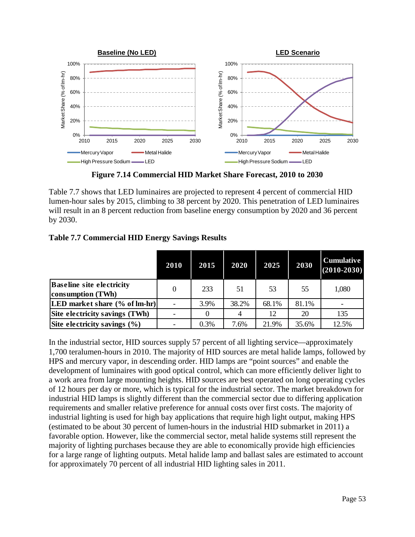

**Figure 7.14 Commercial HID Market Share Forecast, 2010 to 2030**

<span id="page-58-0"></span>[Table 7.7](#page-58-1) shows that LED luminaires are projected to represent 4 percent of commercial HID lumen-hour sales by 2015, climbing to 38 percent by 2020. This penetration of LED luminaires will result in an 8 percent reduction from baseline energy consumption by 2020 and 36 percent by 2030.

### <span id="page-58-1"></span>**Table 7.7 Commercial HID Energy Savings Results**

|                                                       | 2010 | 2015 | 2020  | 2025  | 2030  | <b>Cumulative</b><br>$(2010 - 2030)$ |
|-------------------------------------------------------|------|------|-------|-------|-------|--------------------------------------|
| <b>Baseline site electricity</b><br>consumption (TWh) |      | 233  | 51    | 53    | 55    | 1,080                                |
| [LED market share (% of lm-hr)]                       |      | 3.9% | 38.2% | 68.1% | 81.1% |                                      |
| Site electricity savings (TWh)                        |      |      |       | 12    | 20    | 135                                  |
| Site electricity savings $(\% )$                      |      | 0.3% | 7.6%  | 21.9% | 35.6% | 12.5%                                |

In the industrial sector, HID sources supply 57 percent of all lighting service—approximately 1,700 teralumen-hours in 2010. The majority of HID sources are metal halide lamps, followed by HPS and mercury vapor, in descending order. HID lamps are "point sources" and enable the development of luminaires with good optical control, which can more efficiently deliver light to a work area from large mounting heights. HID sources are best operated on long operating cycles of 12 hours per day or more, which is typical for the industrial sector. The market breakdown for industrial HID lamps is slightly different than the commercial sector due to differing application requirements and smaller relative preference for annual costs over first costs. The majority of industrial lighting is used for high bay applications that require high light output, making HPS (estimated to be about 30 percent of lumen-hours in the industrial HID submarket in 2011) a favorable option. However, like the commercial sector, metal halide systems still represent the majority of lighting purchases because they are able to economically provide high efficiencies for a large range of lighting outputs. Metal halide lamp and ballast sales are estimated to account for approximately 70 percent of all industrial HID lighting sales in 2011.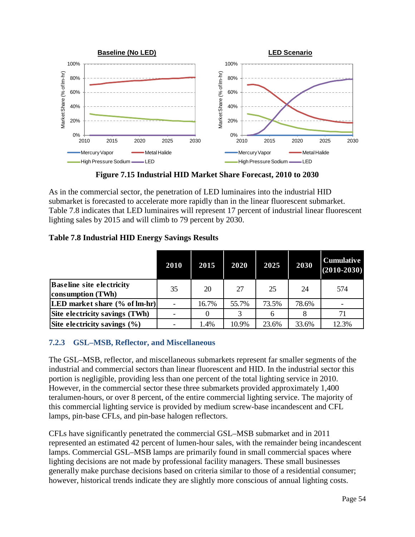

**Figure 7.15 Industrial HID Market Share Forecast, 2010 to 2030**

As in the commercial sector, the penetration of LED luminaires into the industrial HID submarket is forecasted to accelerate more rapidly than in the linear fluorescent submarket. [Table 7.8](#page-59-0) indicates that LED luminaires will represent 17 percent of industrial linear fluorescent lighting sales by 2015 and will climb to 79 percent by 2030.

#### <span id="page-59-0"></span>**Table 7.8 Industrial HID Energy Savings Results**

|                                                       | 2010 | 2015  | 2020  | 2025         | 2030  | <b>Cumulative</b><br>$(2010 - 2030)$ |
|-------------------------------------------------------|------|-------|-------|--------------|-------|--------------------------------------|
| <b>Baseline site electricity</b><br>consumption (TWh) | 35   | 20    | 27    | 25           | 24    | 574                                  |
| [LED market share (% of lm-hr)]                       |      | 16.7% | 55.7% | 73.5%        | 78.6% |                                      |
| Site electricity savings (TWh)                        |      | 0     | 3     | <sub>6</sub> |       | 71                                   |
| Site electricity savings $(\% )$                      |      | 1.4%  | 10.9% | 23.6%        | 33.6% | 12.3%                                |

### **7.2.3 GSL–MSB, Reflector, and Miscellaneous**

The GSL–MSB, reflector, and miscellaneous submarkets represent far smaller segments of the industrial and commercial sectors than linear fluorescent and HID. In the industrial sector this portion is negligible, providing less than one percent of the total lighting service in 2010. However, in the commercial sector these three submarkets provided approximately 1,400 teralumen-hours, or over 8 percent, of the entire commercial lighting service. The majority of this commercial lighting service is provided by medium screw-base incandescent and CFL lamps, pin-base CFLs, and pin-base halogen reflectors.

CFLs have significantly penetrated the commercial GSL–MSB submarket and in 2011 represented an estimated 42 percent of lumen-hour sales, with the remainder being incandescent lamps. Commercial GSL–MSB lamps are primarily found in small commercial spaces where lighting decisions are not made by professional facility managers. These small businesses generally make purchase decisions based on criteria similar to those of a residential consumer; however, historical trends indicate they are slightly more conscious of annual lighting costs.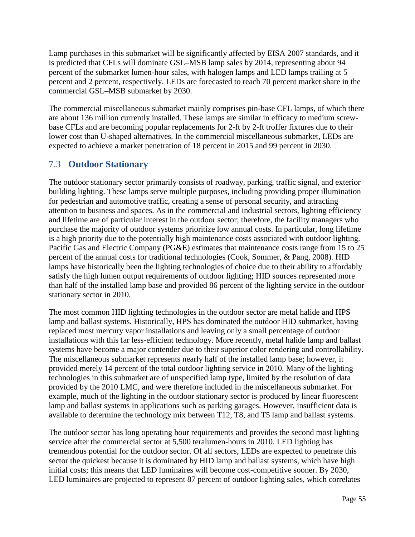Lamp purchases in this submarket will be significantly affected by EISA 2007 standards, and it is predicted that CFLs will dominate GSL–MSB lamp sales by 2014, representing about 94 percent of the submarket lumen-hour sales, with halogen lamps and LED lamps trailing at 5 percent and 2 percent, respectively. LEDs are forecasted to reach 70 percent market share in the commercial GSL–MSB submarket by 2030.

The commercial miscellaneous submarket mainly comprises pin-base CFL lamps, of which there are about 136 million currently installed. These lamps are similar in efficacy to medium screwbase CFLs and are becoming popular replacements for 2-ft by 2-ft troffer fixtures due to their lower cost than U-shaped alternatives. In the commercial miscellaneous submarket, LEDs are expected to achieve a market penetration of 18 percent in 2015 and 99 percent in 2030.

## 7.3 **Outdoor Stationary**

The outdoor stationary sector primarily consists of roadway, parking, traffic signal, and exterior building lighting. These lamps serve multiple purposes, including providing proper illumination for pedestrian and automotive traffic, creating a sense of personal security, and attracting attention to business and spaces. As in the commercial and industrial sectors, lighting efficiency and lifetime are of particular interest in the outdoor sector; therefore, the facility managers who purchase the majority of outdoor systems prioritize low annual costs. In particular, long lifetime is a high priority due to the potentially high maintenance costs associated with outdoor lighting. Pacific Gas and Electric Company (PG&E) estimates that maintenance costs range from 15 to 25 percent of the annual costs for traditional technologies (Cook, Sommer, & Pang, 2008). HID lamps have historically been the lighting technologies of choice due to their ability to affordably satisfy the high lumen output requirements of outdoor lighting; HID sources represented more than half of the installed lamp base and provided 86 percent of the lighting service in the outdoor stationary sector in 2010.

The most common HID lighting technologies in the outdoor sector are metal halide and HPS lamp and ballast systems. Historically, HPS has dominated the outdoor HID submarket, having replaced most mercury vapor installations and leaving only a small percentage of outdoor installations with this far less-efficient technology. More recently, metal halide lamp and ballast systems have become a major contender due to their superior color rendering and controllability. The miscellaneous submarket represents nearly half of the installed lamp base; however, it provided merely 14 percent of the total outdoor lighting service in 2010. Many of the lighting technologies in this submarket are of unspecified lamp type, limited by the resolution of data provided by the 2010 LMC, and were therefore included in the miscellaneous submarket. For example, much of the lighting in the outdoor stationary sector is produced by linear fluorescent lamp and ballast systems in applications such as parking garages. However, insufficient data is available to determine the technology mix between T12, T8, and T5 lamp and ballast systems.

The outdoor sector has long operating hour requirements and provides the second most lighting service after the commercial sector at 5,500 teralumen-hours in 2010. LED lighting has tremendous potential for the outdoor sector. Of all sectors, LEDs are expected to penetrate this sector the quickest because it is dominated by HID lamp and ballast systems, which have high initial costs; this means that LED luminaires will become cost-competitive sooner. By 2030, LED luminaires are projected to represent 87 percent of outdoor lighting sales, which correlates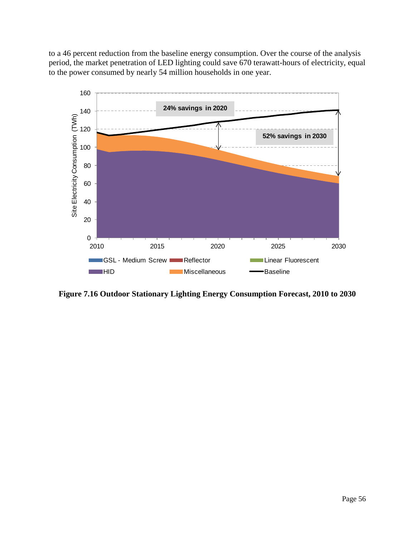to a 46 percent reduction from the baseline energy consumption. Over the course of the analysis period, the market penetration of LED lighting could save 670 terawatt-hours of electricity, equal to the power consumed by nearly 54 million households in one year.



<span id="page-61-0"></span>**Figure 7.16 Outdoor Stationary Lighting Energy Consumption Forecast, 2010 to 2030**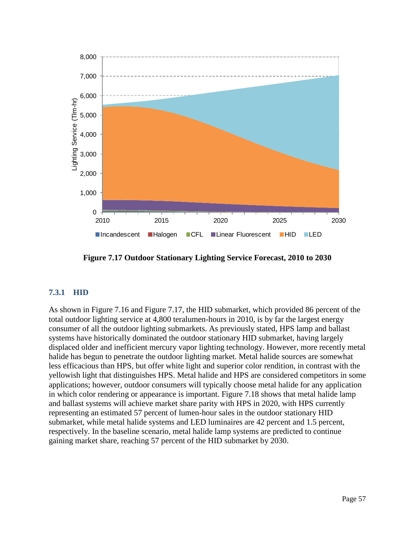

**Figure 7.17 Outdoor Stationary Lighting Service Forecast, 2010 to 2030**

#### <span id="page-62-0"></span>**7.3.1 HID**

As shown in [Figure 7.16](#page-61-0) and [Figure 7.17,](#page-62-0) the HID submarket, which provided 86 percent of the total outdoor lighting service at 4,800 teralumen-hours in 2010, is by far the largest energy consumer of all the outdoor lighting submarkets. As previously stated, HPS lamp and ballast systems have historically dominated the outdoor stationary HID submarket, having largely displaced older and inefficient mercury vapor lighting technology. However, more recently metal halide has begun to penetrate the outdoor lighting market. Metal halide sources are somewhat less efficacious than HPS, but offer white light and superior color rendition, in contrast with the yellowish light that distinguishes HPS. Metal halide and HPS are considered competitors in some applications; however, outdoor consumers will typically choose metal halide for any application in which color rendering or appearance is important. [Figure 7.18](#page-63-0) shows that metal halide lamp and ballast systems will achieve market share parity with HPS in 2020, with HPS currently representing an estimated 57 percent of lumen-hour sales in the outdoor stationary HID submarket, while metal halide systems and LED luminaires are 42 percent and 1.5 percent, respectively. In the baseline scenario, metal halide lamp systems are predicted to continue gaining market share, reaching 57 percent of the HID submarket by 2030.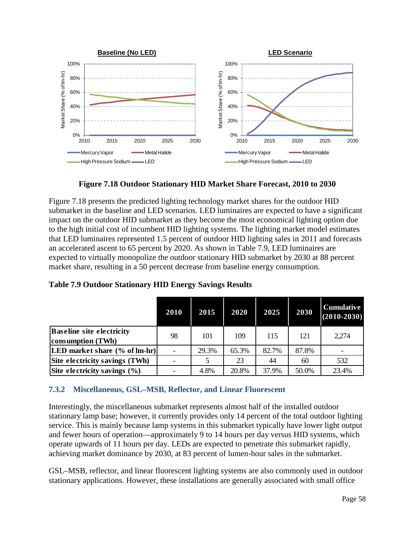

**Figure 7.18 Outdoor Stationary HID Market Share Forecast, 2010 to 2030**

<span id="page-63-0"></span>[Figure 7.18](#page-63-0) presents the predicted lighting technology market shares for the outdoor HID submarket in the baseline and LED scenarios. LED luminaires are expected to have a significant impact on the outdoor HID submarket as they become the most economical lighting option due to the high initial cost of incumbent HID lighting systems. The lighting market model estimates that LED luminaires represented 1.5 percent of outdoor HID lighting sales in 2011 and forecasts an accelerated ascent to 65 percent by 2020. As shown in [Table 7.9,](#page-63-1) LED luminaires are expected to virtually monopolize the outdoor stationary HID submarket by 2030 at 88 percent market share, resulting in a 50 percent decrease from baseline energy consumption.

|                                                       | 2010 | 2015  | 2020  | 2025  | 2030  | <b>Cumulative</b><br>$(2010 - 2030)$ |
|-------------------------------------------------------|------|-------|-------|-------|-------|--------------------------------------|
| <b>Baseline site electricity</b><br>consumption (TWh) | 98   | 101   | 109   | 115   | 121   | 2,274                                |
| [LED market share (% of lm-hr)]                       |      | 29.3% | 65.3% | 82.7% | 87.8% |                                      |
| Site electricity savings (TWh)                        |      |       | 23    | 44    | 60    | 532                                  |
| Site electricity savings $(\% )$                      |      | 4.8%  | 20.8% | 37.9% | 50.0% | 23.4%                                |

<span id="page-63-1"></span>**Table 7.9 Outdoor Stationary HID Energy Savings Results**

### **7.3.2 Miscellaneous, GSL–MSB, Reflector, and Linear Fluorescent**

Interestingly, the miscellaneous submarket represents almost half of the installed outdoor stationary lamp base; however, it currently provides only 14 percent of the total outdoor lighting service. This is mainly because lamp systems in this submarket typically have lower light output and fewer hours of operation—approximately 9 to 14 hours per day versus HID systems, which operate upwards of 11 hours per day. LEDs are expected to penetrate this submarket rapidly, achieving market dominance by 2030, at 83 percent of lumen-hour sales in the submarket.

GSL–MSB, reflector, and linear fluorescent lighting systems are also commonly used in outdoor stationary applications. However, these installations are generally associated with small office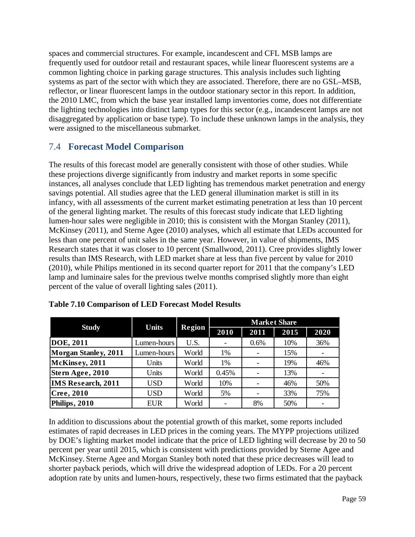spaces and commercial structures. For example, incandescent and CFL MSB lamps are frequently used for outdoor retail and restaurant spaces, while linear fluorescent systems are a common lighting choice in parking garage structures. This analysis includes such lighting systems as part of the sector with which they are associated. Therefore, there are no GSL–MSB, reflector, or linear fluorescent lamps in the outdoor stationary sector in this report. In addition, the 2010 LMC, from which the base year installed lamp inventories come, does not differentiate the lighting technologies into distinct lamp types for this sector (e.g., incandescent lamps are not disaggregated by application or base type). To include these unknown lamps in the analysis, they were assigned to the miscellaneous submarket.

## 7.4 **Forecast Model Comparison**

The results of this forecast model are generally consistent with those of other studies. While these projections diverge significantly from industry and market reports in some specific instances, all analyses conclude that LED lighting has tremendous market penetration and energy savings potential. All studies agree that the LED general illumination market is still in its infancy, with all assessments of the current market estimating penetration at less than 10 percent of the general lighting market. The results of this forecast study indicate that LED lighting lumen-hour sales were negligible in 2010; this is consistent with the Morgan Stanley (2011), McKinsey (2011), and Sterne Agee (2010) analyses, which all estimate that LEDs accounted for less than one percent of unit sales in the same year. However, in value of shipments, IMS Research states that it was closer to 10 percent (Smallwood, 2011). Cree provides slightly lower results than IMS Research, with LED market share at less than five percent by value for 2010 (2010), while Philips mentioned in its second quarter report for 2011 that the company's LED lamp and luminaire sales for the previous twelve months comprised slightly more than eight percent of the value of overall lighting sales (2011).

|                             | <b>Units</b> |               | <b>Market Share</b> |      |      |      |  |  |  |
|-----------------------------|--------------|---------------|---------------------|------|------|------|--|--|--|
| <b>Study</b>                |              | <b>Region</b> | 2010                | 2011 | 2015 | 2020 |  |  |  |
| <b>DOE, 2011</b>            | Lumen-hours  | U.S.          |                     | 0.6% | 10%  | 36%  |  |  |  |
| <b>Morgan Stanley, 2011</b> | Lumen-hours  | World         | 1%                  |      | 15%  |      |  |  |  |
| McKinsey, 2011              | Units        | World         | 1%                  |      | 19%  | 46%  |  |  |  |
| Stern Agee, 2010            | Units        | World         | 0.45%               |      | 13%  |      |  |  |  |
| <b>IMS Research, 2011</b>   | <b>USD</b>   | World         | 10%                 |      | 46%  | 50%  |  |  |  |
| Cree, 2010                  | USD          | World         | 5%                  |      | 33%  | 75%  |  |  |  |
| Philips, 2010               | <b>EUR</b>   | World         |                     | 8%   | 50%  |      |  |  |  |

| <b>Table 7.10 Comparison of LED Forecast Model Results</b> |  |
|------------------------------------------------------------|--|
|------------------------------------------------------------|--|

In addition to discussions about the potential growth of this market, some reports included estimates of rapid decreases in LED prices in the coming years. The MYPP projections utilized by DOE's lighting market model indicate that the price of LED lighting will decrease by 20 to 50 percent per year until 2015, which is consistent with predictions provided by Sterne Agee and McKinsey. Sterne Agee and Morgan Stanley both noted that these price decreases will lead to shorter payback periods, which will drive the widespread adoption of LEDs. For a 20 percent adoption rate by units and lumen-hours, respectively, these two firms estimated that the payback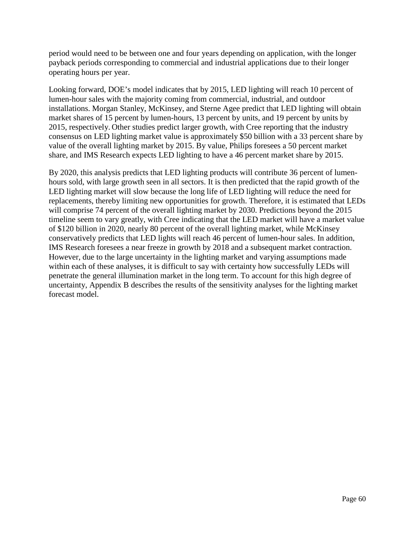period would need to be between one and four years depending on application, with the longer payback periods corresponding to commercial and industrial applications due to their longer operating hours per year.

Looking forward, DOE's model indicates that by 2015, LED lighting will reach 10 percent of lumen-hour sales with the majority coming from commercial, industrial, and outdoor installations. Morgan Stanley, McKinsey, and Sterne Agee predict that LED lighting will obtain market shares of 15 percent by lumen-hours, 13 percent by units, and 19 percent by units by 2015, respectively. Other studies predict larger growth, with Cree reporting that the industry consensus on LED lighting market value is approximately \$50 billion with a 33 percent share by value of the overall lighting market by 2015. By value, Philips foresees a 50 percent market share, and IMS Research expects LED lighting to have a 46 percent market share by 2015.

By 2020, this analysis predicts that LED lighting products will contribute 36 percent of lumenhours sold, with large growth seen in all sectors. It is then predicted that the rapid growth of the LED lighting market will slow because the long life of LED lighting will reduce the need for replacements, thereby limiting new opportunities for growth. Therefore, it is estimated that LEDs will comprise 74 percent of the overall lighting market by 2030. Predictions beyond the 2015 timeline seem to vary greatly, with Cree indicating that the LED market will have a market value of \$120 billion in 2020, nearly 80 percent of the overall lighting market, while McKinsey conservatively predicts that LED lights will reach 46 percent of lumen-hour sales. In addition, IMS Research foresees a near freeze in growth by 2018 and a subsequent market contraction. However, due to the large uncertainty in the lighting market and varying assumptions made within each of these analyses, it is difficult to say with certainty how successfully LEDs will penetrate the general illumination market in the long term. To account for this high degree of uncertainty, [Appendix B](#page-70-0) describes the results of the sensitivity analyses for the lighting market forecast model.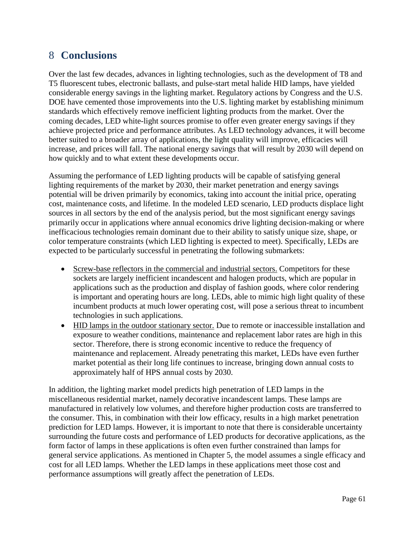# 8 **Conclusions**

Over the last few decades, advances in lighting technologies, such as the development of T8 and T5 fluorescent tubes, electronic ballasts, and pulse-start metal halide HID lamps, have yielded considerable energy savings in the lighting market. Regulatory actions by Congress and the U.S. DOE have cemented those improvements into the U.S. lighting market by establishing minimum standards which effectively remove inefficient lighting products from the market. Over the coming decades, LED white-light sources promise to offer even greater energy savings if they achieve projected price and performance attributes. As LED technology advances, it will become better suited to a broader array of applications, the light quality will improve, efficacies will increase, and prices will fall. The national energy savings that will result by 2030 will depend on how quickly and to what extent these developments occur.

Assuming the performance of LED lighting products will be capable of satisfying general lighting requirements of the market by 2030, their market penetration and energy savings potential will be driven primarily by economics, taking into account the initial price, operating cost, maintenance costs, and lifetime. In the modeled LED scenario, LED products displace light sources in all sectors by the end of the analysis period, but the most significant energy savings primarily occur in applications where annual economics drive lighting decision-making or where inefficacious technologies remain dominant due to their ability to satisfy unique size, shape, or color temperature constraints (which LED lighting is expected to meet). Specifically, LEDs are expected to be particularly successful in penetrating the following submarkets:

- Screw-base reflectors in the commercial and industrial sectors. Competitors for these sockets are largely inefficient incandescent and halogen products, which are popular in applications such as the production and display of fashion goods, where color rendering is important and operating hours are long. LEDs, able to mimic high light quality of these incumbent products at much lower operating cost, will pose a serious threat to incumbent technologies in such applications.
- HID lamps in the outdoor stationary sector. Due to remote or inaccessible installation and exposure to weather conditions, maintenance and replacement labor rates are high in this sector. Therefore, there is strong economic incentive to reduce the frequency of maintenance and replacement. Already penetrating this market, LEDs have even further market potential as their long life continues to increase, bringing down annual costs to approximately half of HPS annual costs by 2030.

In addition, the lighting market model predicts high penetration of LED lamps in the miscellaneous residential market, namely decorative incandescent lamps. These lamps are manufactured in relatively low volumes, and therefore higher production costs are transferred to the consumer. This, in combination with their low efficacy, results in a high market penetration prediction for LED lamps. However, it is important to note that there is considerable uncertainty surrounding the future costs and performance of LED products for decorative applications, as the form factor of lamps in these applications is often even further constrained than lamps for general service applications. As mentioned in Chapter [5,](#page-31-0) the model assumes a single efficacy and cost for all LED lamps. Whether the LED lamps in these applications meet those cost and performance assumptions will greatly affect the penetration of LEDs.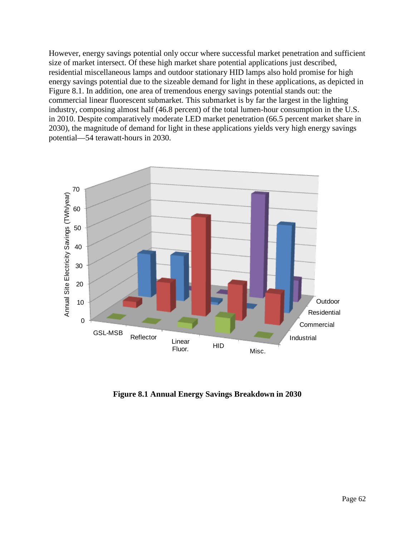However, energy savings potential only occur where successful market penetration and sufficient size of market intersect. Of these high market share potential applications just described, residential miscellaneous lamps and outdoor stationary HID lamps also hold promise for high energy savings potential due to the sizeable demand for light in these applications, as depicted in [Figure 8.1.](#page-67-0) In addition, one area of tremendous energy savings potential stands out: the commercial linear fluorescent submarket. This submarket is by far the largest in the lighting industry, composing almost half (46.8 percent) of the total lumen-hour consumption in the U.S. in 2010. Despite comparatively moderate LED market penetration (66.5 percent market share in 2030), the magnitude of demand for light in these applications yields very high energy savings potential—54 terawatt-hours in 2030.



<span id="page-67-0"></span>**Figure 8.1 Annual Energy Savings Breakdown in 2030**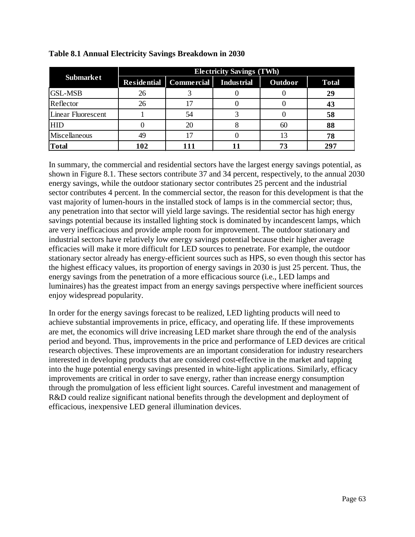|                    | <b>Electricity Savings (TWh)</b> |                          |                   |                |              |  |  |  |  |  |
|--------------------|----------------------------------|--------------------------|-------------------|----------------|--------------|--|--|--|--|--|
| <b>Submarket</b>   |                                  | Residential   Commercial | <b>Industrial</b> | <b>Outdoor</b> | <b>Total</b> |  |  |  |  |  |
| <b>GSL-MSB</b>     | 26                               |                          |                   |                | 29           |  |  |  |  |  |
| Reflector          | 26                               | 17                       |                   |                | 43           |  |  |  |  |  |
| Linear Fluorescent |                                  | 54                       |                   |                | 58           |  |  |  |  |  |
| <b>HID</b>         |                                  | 20                       |                   | 60             | 88           |  |  |  |  |  |
| Miscellaneous      | 49                               | 17                       |                   |                | 78           |  |  |  |  |  |
| <b>Total</b>       | 102                              |                          |                   |                | 297          |  |  |  |  |  |

#### **Table 8.1 Annual Electricity Savings Breakdown in 2030**

In summary, the commercial and residential sectors have the largest energy savings potential, as shown in [Figure 8.1.](#page-67-0) These sectors contribute 37 and 34 percent, respectively, to the annual 2030 energy savings, while the outdoor stationary sector contributes 25 percent and the industrial sector contributes 4 percent. In the commercial sector, the reason for this development is that the vast majority of lumen-hours in the installed stock of lamps is in the commercial sector; thus, any penetration into that sector will yield large savings. The residential sector has high energy savings potential because its installed lighting stock is dominated by incandescent lamps, which are very inefficacious and provide ample room for improvement. The outdoor stationary and industrial sectors have relatively low energy savings potential because their higher average efficacies will make it more difficult for LED sources to penetrate. For example, the outdoor stationary sector already has energy-efficient sources such as HPS, so even though this sector has the highest efficacy values, its proportion of energy savings in 2030 is just 25 percent. Thus, the energy savings from the penetration of a more efficacious source (i.e., LED lamps and luminaires) has the greatest impact from an energy savings perspective where inefficient sources enjoy widespread popularity.

In order for the energy savings forecast to be realized, LED lighting products will need to achieve substantial improvements in price, efficacy, and operating life. If these improvements are met, the economics will drive increasing LED market share through the end of the analysis period and beyond. Thus, improvements in the price and performance of LED devices are critical research objectives. These improvements are an important consideration for industry researchers interested in developing products that are considered cost-effective in the market and tapping into the huge potential energy savings presented in white-light applications. Similarly, efficacy improvements are critical in order to save energy, rather than increase energy consumption through the promulgation of less efficient light sources. Careful investment and management of R&D could realize significant national benefits through the development and deployment of efficacious, inexpensive LED general illumination devices.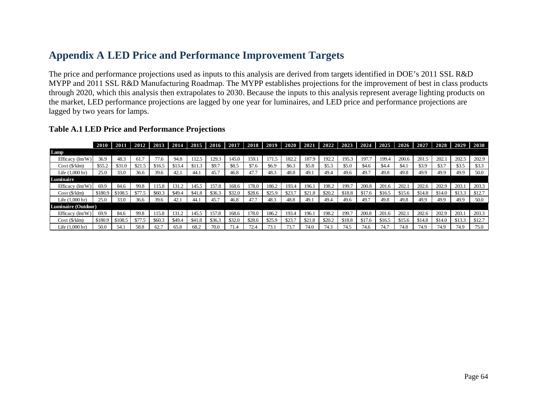# **Appendix A LED Price and Performance Improvement Targets**

The price and performance projections used as inputs to this analysis are derived from targets identified in DOE's 2011 SSL R&D MYPP and 2011 SSL R&D Manufacturing Roadmap. The MYPP establishes projections for the improvement of best in class products through 2020, which this analysis then extrapolates to 2030. Because the inputs to this analysis represent average lighting products on the market, LED performance projections are lagged by one year for luminaires, and LED price and performance projections are lagged by two years for lamps.

<span id="page-69-0"></span>

|                     |         | 2011    | 2012   |        |        | $2013$   2014   2015 | 2016   | 2017   |        | 2018 2019 |        | $2020$   2021 | 2022   | 2023   | 2024   | 2025   | 2026   | 2027   | 2028   | 2029   | 2030   |
|---------------------|---------|---------|--------|--------|--------|----------------------|--------|--------|--------|-----------|--------|---------------|--------|--------|--------|--------|--------|--------|--------|--------|--------|
| Lamp                |         |         |        |        |        |                      |        |        |        |           |        |               |        |        |        |        |        |        |        |        |        |
| Efficacy $(lm/W)$   | 36.9    | 48.3    | 61.7   | 77.6   | 94.8   | 112.5                | 129.3  | 145.0  | 159.1  | 171.5     | 182.2  | 187.9         | 192.2  | 195.3  | 197.7  | 199.4  | 200.6  | 201.5  | 202.1  | 202.5  | 202.9  |
| Cost(S/klm)         | \$55.2  | \$31.0  | \$21.5 | \$16.5 | \$13.4 | \$11.3               | \$9.7  | \$8.5  | \$7.6  | \$6.9     | \$6.3  | \$5.8         | \$5.3  | \$5.0  | \$4.6  | \$4.4  | \$4.1  | \$3.9  | \$3.7  | \$3.5  | \$3.3  |
| Life (1,000 hr)     | 25.0    | 33.0    | 36.6   | 39.6   | 42.1   | 44.                  | 45.7   | 46.8   | 47.7   | 48.3      | 48.8   | 49.1          | 49.4   | 49.6   | 49.7   | 49.8   | 49.8   | 49.9   | 49.9   | 49.9   | 50.0   |
| Luminaire           |         |         |        |        |        |                      |        |        |        |           |        |               |        |        |        |        |        |        |        |        |        |
| Efficacy $(lm/W)$   | 69.9    | 84.6    | 99.8   | 115.8  | 131.2  | 145.5                | 157.8  | 168.6  | 178.0  | 186.2     | 193.4  | 196.1         | 198.2  | 199.7  | 200.8  | 201.6  | 202.1  | 202.6  | 202.9  | 203.1  | 203.3  |
| Cost(S/klm)         | \$180.9 | \$108.5 | \$77.5 | \$60.3 | \$49.4 | \$41.8               | \$36.3 | \$32.0 | \$28.6 | \$25.9    | \$23.7 | \$21.8        | \$20.2 | \$18.8 | \$17.6 | \$16.5 | \$15.6 | \$14.8 | \$14.0 | \$13.3 | \$12.7 |
| Life $(1.000hr)$    | 25.0    | 33.0    | 36.6   | 39.6   | 42.1   | 44.1                 | 45.7   | 46.8   | 47.7   | 48.3      | 48.8   | 49.1          | 49.4   | 49.6   | 49.7   | 49.8   | 49.8   | 49.9   | 49.9   | 49.9   | 50.0   |
| Luminaire (Outdoor) |         |         |        |        |        |                      |        |        |        |           |        |               |        |        |        |        |        |        |        |        |        |
| Efficacy $(lm/W)$   | 69.9    | 84.6    | 99.8   | 115.8  | 131.2  | 145.5                | 157.8  | 168.6  | 178.0  | 186.2     | 193.4  | 196.1         | 198.2  | 199.7  | 200.8  | 201.6  | 202.1  | 202.6  | 202.9  | 203.1  | 203.3  |
| Cost(S/klm)         | \$180.9 | \$108.5 | \$77.5 | \$60.3 | \$49.4 | \$41.8               | \$36.3 | \$32.0 | \$28.6 | \$25.9    | \$23.7 | \$21.8        | \$20.2 | \$18.8 | \$17.6 | \$16.5 | \$15.6 | \$14.8 | \$14.0 | \$13.3 | \$12.7 |
| Life (1.000 hr)     | 50.0    | 54.1    | 58.8   | 62.7   | 65.8   | 68.2                 | 70.0   | 71.4   | 72.4   | 73.1      | 73.7   | 74.0          | 74.3   | 74.5   | 74.6   | 74.7   | 74.8   | 74.9   | 74.9   | 74.9   | 75.0   |

#### **Table A.1 LED Price and Performance Projections**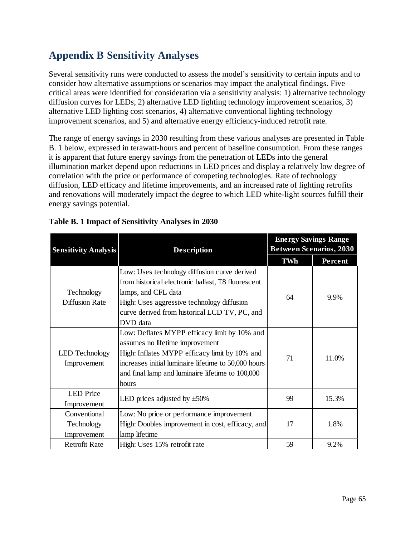# <span id="page-70-0"></span>**Appendix B Sensitivity Analyses**

Several sensitivity runs were conducted to assess the model's sensitivity to certain inputs and to consider how alternative assumptions or scenarios may impact the analytical findings. Five critical areas were identified for consideration via a sensitivity analysis: 1) alternative technology diffusion curves for LEDs, 2) alternative LED lighting technology improvement scenarios, 3) alternative LED lighting cost scenarios, 4) alternative conventional lighting technology improvement scenarios, and 5) and alternative energy efficiency-induced retrofit rate.

The range of energy savings in 2030 resulting from these various analyses are presented in [Table](#page-70-1)  [B. 1](#page-70-1) [below,](#page-70-1) expressed in terawatt-hours and percent of baseline consumption. From these ranges it is apparent that future energy savings from the penetration of LEDs into the general illumination market depend upon reductions in LED prices and display a relatively low degree of correlation with the price or performance of competing technologies. Rate of technology diffusion, LED efficacy and lifetime improvements, and an increased rate of lighting retrofits and renovations will moderately impact the degree to which LED white-light sources fulfill their energy savings potential.

| <b>Sensitivity Analysis</b>               | <b>Description</b>                                                                                                                                                                                                                                    | <b>Energy Savings Range</b><br><b>Between Scenarios, 2030</b> |         |  |  |
|-------------------------------------------|-------------------------------------------------------------------------------------------------------------------------------------------------------------------------------------------------------------------------------------------------------|---------------------------------------------------------------|---------|--|--|
|                                           |                                                                                                                                                                                                                                                       | TWh                                                           | Percent |  |  |
| Technology<br><b>Diffusion Rate</b>       | Low: Uses technology diffusion curve derived<br>from historical electronic ballast, T8 fluorescent<br>lamps, and CFL data<br>High: Uses aggressive technology diffusion<br>curve derived from historical LCD TV, PC, and<br>DVD data                  | 64                                                            | 9.9%    |  |  |
| <b>LED</b> Technology<br>Improvement      | Low: Deflates MYPP efficacy limit by 10% and<br>assumes no lifetime improvement<br>High: Inflates MYPP efficacy limit by 10% and<br>increases initial luminaire lifetime to 50,000 hours<br>and final lamp and luminaire lifetime to 100,000<br>hours | 71                                                            | 11.0%   |  |  |
| <b>LED</b> Price<br>Improvement           | LED prices adjusted by $\pm 50\%$                                                                                                                                                                                                                     | 99                                                            | 15.3%   |  |  |
| Conventional<br>Technology<br>Improvement | Low: No price or performance improvement<br>High: Doubles improvement in cost, efficacy, and<br>lamp lifetime                                                                                                                                         | 17                                                            | 1.8%    |  |  |
| <b>Retrofit Rate</b>                      | High: Uses 15% retrofit rate                                                                                                                                                                                                                          | 59                                                            | 9.2%    |  |  |

<span id="page-70-1"></span>

|  |  | Table B. 1 Impact of Sensitivity Analyses in 2030 |  |
|--|--|---------------------------------------------------|--|
|  |  |                                                   |  |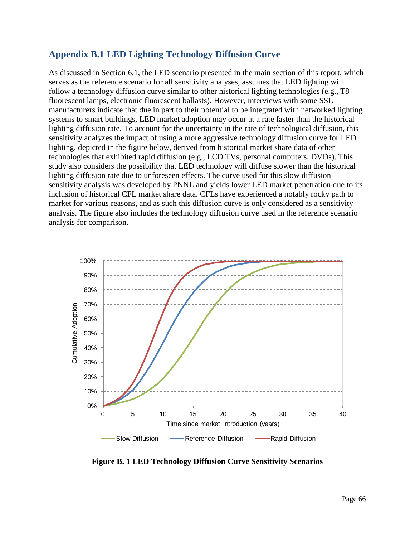## **Appendix B.1 LED Lighting Technology Diffusion Curve**

As discussed in Section [6.1,](#page-37-0) the LED scenario presented in the main section of this report, which serves as the reference scenario for all sensitivity analyses, assumes that LED lighting will follow a technology diffusion curve similar to other historical lighting technologies (e.g., T8 fluorescent lamps, electronic fluorescent ballasts). However, interviews with some SSL manufacturers indicate that due in part to their potential to be integrated with networked lighting systems to smart buildings, LED market adoption may occur at a rate faster than the historical lighting diffusion rate. To account for the uncertainty in the rate of technological diffusion, this sensitivity analyzes the impact of using a more aggressive technology diffusion curve for LED lighting, depicted in the figure below, derived from historical market share data of other technologies that exhibited rapid diffusion (e.g., LCD TVs, personal computers, DVDs). This study also considers the possibility that LED technology will diffuse slower than the historical lighting diffusion rate due to unforeseen effects. The curve used for this slow diffusion sensitivity analysis was developed by PNNL and yields lower LED market penetration due to its inclusion of historical CFL market share data. CFLs have experienced a notably rocky path to market for various reasons, and as such this diffusion curve is only considered as a sensitivity analysis. The figure also includes the technology diffusion curve used in the reference scenario analysis for comparison.



**Figure B. 1 LED Technology Diffusion Curve Sensitivity Scenarios**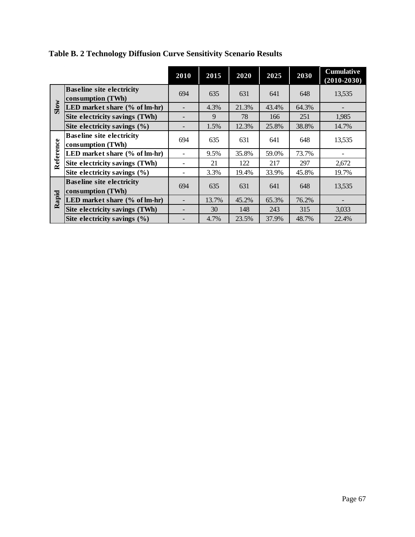|           |                                                       | 2010 | 2015  | 2020  | 2025  | 2030  | <b>Cumulative</b><br>$(2010 - 2030)$ |
|-----------|-------------------------------------------------------|------|-------|-------|-------|-------|--------------------------------------|
|           | <b>Baseline site electricity</b><br>consumption (TWh) | 694  | 635   | 631   | 641   | 648   | 13,535                               |
| Slow      | LED market share (% of lm-hr)                         |      | 4.3%  | 21.3% | 43.4% | 64.3% |                                      |
|           | Site electricity savings (TWh)                        |      | 9     | 78    | 166   | 251   | 1,985                                |
|           | Site electricity savings (%)                          |      | 1.5%  | 12.3% | 25.8% | 38.8% | 14.7%                                |
| Reference | <b>Baseline site electricity</b><br>consumption (TWh) | 694  | 635   | 631   | 641   | 648   | 13,535                               |
|           | LED market share (% of lm-hr)                         |      | 9.5%  | 35.8% | 59.0% | 73.7% |                                      |
|           | Site electricity savings (TWh)                        |      | 21    | 122   | 217   | 297   | 2,672                                |
|           | Site electricity savings $(\% )$                      |      | 3.3%  | 19.4% | 33.9% | 45.8% | 19.7%                                |
|           | <b>Baseline site electricity</b><br>consumption (TWh) | 694  | 635   | 631   | 641   | 648   | 13,535                               |
| apid      | LED market share (% of lm-hr)                         |      | 13.7% | 45.2% | 65.3% | 76.2% |                                      |
| ≃         | Site electricity savings (TWh)                        |      | 30    | 148   | 243   | 315   | 3,033                                |
|           | Site electricity savings $(\% )$                      |      | 4.7%  | 23.5% | 37.9% | 48.7% | 22.4%                                |

**Table B. 2 Technology Diffusion Curve Sensitivity Scenario Results**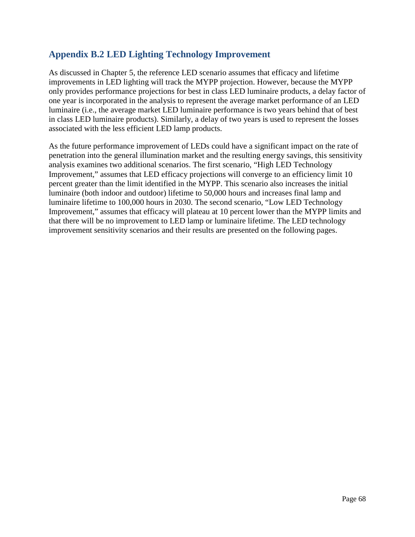## **Appendix B.2 LED Lighting Technology Improvement**

As discussed in Chapter [5,](#page-31-0) the reference LED scenario assumes that efficacy and lifetime improvements in LED lighting will track the MYPP projection. However, because the MYPP only provides performance projections for best in class LED luminaire products, a delay factor of one year is incorporated in the analysis to represent the average market performance of an LED luminaire (i.e., the average market LED luminaire performance is two years behind that of best in class LED luminaire products). Similarly, a delay of two years is used to represent the losses associated with the less efficient LED lamp products.

As the future performance improvement of LEDs could have a significant impact on the rate of penetration into the general illumination market and the resulting energy savings, this sensitivity analysis examines two additional scenarios. The first scenario, "High LED Technology Improvement," assumes that LED efficacy projections will converge to an efficiency limit 10 percent greater than the limit identified in the MYPP. This scenario also increases the initial luminaire (both indoor and outdoor) lifetime to 50,000 hours and increases final lamp and luminaire lifetime to 100,000 hours in 2030. The second scenario, "Low LED Technology Improvement," assumes that efficacy will plateau at 10 percent lower than the MYPP limits and that there will be no improvement to LED lamp or luminaire lifetime. The LED technology improvement sensitivity scenarios and their results are presented on the following pages.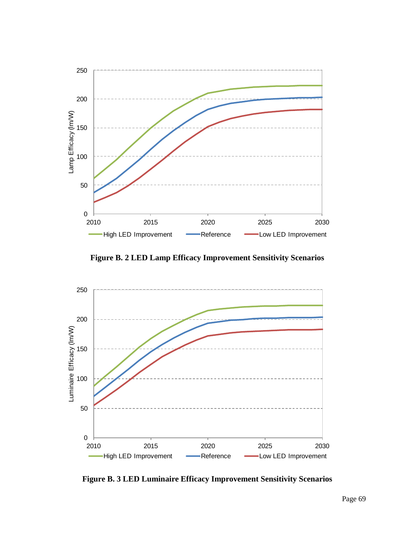

**Figure B. 2 LED Lamp Efficacy Improvement Sensitivity Scenarios**



**Figure B. 3 LED Luminaire Efficacy Improvement Sensitivity Scenarios**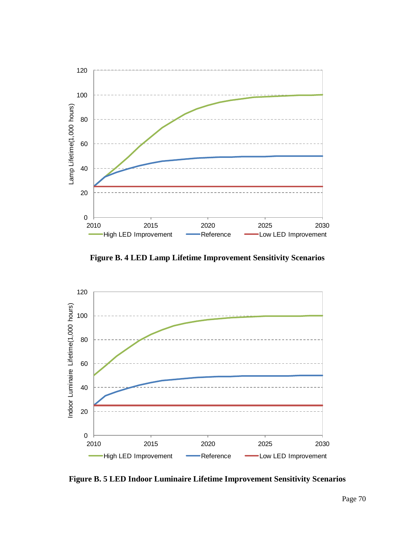

**Figure B. 4 LED Lamp Lifetime Improvement Sensitivity Scenarios**



**Figure B. 5 LED Indoor Luminaire Lifetime Improvement Sensitivity Scenarios**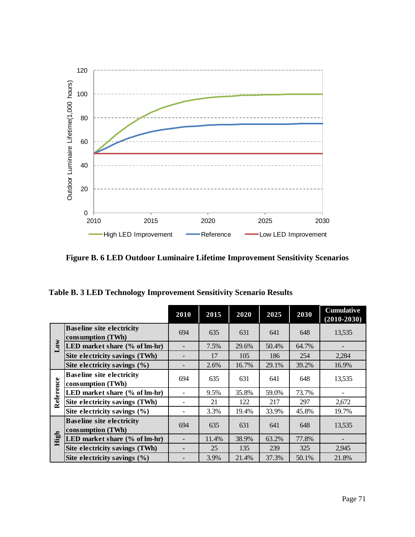

**Figure B. 6 LED Outdoor Luminaire Lifetime Improvement Sensitivity Scenarios**

**Table B. 3 LED Technology Improvement Sensitivity Scenario Results**

|           |                                                       | 2010 | 2015  | 2020  | 2025  | 2030  | <b>Cumulative</b><br>$(2010 - 2030)$ |
|-----------|-------------------------------------------------------|------|-------|-------|-------|-------|--------------------------------------|
|           | <b>Baseline site electricity</b><br>consumption (TWh) | 694  | 635   | 631   | 641   | 648   | 13,535                               |
| Low       | LED market share (% of lm-hr)                         |      | 7.5%  | 29.6% | 50.4% | 64.7% |                                      |
|           | Site electricity savings (TWh)                        |      | 17    | 105   | 186   | 254   | 2,284                                |
|           | Site electricity savings $(\% )$                      |      | 2.6%  | 16.7% | 29.1% | 39.2% | 16.9%                                |
| Reference | <b>Baseline site electricity</b><br>consumption (TWh) | 694  | 635   | 631   | 641   | 648   | 13,535                               |
|           | LED market share (% of lm-hr)                         |      | 9.5%  | 35.8% | 59.0% | 73.7% |                                      |
|           | Site electricity savings (TWh)                        |      | 21    | 122   | 217   | 297   | 2,672                                |
|           | Site electricity savings $(\% )$                      |      | 3.3%  | 19.4% | 33.9% | 45.8% | 19.7%                                |
|           | <b>Baseline site electricity</b><br>consumption (TWh) | 694  | 635   | 631   | 641   | 648   | 13,535                               |
| High      | LED market share (% of lm-hr)                         |      | 11.4% | 38.9% | 63.2% | 77.8% |                                      |
|           | Site electricity savings (TWh)                        |      | 25    | 135   | 239   | 325   | 2,945                                |
|           | Site electricity savings $(\% )$                      |      | 3.9%  | 21.4% | 37.3% | 50.1% | 21.8%                                |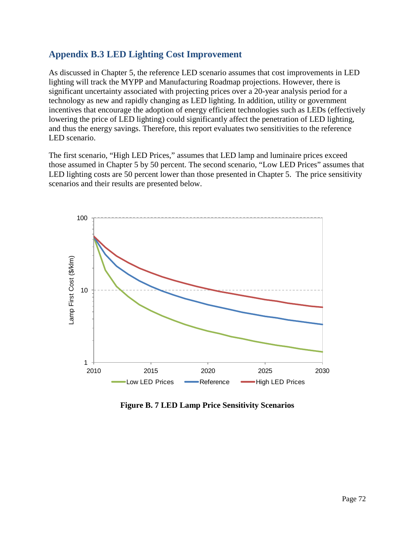## **Appendix B.3 LED Lighting Cost Improvement**

As discussed in Chapter [5,](#page-31-0) the reference LED scenario assumes that cost improvements in LED lighting will track the MYPP and Manufacturing Roadmap projections. However, there is significant uncertainty associated with projecting prices over a 20-year analysis period for a technology as new and rapidly changing as LED lighting. In addition, utility or government incentives that encourage the adoption of energy efficient technologies such as LEDs (effectively lowering the price of LED lighting) could significantly affect the penetration of LED lighting, and thus the energy savings. Therefore, this report evaluates two sensitivities to the reference LED scenario.

The first scenario, "High LED Prices," assumes that LED lamp and luminaire prices exceed those assumed in Chapter [5](#page-31-0) by 50 percent. The second scenario, "Low LED Prices" assumes that LED lighting costs are 50 percent lower than those presented in Chapter [5.](#page-31-0) The price sensitivity scenarios and their results are presented below.



**Figure B. 7 LED Lamp Price Sensitivity Scenarios**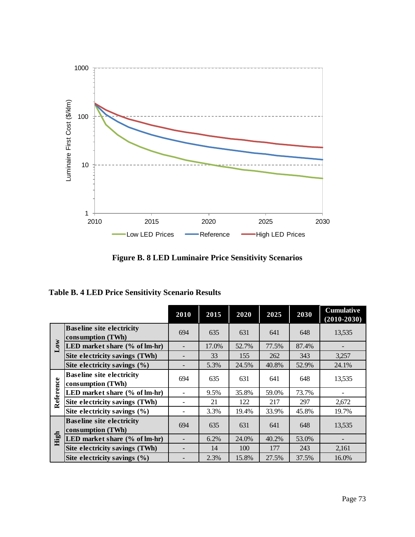

**Figure B. 8 LED Luminaire Price Sensitivity Scenarios**

|  |  |  | <b>Table B. 4 LED Price Sensitivity Scenario Results</b> |  |  |
|--|--|--|----------------------------------------------------------|--|--|
|--|--|--|----------------------------------------------------------|--|--|

|           |                                                       | 2010 | 2015  | 2020  | 2025  | 2030  | <b>Cumulative</b><br>$(2010 - 2030)$ |
|-----------|-------------------------------------------------------|------|-------|-------|-------|-------|--------------------------------------|
|           | <b>Baseline site electricity</b><br>consumption (TWh) | 694  | 635   | 631   | 641   | 648   | 13,535                               |
| Low       | LED market share (% of lm-hr)                         |      | 17.0% | 52.7% | 77.5% | 87.4% |                                      |
|           | Site electricity savings (TWh)                        |      | 33    | 155   | 262   | 343   | 3,257                                |
|           | Site electricity savings $(\% )$                      |      | 5.3%  | 24.5% | 40.8% | 52.9% | 24.1%                                |
| Reference | <b>Baseline site electricity</b><br>consumption (TWh) | 694  | 635   | 631   | 641   | 648   | 13,535                               |
|           | LED market share (% of lm-hr)                         |      | 9.5%  | 35.8% | 59.0% | 73.7% |                                      |
|           | Site electricity savings (TWh)                        |      | 21    | 122   | 217   | 297   | 2,672                                |
|           | Site electricity savings $(\% )$                      |      | 3.3%  | 19.4% | 33.9% | 45.8% | 19.7%                                |
|           | <b>Baseline site electricity</b><br>consumption (TWh) | 694  | 635   | 631   | 641   | 648   | 13,535                               |
| High      | LED market share (% of lm-hr)                         |      | 6.2%  | 24.0% | 40.2% | 53.0% |                                      |
|           | Site electricity savings (TWh)                        |      | 14    | 100   | 177   | 243   | 2,161                                |
|           | Site electricity savings $(\% )$                      |      | 2.3%  | 15.8% | 27.5% | 37.5% | 16.0%                                |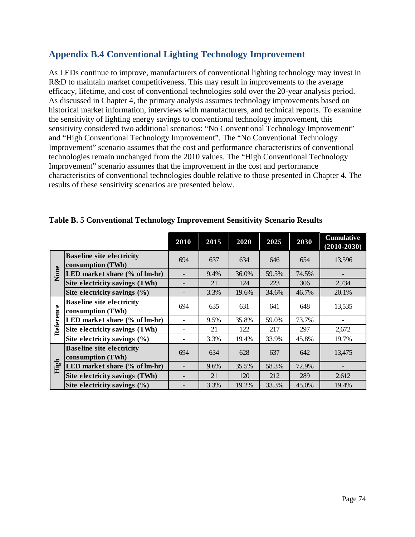## **Appendix B.4 Conventional Lighting Technology Improvement**

As LEDs continue to improve, manufacturers of conventional lighting technology may invest in R&D to maintain market competitiveness. This may result in improvements to the average efficacy, lifetime, and cost of conventional technologies sold over the 20-year analysis period. As discussed in Chapter [4,](#page-23-0) the primary analysis assumes technology improvements based on historical market information, interviews with manufacturers, and technical reports. To examine the sensitivity of lighting energy savings to conventional technology improvement, this sensitivity considered two additional scenarios: "No Conventional Technology Improvement" and "High Conventional Technology Improvement". The "No Conventional Technology Improvement" scenario assumes that the cost and performance characteristics of conventional technologies remain unchanged from the 2010 values. The "High Conventional Technology Improvement" scenario assumes that the improvement in the cost and performance characteristics of conventional technologies double relative to those presented in Chapter [4.](#page-23-0) The results of these sensitivity scenarios are presented below.

|           |                                                       | 2010 | 2015 | 2020  | 2025  | 2030  | <b>Cumulative</b><br>$(2010 - 2030)$ |
|-----------|-------------------------------------------------------|------|------|-------|-------|-------|--------------------------------------|
|           | <b>Baseline site electricity</b><br>consumption (TWh) | 694  | 637  | 634   | 646   | 654   | 13,596                               |
| None      | LED market share (% of lm-hr)                         |      | 9.4% | 36.0% | 59.5% | 74.5% |                                      |
|           | Site electricity savings (TWh)                        |      | 21   | 124   | 223   | 306   | 2,734                                |
|           | Site electricity savings $(\% )$                      |      | 3.3% | 19.6% | 34.6% | 46.7% | 20.1%                                |
| Reference | <b>Baseline site electricity</b><br>consumption (TWh) | 694  | 635  | 631   | 641   | 648   | 13,535                               |
|           | LED market share (% of lm-hr)                         |      | 9.5% | 35.8% | 59.0% | 73.7% |                                      |
|           | Site electricity savings (TWh)                        |      | 21   | 122   | 217   | 297   | 2,672                                |
|           | Site electricity savings $(\% )$                      |      | 3.3% | 19.4% | 33.9% | 45.8% | 19.7%                                |
|           | <b>Baseline site electricity</b><br>consumption (TWh) | 694  | 634  | 628   | 637   | 642   | 13,475                               |
| High      | LED market share (% of lm-hr)                         |      | 9.6% | 35.5% | 58.3% | 72.9% |                                      |
|           | Site electricity savings (TWh)                        |      | 21   | 120   | 212   | 289   | 2,612                                |
|           | Site electricity savings $(\% )$                      |      | 3.3% | 19.2% | 33.3% | 45.0% | 19.4%                                |

#### **Table B. 5 Conventional Technology Improvement Sensitivity Scenario Results**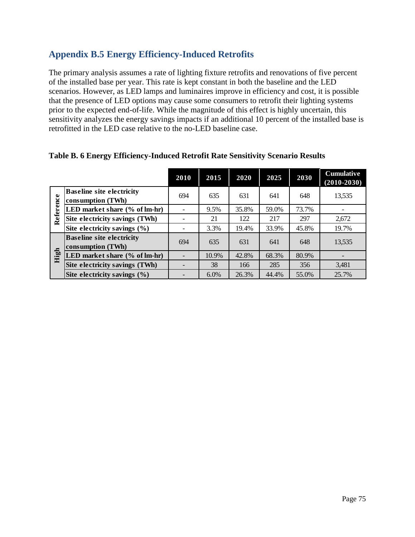## **Appendix B.5 Energy Efficiency-Induced Retrofits**

The primary analysis assumes a rate of lighting fixture retrofits and renovations of five percent of the installed base per year. This rate is kept constant in both the baseline and the LED scenarios. However, as LED lamps and luminaires improve in efficiency and cost, it is possible that the presence of LED options may cause some consumers to retrofit their lighting systems prior to the expected end-of-life. While the magnitude of this effect is highly uncertain, this sensitivity analyzes the energy savings impacts if an additional 10 percent of the installed base is retrofitted in the LED case relative to the no-LED baseline case.

|           |                                                       | 2010 | 2015  | 2020  | 2025  | 2030  | <b>Cumulative</b><br>$(2010 - 2030)$ |
|-----------|-------------------------------------------------------|------|-------|-------|-------|-------|--------------------------------------|
| Reference | <b>Baseline site electricity</b><br>consumption (TWh) | 694  | 635   | 631   | 641   | 648   | 13,535                               |
|           | LED market share (% of lm-hr)                         |      | 9.5%  | 35.8% | 59.0% | 73.7% |                                      |
|           | Site electricity savings (TWh)                        |      | 21    | 122   | 217   | 297   | 2,672                                |
|           | Site electricity savings $(\% )$                      |      | 3.3%  | 19.4% | 33.9% | 45.8% | 19.7%                                |
| High      | <b>Baseline site electricity</b><br>consumption (TWh) | 694  | 635   | 631   | 641   | 648   | 13,535                               |
|           | LED market share (% of lm-hr)                         |      | 10.9% | 42.8% | 68.3% | 80.9% |                                      |
|           | Site electricity savings (TWh)                        |      | 38    | 166   | 285   | 356   | 3,481                                |
|           | Site electricity savings $(\% )$                      |      | 6.0%  | 26.3% | 44.4% | 55.0% | 25.7%                                |

#### **Table B. 6 Energy Efficiency-Induced Retrofit Rate Sensitivity Scenario Results**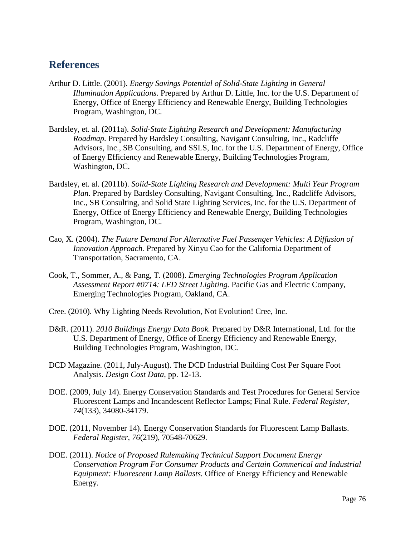# **References**

- Arthur D. Little. (2001). *Energy Savings Potential of Solid-State Lighting in General Illumination Applications.* Prepared by Arthur D. Little, Inc. for the U.S. Department of Energy, Office of Energy Efficiency and Renewable Energy, Building Technologies Program, Washington, DC.
- Bardsley, et. al. (2011a). *Solid-State Lighting Research and Development: Manufacturing Roadmap.* Prepared by Bardsley Consulting, Navigant Consulting, Inc., Radcliffe Advisors, Inc., SB Consulting, and SSLS, Inc. for the U.S. Department of Energy, Office of Energy Efficiency and Renewable Energy, Building Technologies Program, Washington, DC.
- Bardsley, et. al. (2011b). *Solid-State Lighting Research and Development: Multi Year Program Plan.* Prepared by Bardsley Consulting, Navigant Consulting, Inc., Radcliffe Advisors, Inc., SB Consulting, and Solid State Lighting Services, Inc. for the U.S. Department of Energy, Office of Energy Efficiency and Renewable Energy, Building Technologies Program, Washington, DC.
- Cao, X. (2004). *The Future Demand For Alternative Fuel Passenger Vehicles: A Diffusion of Innovation Approach.* Prepared by Xinyu Cao for the California Department of Transportation, Sacramento, CA.
- Cook, T., Sommer, A., & Pang, T. (2008). *Emerging Technologies Program Application Assessment Report #0714: LED Street Lighting.* Pacific Gas and Electric Company, Emerging Technologies Program, Oakland, CA.
- Cree. (2010). Why Lighting Needs Revolution, Not Evolution! Cree, Inc.
- D&R. (2011). *2010 Buildings Energy Data Book.* Prepared by D&R International, Ltd. for the U.S. Department of Energy, Office of Energy Efficiency and Renewable Energy, Building Technologies Program, Washington, DC.
- DCD Magazine. (2011, July-August). The DCD Industrial Building Cost Per Square Foot Analysis. *Design Cost Data*, pp. 12-13.
- DOE. (2009, July 14). Energy Conservation Standards and Test Procedures for General Service Fluorescent Lamps and Incandescent Reflector Lamps; Final Rule. *Federal Register, 74*(133), 34080-34179.
- DOE. (2011, November 14). Energy Conservation Standards for Fluorescent Lamp Ballasts. *Federal Register, 76*(219), 70548-70629.
- DOE. (2011). *Notice of Proposed Rulemaking Technical Support Document Energy Conservation Program For Consumer Products and Certain Commerical and Industrial Equipment: Fluorescent Lamp Ballasts.* Office of Energy Efficiency and Renewable Energy.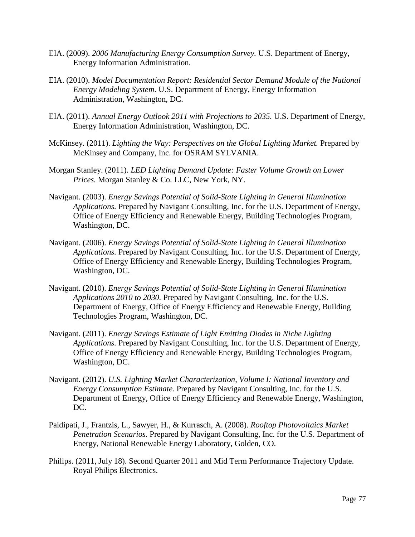- EIA. (2009). *2006 Manufacturing Energy Consumption Survey.* U.S. Department of Energy, Energy Information Administration.
- EIA. (2010). *Model Documentation Report: Residential Sector Demand Module of the National Energy Modeling System.* U.S. Department of Energy, Energy Information Administration, Washington, DC.
- EIA. (2011). *Annual Energy Outlook 2011 with Projections to 2035.* U.S. Department of Energy, Energy Information Administration, Washington, DC.
- McKinsey. (2011). *Lighting the Way: Perspectives on the Global Lighting Market.* Prepared by McKinsey and Company, Inc. for OSRAM SYLVANIA.
- Morgan Stanley. (2011). *LED Lighting Demand Update: Faster Volume Growth on Lower Prices.* Morgan Stanley & Co. LLC, New York, NY.
- Navigant. (2003). *Energy Savings Potential of Solid-State Lighting in General Illumination Applications.* Prepared by Navigant Consulting, Inc. for the U.S. Department of Energy, Office of Energy Efficiency and Renewable Energy, Building Technologies Program, Washington, DC.
- Navigant. (2006). *Energy Savings Potential of Solid-State Lighting in General Illumination Applications.* Prepared by Navigant Consulting, Inc. for the U.S. Department of Energy, Office of Energy Efficiency and Renewable Energy, Building Technologies Program, Washington, DC.
- Navigant. (2010). *Energy Savings Potential of Solid-State Lighting in General Illumination Applications 2010 to 2030.* Prepared by Navigant Consulting, Inc. for the U.S. Department of Energy, Office of Energy Efficiency and Renewable Energy, Building Technologies Program, Washington, DC.
- Navigant. (2011). *Energy Savings Estimate of Light Emitting Diodes in Niche Lighting Applications.* Prepared by Navigant Consulting, Inc. for the U.S. Department of Energy, Office of Energy Efficiency and Renewable Energy, Building Technologies Program, Washington, DC.
- Navigant. (2012). *U.S. Lighting Market Characterization, Volume I: National Inventory and Energy Consumption Estimate.* Prepared by Navigant Consulting, Inc. for the U.S. Department of Energy, Office of Energy Efficiency and Renewable Energy, Washington, DC.
- Paidipati, J., Frantzis, L., Sawyer, H., & Kurrasch, A. (2008). *Rooftop Photovoltaics Market Penetration Scenarios.* Prepared by Navigant Consulting, Inc. for the U.S. Department of Energy, National Renewable Energy Laboratory, Golden, CO.
- Philips. (2011, July 18). Second Quarter 2011 and Mid Term Performance Trajectory Update. Royal Philips Electronics.